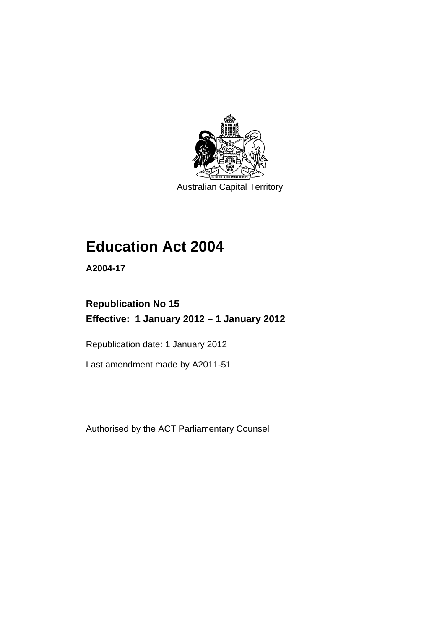

Australian Capital Territory

# **Education Act 2004**

**A2004-17** 

### **Republication No 15 Effective: 1 January 2012 – 1 January 2012**

Republication date: 1 January 2012

Last amendment made by A2011-51

Authorised by the ACT Parliamentary Counsel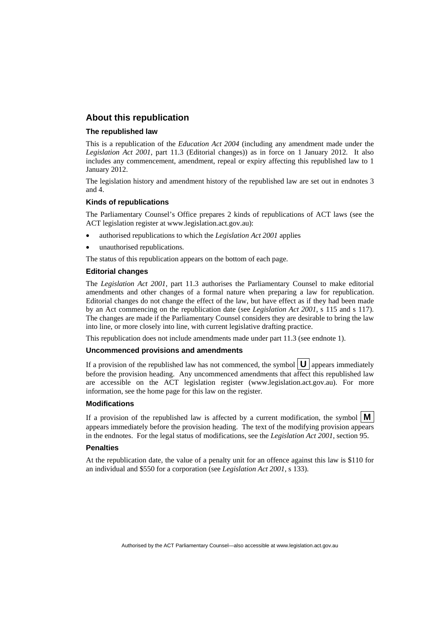### **About this republication**

#### **The republished law**

This is a republication of the *Education Act 2004* (including any amendment made under the *Legislation Act 2001*, part 11.3 (Editorial changes)) as in force on 1 January 2012*.* It also includes any commencement, amendment, repeal or expiry affecting this republished law to 1 January 2012.

The legislation history and amendment history of the republished law are set out in endnotes 3 and 4.

#### **Kinds of republications**

The Parliamentary Counsel's Office prepares 2 kinds of republications of ACT laws (see the ACT legislation register at www.legislation.act.gov.au):

- authorised republications to which the *Legislation Act 2001* applies
- unauthorised republications.

The status of this republication appears on the bottom of each page.

#### **Editorial changes**

The *Legislation Act 2001*, part 11.3 authorises the Parliamentary Counsel to make editorial amendments and other changes of a formal nature when preparing a law for republication. Editorial changes do not change the effect of the law, but have effect as if they had been made by an Act commencing on the republication date (see *Legislation Act 2001*, s 115 and s 117). The changes are made if the Parliamentary Counsel considers they are desirable to bring the law into line, or more closely into line, with current legislative drafting practice.

This republication does not include amendments made under part 11.3 (see endnote 1).

#### **Uncommenced provisions and amendments**

If a provision of the republished law has not commenced, the symbol  $\mathbf{U}$  appears immediately before the provision heading. Any uncommenced amendments that affect this republished law are accessible on the ACT legislation register (www.legislation.act.gov.au). For more information, see the home page for this law on the register.

#### **Modifications**

If a provision of the republished law is affected by a current modification, the symbol  $\vert \mathbf{M} \vert$ appears immediately before the provision heading. The text of the modifying provision appears in the endnotes. For the legal status of modifications, see the *Legislation Act 2001*, section 95.

#### **Penalties**

At the republication date, the value of a penalty unit for an offence against this law is \$110 for an individual and \$550 for a corporation (see *Legislation Act 2001*, s 133).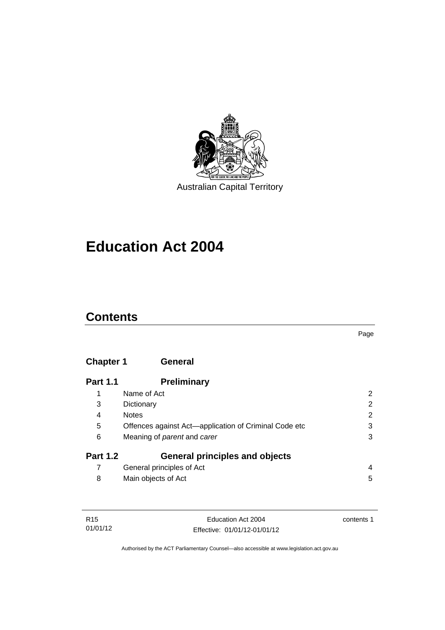

# **Education Act 2004**

### **Contents**

### **[Chapter 1](#page-13-0) General**

| <b>Part 1.1</b> | <b>Preliminary</b>                                    |                |
|-----------------|-------------------------------------------------------|----------------|
|                 | Name of Act                                           | 2              |
| 3               | Dictionary                                            | $\overline{2}$ |
| 4               | <b>Notes</b>                                          | 2              |
| 5               | Offences against Act-application of Criminal Code etc | 3              |
| 6               | Meaning of parent and carer                           | 3              |
| <b>Part 1.2</b> | <b>General principles and objects</b>                 |                |
|                 | General principles of Act                             | 4              |
| 8               | Main objects of Act                                   | 5              |

| R15      | Education Act 2004           | contents 1 |
|----------|------------------------------|------------|
| 01/01/12 | Effective: 01/01/12-01/01/12 |            |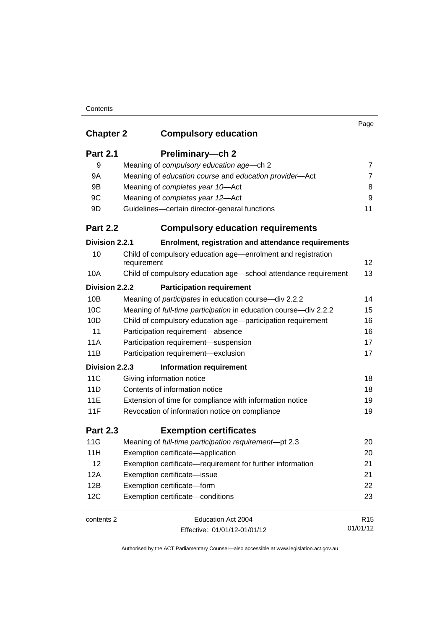### **Contents**

|                  |                                                                             | Page            |
|------------------|-----------------------------------------------------------------------------|-----------------|
| <b>Chapter 2</b> | <b>Compulsory education</b>                                                 |                 |
| <b>Part 2.1</b>  | Preliminary-ch 2                                                            |                 |
| 9                | Meaning of compulsory education age-ch 2                                    | 7               |
| 9A               | Meaning of education course and education provider-Act                      | $\overline{7}$  |
| 9B               | Meaning of completes year 10-Act                                            | 8               |
| 9C               | Meaning of completes year 12-Act                                            | 9               |
| 9D               | Guidelines-certain director-general functions                               | 11              |
| <b>Part 2.2</b>  | <b>Compulsory education requirements</b>                                    |                 |
| Division 2.2.1   | Enrolment, registration and attendance requirements                         |                 |
| 10               | Child of compulsory education age—enrolment and registration<br>requirement | 12              |
| 10A              | Child of compulsory education age-school attendance requirement             | 13              |
| Division 2.2.2   | <b>Participation requirement</b>                                            |                 |
| 10B              | Meaning of participates in education course-div 2.2.2                       | 14              |
| 10C              | Meaning of full-time participation in education course-div 2.2.2            | 15              |
| 10D              | Child of compulsory education age-participation requirement                 | 16              |
| 11               | Participation requirement-absence                                           | 16              |
| 11A              | Participation requirement-suspension                                        | 17              |
| 11B              | Participation requirement-exclusion                                         | 17              |
| Division 2.2.3   | <b>Information requirement</b>                                              |                 |
| 11C              | Giving information notice                                                   | 18              |
| 11D              | Contents of information notice                                              | 18              |
| 11E              | Extension of time for compliance with information notice                    | 19              |
| 11F              | Revocation of information notice on compliance                              | 19              |
| <b>Part 2.3</b>  | <b>Exemption certificates</b>                                               |                 |
| 11G              | Meaning of full-time participation requirement-pt 2.3                       | 20              |
| 11H              | Exemption certificate-application                                           | 20              |
| 12               | Exemption certificate—requirement for further information                   | 21              |
| 12A              | Exemption certificate-issue                                                 | 21              |
| 12B              | Exemption certificate-form                                                  | 22              |
| 12C              | Exemption certificate-conditions                                            | 23              |
| contents 2       | Education Act 2004                                                          | R <sub>15</sub> |
|                  | Effective: 01/01/12-01/01/12                                                | 01/01/12        |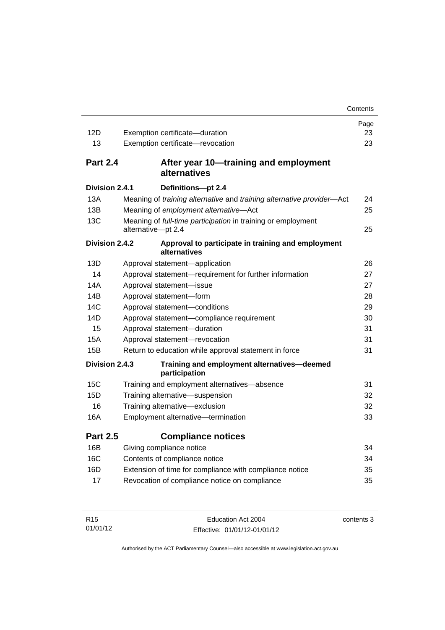|                 |                                                                       | Contents |
|-----------------|-----------------------------------------------------------------------|----------|
|                 |                                                                       | Page     |
| 12D             | Exemption certificate-duration                                        | 23       |
| 13              | Exemption certificate-revocation                                      | 23       |
| <b>Part 2.4</b> | After year 10—training and employment<br>alternatives                 |          |
| Division 2.4.1  | Definitions-pt 2.4                                                    |          |
| 13A             | Meaning of training alternative and training alternative provider-Act | 24       |
| 13B             | Meaning of employment alternative-Act                                 | 25       |
| 13C             | Meaning of full-time participation in training or employment          |          |
|                 | alternative-pt 2.4                                                    | 25       |
| Division 2.4.2  | Approval to participate in training and employment<br>alternatives    |          |
| 13D             | Approval statement-application                                        | 26       |
| 14              | Approval statement-requirement for further information                | 27       |
| 14A             | Approval statement-issue                                              | 27       |
| 14B             | Approval statement-form                                               | 28       |
| 14C             | Approval statement-conditions                                         | 29       |
| 14D             | Approval statement-compliance requirement                             | 30       |
| 15              | Approval statement-duration                                           | 31       |
| 15A             | Approval statement-revocation                                         | 31       |
| 15B             | Return to education while approval statement in force                 | 31       |
| Division 2.4.3  | Training and employment alternatives-deemed<br>participation          |          |
| 15C             | Training and employment alternatives-absence                          | 31       |
| 15D             | Training alternative-suspension                                       | 32       |
| 16              | Training alternative-exclusion                                        | 32       |
| 16A             | Employment alternative-termination                                    | 33       |
| <b>Part 2.5</b> | <b>Compliance notices</b>                                             |          |
| 16B             | Giving compliance notice                                              | 34       |
| 16C             | Contents of compliance notice                                         | 34       |
| 16D             | Extension of time for compliance with compliance notice               | 35       |
| 17              | Revocation of compliance notice on compliance                         | 35       |
|                 |                                                                       |          |

| R <sub>15</sub> | Education Act 2004           | contents 3 |
|-----------------|------------------------------|------------|
| 01/01/12        | Effective: 01/01/12-01/01/12 |            |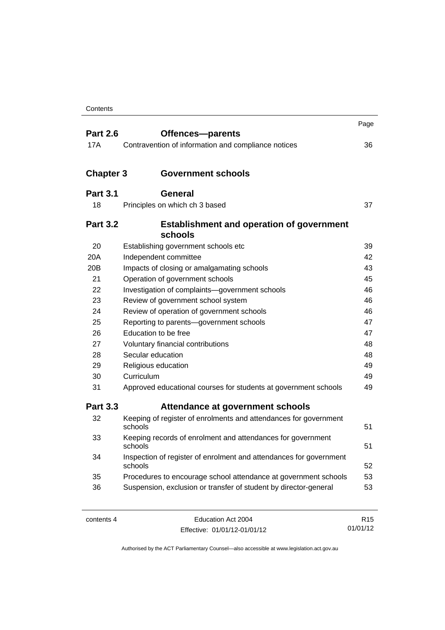| <b>Part 2.6</b>  | Offences-parents                                                              | Page |
|------------------|-------------------------------------------------------------------------------|------|
| 17A              | Contravention of information and compliance notices                           | 36   |
|                  |                                                                               |      |
| <b>Chapter 3</b> | <b>Government schools</b>                                                     |      |
| <b>Part 3.1</b>  | <b>General</b>                                                                |      |
| 18               | Principles on which ch 3 based                                                | 37   |
|                  |                                                                               |      |
| <b>Part 3.2</b>  | <b>Establishment and operation of government</b><br>schools                   |      |
| 20               | Establishing government schools etc                                           | 39   |
| 20A              | Independent committee                                                         | 42   |
| 20 <sub>B</sub>  | Impacts of closing or amalgamating schools                                    | 43   |
| 21               | Operation of government schools                                               | 45   |
| 22               | Investigation of complaints-government schools                                | 46   |
| 23               | Review of government school system                                            | 46   |
| 24               | Review of operation of government schools                                     | 46   |
| 25               | Reporting to parents-government schools                                       | 47   |
| 26               | Education to be free                                                          | 47   |
| 27               | Voluntary financial contributions                                             | 48   |
| 28               | Secular education                                                             | 48   |
| 29               | Religious education                                                           | 49   |
| 30               | Curriculum                                                                    | 49   |
| 31               | Approved educational courses for students at government schools               | 49   |
| <b>Part 3.3</b>  | Attendance at government schools                                              |      |
| 32               | Keeping of register of enrolments and attendances for government<br>schools   | 51   |
| 33               | Keeping records of enrolment and attendances for government<br>schools        | 51   |
| 34               | Inspection of register of enrolment and attendances for government<br>schools | 52   |
| 35               | Procedures to encourage school attendance at government schools               | 53   |
| 36               | Suspension, exclusion or transfer of student by director-general              | 53   |

| contents 4 |  |
|------------|--|
|------------|--|

Education Act 2004 Effective: 01/01/12-01/01/12

R15 01/01/12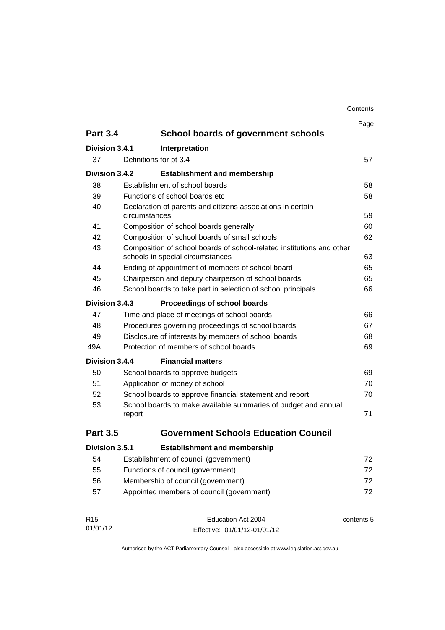|                 |                                                              |                                                                                                           | Page       |
|-----------------|--------------------------------------------------------------|-----------------------------------------------------------------------------------------------------------|------------|
| <b>Part 3.4</b> |                                                              | School boards of government schools                                                                       |            |
| Division 3.4.1  |                                                              | Interpretation                                                                                            |            |
| 37              |                                                              | Definitions for pt 3.4                                                                                    | 57         |
| Division 3.4.2  |                                                              | <b>Establishment and membership</b>                                                                       |            |
| 38              |                                                              | Establishment of school boards                                                                            | 58         |
| 39              |                                                              | Functions of school boards etc.                                                                           | 58         |
| 40              |                                                              | Declaration of parents and citizens associations in certain                                               |            |
|                 | circumstances                                                |                                                                                                           | 59         |
| 41              |                                                              | Composition of school boards generally                                                                    | 60         |
| 42              |                                                              | Composition of school boards of small schools                                                             | 62         |
| 43              |                                                              | Composition of school boards of school-related institutions and other<br>schools in special circumstances | 63         |
| 44              |                                                              | Ending of appointment of members of school board                                                          | 65         |
| 45              |                                                              | Chairperson and deputy chairperson of school boards                                                       | 65         |
| 46              | School boards to take part in selection of school principals |                                                                                                           |            |
| Division 3.4.3  |                                                              | Proceedings of school boards                                                                              |            |
| 47              |                                                              | Time and place of meetings of school boards                                                               | 66         |
| 48              |                                                              | Procedures governing proceedings of school boards                                                         | 67         |
| 49              |                                                              | Disclosure of interests by members of school boards                                                       | 68         |
| 49A             |                                                              | Protection of members of school boards                                                                    | 69         |
| Division 3.4.4  |                                                              | <b>Financial matters</b>                                                                                  |            |
| 50              |                                                              | School boards to approve budgets                                                                          | 69         |
| 51              |                                                              | Application of money of school                                                                            | 70         |
| 52              |                                                              | School boards to approve financial statement and report                                                   | 70         |
| 53              |                                                              | School boards to make available summaries of budget and annual                                            |            |
|                 | report                                                       |                                                                                                           | 71         |
| <b>Part 3.5</b> |                                                              | <b>Government Schools Education Council</b>                                                               |            |
| Division 3.5.1  |                                                              | <b>Establishment and membership</b>                                                                       |            |
| 54              |                                                              | Establishment of council (government)                                                                     | 72         |
| 55              |                                                              | Functions of council (government)                                                                         | 72         |
| 56              | Membership of council (government)                           |                                                                                                           | 72         |
| 57              | Appointed members of council (government)<br>72              |                                                                                                           |            |
| R <sub>15</sub> |                                                              | Education Act 2004                                                                                        | contents 5 |
| 01/01/12        |                                                              | Effective: 01/01/12-01/01/12                                                                              |            |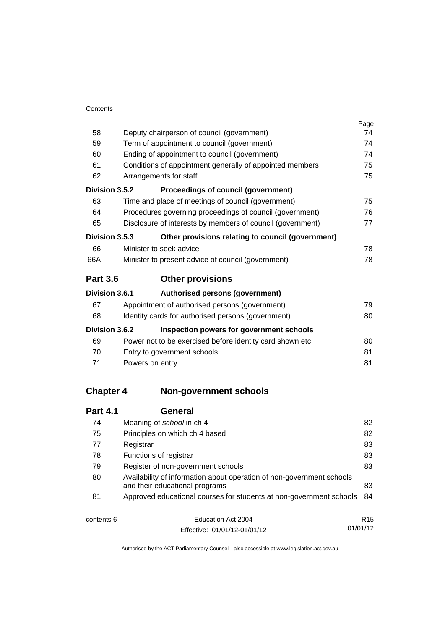|                  |                                                                                                         | Page |  |
|------------------|---------------------------------------------------------------------------------------------------------|------|--|
| 58               | Deputy chairperson of council (government)                                                              |      |  |
| 59               | Term of appointment to council (government)                                                             |      |  |
| 60               | Ending of appointment to council (government)                                                           |      |  |
| 61               | Conditions of appointment generally of appointed members                                                |      |  |
| 62               | Arrangements for staff                                                                                  |      |  |
| Division 3.5.2   | <b>Proceedings of council (government)</b>                                                              |      |  |
| 63               | Time and place of meetings of council (government)                                                      | 75   |  |
| 64               | Procedures governing proceedings of council (government)                                                | 76   |  |
| 65               | Disclosure of interests by members of council (government)                                              | 77   |  |
| Division 3.5.3   | Other provisions relating to council (government)                                                       |      |  |
| 66               | Minister to seek advice                                                                                 | 78   |  |
| 66A              | Minister to present advice of council (government)                                                      | 78   |  |
| <b>Part 3.6</b>  | <b>Other provisions</b>                                                                                 |      |  |
| Division 3.6.1   | Authorised persons (government)                                                                         |      |  |
| 67               | Appointment of authorised persons (government)                                                          | 79   |  |
| 68               | Identity cards for authorised persons (government)                                                      | 80   |  |
| Division 3.6.2   | Inspection powers for government schools                                                                |      |  |
| 69               | Power not to be exercised before identity card shown etc                                                | 80   |  |
| 70               | Entry to government schools                                                                             | 81   |  |
| 71               | Powers on entry                                                                                         | 81   |  |
| <b>Chapter 4</b> | <b>Non-government schools</b>                                                                           |      |  |
|                  |                                                                                                         |      |  |
| <b>Part 4.1</b>  | <b>General</b>                                                                                          |      |  |
| 74               | Meaning of school in ch 4                                                                               | 82   |  |
| 75               | Principles on which ch 4 based                                                                          | 82   |  |
| 77               | Registrar                                                                                               | 83   |  |
| 78               | Functions of registrar                                                                                  | 83   |  |
| 79               | Register of non-government schools                                                                      | 83   |  |
| 80               | Availability of information about operation of non-government schools<br>and their educational programs | 83   |  |

| 81         | Approved educational courses for students at non-government schools 84 |                 |
|------------|------------------------------------------------------------------------|-----------------|
| contents 6 | Education Act 2004                                                     | R <sub>15</sub> |
|            | Effective: 01/01/12-01/01/12                                           | 01/01/12        |

Effective: 01/01/12-01/01/12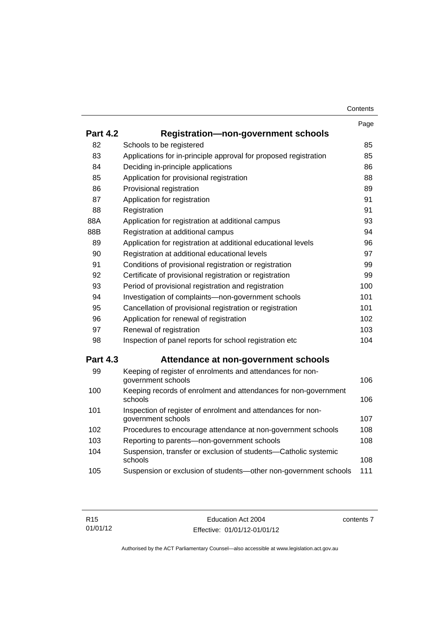|                 |                                                                                    | Page |
|-----------------|------------------------------------------------------------------------------------|------|
| <b>Part 4.2</b> | <b>Registration-non-government schools</b>                                         |      |
| 82              | Schools to be registered                                                           | 85   |
| 83              | Applications for in-principle approval for proposed registration                   | 85   |
| 84              | Deciding in-principle applications                                                 | 86   |
| 85              | Application for provisional registration                                           | 88   |
| 86              | Provisional registration                                                           | 89   |
| 87              | Application for registration                                                       | 91   |
| 88              | Registration                                                                       | 91   |
| 88A             | Application for registration at additional campus                                  | 93   |
| 88B             | Registration at additional campus                                                  | 94   |
| 89              | Application for registration at additional educational levels                      | 96   |
| 90              | Registration at additional educational levels                                      | 97   |
| 91              | Conditions of provisional registration or registration                             | 99   |
| 92              | Certificate of provisional registration or registration                            | 99   |
| 93              | Period of provisional registration and registration                                | 100  |
| 94              | Investigation of complaints-non-government schools                                 | 101  |
| 95              | Cancellation of provisional registration or registration                           | 101  |
| 96              | Application for renewal of registration                                            | 102  |
| 97              | Renewal of registration                                                            | 103  |
| 98              | Inspection of panel reports for school registration etc                            | 104  |
| <b>Part 4.3</b> | Attendance at non-government schools                                               |      |
| 99              | Keeping of register of enrolments and attendances for non-<br>government schools   | 106  |
| 100             | Keeping records of enrolment and attendances for non-government<br>schools         | 106  |
| 101             | Inspection of register of enrolment and attendances for non-<br>government schools | 107  |
| 102             | Procedures to encourage attendance at non-government schools                       | 108  |
| 103             | Reporting to parents-non-government schools                                        | 108  |
| 104             | Suspension, transfer or exclusion of students-Catholic systemic<br>schools         | 108  |
| 105             | Suspension or exclusion of students-other non-government schools                   | 111  |

contents 7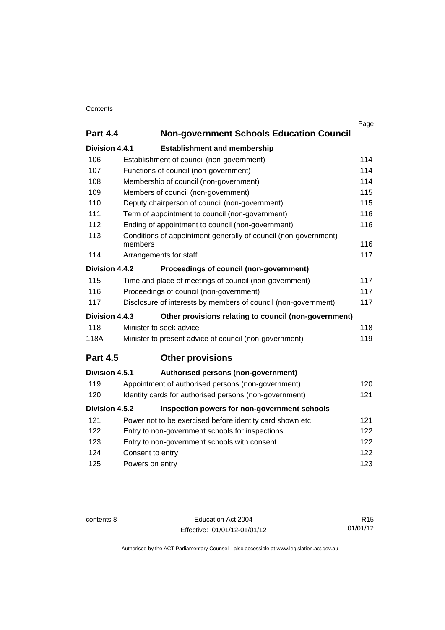### **Contents**

| <b>Part 4.4</b> | <b>Non-government Schools Education Council</b>                 | Page |
|-----------------|-----------------------------------------------------------------|------|
|                 |                                                                 |      |
| Division 4.4.1  | <b>Establishment and membership</b>                             |      |
| 106             | Establishment of council (non-government)                       | 114  |
| 107             | Functions of council (non-government)                           | 114  |
| 108             | Membership of council (non-government)                          | 114  |
| 109             | Members of council (non-government)                             | 115  |
| 110             | Deputy chairperson of council (non-government)                  | 115  |
| 111             | Term of appointment to council (non-government)                 | 116  |
| 112             | Ending of appointment to council (non-government)               | 116  |
| 113             | Conditions of appointment generally of council (non-government) |      |
|                 | members                                                         | 116  |
| 114             | Arrangements for staff                                          | 117  |
| Division 4.4.2  | Proceedings of council (non-government)                         |      |
| 115             | Time and place of meetings of council (non-government)          | 117  |
| 116             | Proceedings of council (non-government)<br>117                  |      |
| 117             | Disclosure of interests by members of council (non-government)  | 117  |
| Division 4.4.3  | Other provisions relating to council (non-government)           |      |
| 118             | Minister to seek advice                                         | 118  |
| 118A            | Minister to present advice of council (non-government)          | 119  |
| <b>Part 4.5</b> | <b>Other provisions</b>                                         |      |
| Division 4.5.1  | Authorised persons (non-government)                             |      |
| 119             | Appointment of authorised persons (non-government)              | 120  |
| 120             | Identity cards for authorised persons (non-government)          | 121  |
| Division 4.5.2  | Inspection powers for non-government schools                    |      |
| 121             | Power not to be exercised before identity card shown etc        | 121  |
| 122             | Entry to non-government schools for inspections                 | 122  |
| 123             | Entry to non-government schools with consent                    | 122  |
| 124             | Consent to entry                                                | 122  |
| 125             | Powers on entry                                                 | 123  |
|                 |                                                                 |      |

contents 8 Education Act 2004 Effective: 01/01/12-01/01/12

R15 01/01/12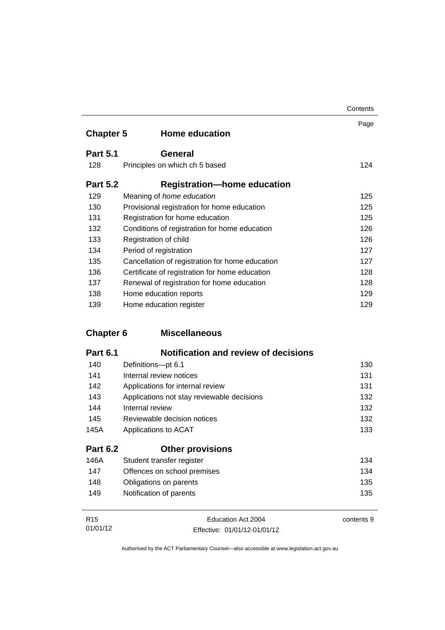|                  |                                                 | Contents |
|------------------|-------------------------------------------------|----------|
| <b>Chapter 5</b> | <b>Home education</b>                           | Page     |
|                  |                                                 |          |
| <b>Part 5.1</b>  | General                                         |          |
| 128              | Principles on which ch 5 based                  | 124      |
| <b>Part 5.2</b>  | <b>Registration—home education</b>              |          |
| 129              | Meaning of home education                       | 125      |
| 130              | Provisional registration for home education     | 125      |
| 131              | Registration for home education                 | 125      |
| 132              | Conditions of registration for home education   | 126      |
| 133              | Registration of child                           | 126      |
| 134              | Period of registration                          | 127      |
| 135              | Cancellation of registration for home education | 127      |
| 136              | Certificate of registration for home education  | 128      |
| 137              | Renewal of registration for home education      | 128      |
| 138              | Home education reports                          | 129      |
| 139              | Home education register                         | 129      |

### **Chapter 6 [Miscellaneous](#page-141-0)**

| Notification and review of decisions<br><b>Part 6.1</b> |  |
|---------------------------------------------------------|--|
|---------------------------------------------------------|--|

| $\lambda$ $\lambda$ | Other than the contract of the contract of the contract of the contract of the contract of the contract of the | $\lambda$ $\sim$ $\lambda$ |
|---------------------|----------------------------------------------------------------------------------------------------------------|----------------------------|
| <b>Part 6.2</b>     | <b>Other provisions</b>                                                                                        |                            |
| 145A                | Applications to ACAT                                                                                           | 133                        |
| 145                 | Reviewable decision notices                                                                                    | 132                        |
| 144                 | Internal review                                                                                                | 132                        |
| 143                 | Applications not stay reviewable decisions                                                                     | 132                        |
| 142                 | Applications for internal review                                                                               | 131                        |
| 141                 | Internal review notices                                                                                        | 131                        |
| 140                 | Definitions-pt 6.1                                                                                             | 130                        |

| 146A | Student transfer register   | 134 |
|------|-----------------------------|-----|
| 147  | Offences on school premises | 134 |
| 148  | Obligations on parents      | 135 |
| 149  | Notification of parents     | 135 |
|      |                             |     |

| R <sub>15</sub> | Education Act 2004           | contents 9 |
|-----------------|------------------------------|------------|
| 01/01/12        | Effective: 01/01/12-01/01/12 |            |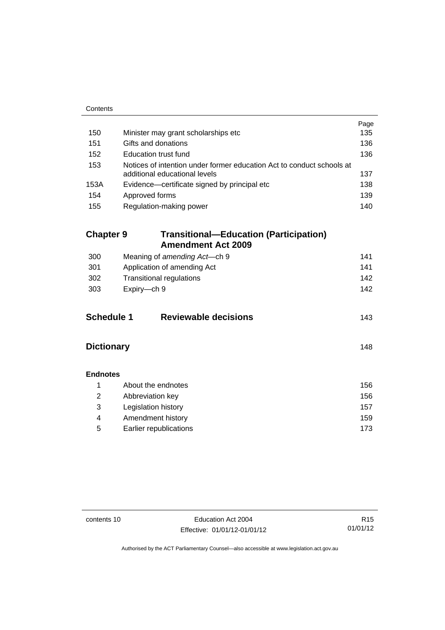| Contents          |                                                                                                        |      |
|-------------------|--------------------------------------------------------------------------------------------------------|------|
|                   |                                                                                                        | Page |
| 150               | Minister may grant scholarships etc                                                                    | 135  |
| 151               | Gifts and donations                                                                                    | 136  |
| 152               | Education trust fund                                                                                   | 136  |
| 153               | Notices of intention under former education Act to conduct schools at<br>additional educational levels | 137  |
| 153A              | Evidence—certificate signed by principal etc                                                           | 138  |
| 154               | Approved forms                                                                                         | 139  |
| 155               | Regulation-making power                                                                                | 140  |
|                   |                                                                                                        |      |
| <b>Chapter 9</b>  | <b>Transitional-Education (Participation)</b><br><b>Amendment Act 2009</b>                             |      |
| 300               | Meaning of amending Act-ch 9                                                                           | 141  |
| 301               | 141<br>Application of amending Act                                                                     |      |
| 302               | <b>Transitional regulations</b><br>142                                                                 |      |
| 303               | Expiry-ch 9                                                                                            | 142  |
|                   |                                                                                                        |      |
| <b>Schedule 1</b> | <b>Reviewable decisions</b>                                                                            | 143  |
| <b>Dictionary</b> |                                                                                                        | 148  |
| <b>Endnotes</b>   |                                                                                                        |      |
| 1                 | About the endnotes                                                                                     | 156  |
| $\overline{2}$    | Abbreviation key                                                                                       | 156  |
| 3                 | Legislation history                                                                                    | 157  |
| 4                 | Amendment history                                                                                      | 159  |
| 5                 | Earlier republications                                                                                 | 173  |
|                   |                                                                                                        |      |

contents 10 Education Act 2004 Effective: 01/01/12-01/01/12

R15 01/01/12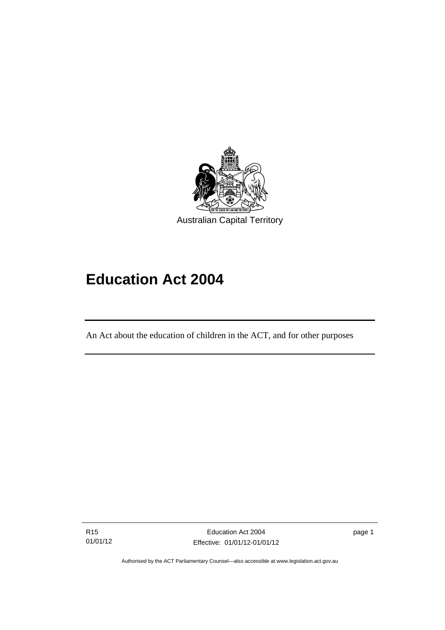

# **Education Act 2004**

An Act about the education of children in the ACT, and for other purposes

R15 01/01/12

l

Education Act 2004 Effective: 01/01/12-01/01/12 page 1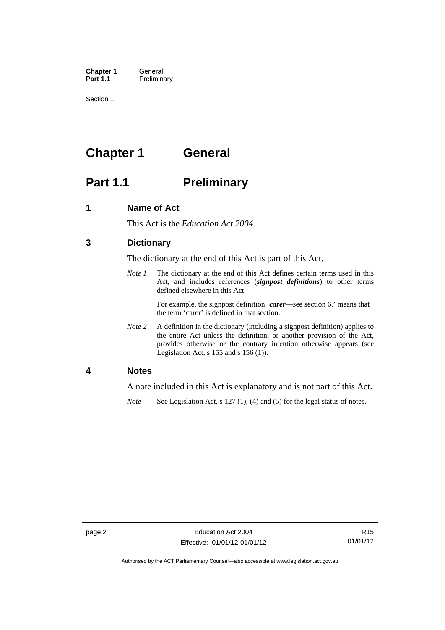**Chapter 1 General**<br>**Part 1.1 Prelimina Preliminary** 

Section 1

## <span id="page-13-0"></span>**Chapter 1 General**

### <span id="page-13-1"></span>**Part 1.1** Preliminary

### <span id="page-13-2"></span>**1 Name of Act**

This Act is the *Education Act 2004*.

### <span id="page-13-3"></span>**3 Dictionary**

The dictionary at the end of this Act is part of this Act.

*Note 1* The dictionary at the end of this Act defines certain terms used in this Act, and includes references (*signpost definitions*) to other terms defined elsewhere in this Act.

> For example, the signpost definition '*carer*—see section 6.' means that the term 'carer' is defined in that section.

*Note 2* A definition in the dictionary (including a signpost definition) applies to the entire Act unless the definition, or another provision of the Act, provides otherwise or the contrary intention otherwise appears (see Legislation Act,  $s$  155 and  $s$  156 (1)).

### <span id="page-13-4"></span>**4 Notes**

A note included in this Act is explanatory and is not part of this Act.

*Note* See Legislation Act, s 127 (1), (4) and (5) for the legal status of notes.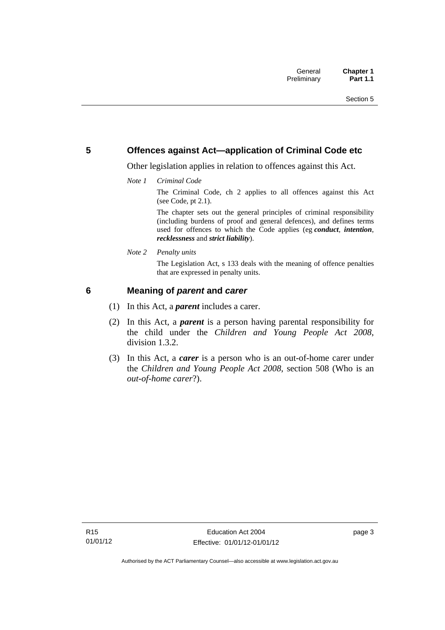### <span id="page-14-0"></span>**5 Offences against Act—application of Criminal Code etc**

Other legislation applies in relation to offences against this Act.

*Note 1 Criminal Code*

The Criminal Code, ch 2 applies to all offences against this Act (see Code, pt 2.1).

The chapter sets out the general principles of criminal responsibility (including burdens of proof and general defences), and defines terms used for offences to which the Code applies (eg *conduct*, *intention*, *recklessness* and *strict liability*).

*Note 2 Penalty units* 

The Legislation Act, s 133 deals with the meaning of offence penalties that are expressed in penalty units.

### <span id="page-14-1"></span>**6 Meaning of** *parent* **and** *carer*

- (1) In this Act, a *parent* includes a carer.
- (2) In this Act, a *parent* is a person having parental responsibility for the child under the *Children and Young People Act 2008*, division 1.3.2.
- (3) In this Act, a *carer* is a person who is an out-of-home carer under the *Children and Young People Act 2008*, section 508 (Who is an *out-of-home carer*?).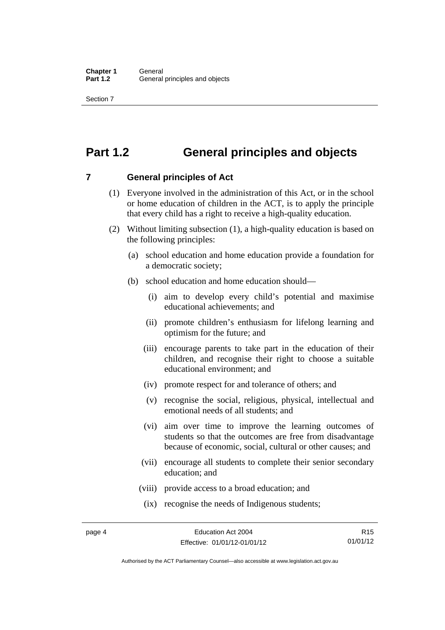Section 7

### <span id="page-15-0"></span>**Part 1.2 General principles and objects**

<span id="page-15-1"></span>**7 General principles of Act** 

- (1) Everyone involved in the administration of this Act, or in the school or home education of children in the ACT, is to apply the principle that every child has a right to receive a high-quality education.
- (2) Without limiting subsection (1), a high-quality education is based on the following principles:
	- (a) school education and home education provide a foundation for a democratic society;
	- (b) school education and home education should—
		- (i) aim to develop every child's potential and maximise educational achievements; and
		- (ii) promote children's enthusiasm for lifelong learning and optimism for the future; and
		- (iii) encourage parents to take part in the education of their children, and recognise their right to choose a suitable educational environment; and
		- (iv) promote respect for and tolerance of others; and
		- (v) recognise the social, religious, physical, intellectual and emotional needs of all students; and
		- (vi) aim over time to improve the learning outcomes of students so that the outcomes are free from disadvantage because of economic, social, cultural or other causes; and
		- (vii) encourage all students to complete their senior secondary education; and
		- (viii) provide access to a broad education; and
		- (ix) recognise the needs of Indigenous students;

Authorised by the ACT Parliamentary Counsel—also accessible at www.legislation.act.gov.au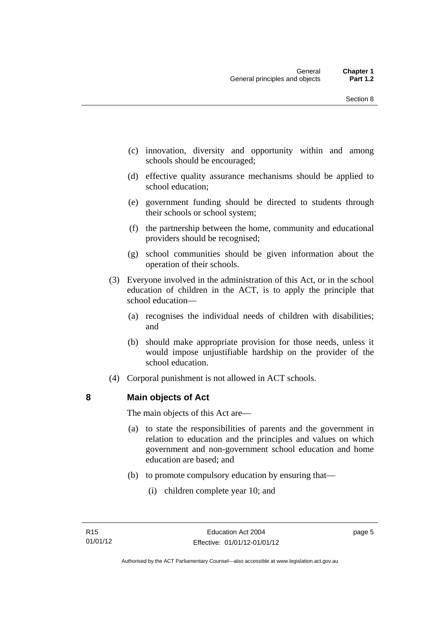- (c) innovation, diversity and opportunity within and among schools should be encouraged;
- (d) effective quality assurance mechanisms should be applied to school education;
- (e) government funding should be directed to students through their schools or school system;
- (f) the partnership between the home, community and educational providers should be recognised;
- (g) school communities should be given information about the operation of their schools.
- (3) Everyone involved in the administration of this Act, or in the school education of children in the ACT, is to apply the principle that school education—
	- (a) recognises the individual needs of children with disabilities; and
	- (b) should make appropriate provision for those needs, unless it would impose unjustifiable hardship on the provider of the school education.
- (4) Corporal punishment is not allowed in ACT schools.

### <span id="page-16-0"></span>**8 Main objects of Act**

The main objects of this Act are—

- (a) to state the responsibilities of parents and the government in relation to education and the principles and values on which government and non-government school education and home education are based; and
- (b) to promote compulsory education by ensuring that—
	- (i) children complete year 10; and

page 5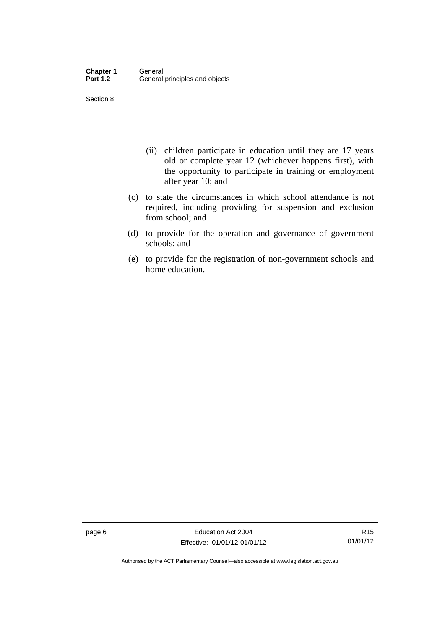Section 8

- (ii) children participate in education until they are 17 years old or complete year 12 (whichever happens first), with the opportunity to participate in training or employment after year 10; and
- (c) to state the circumstances in which school attendance is not required, including providing for suspension and exclusion from school; and
- (d) to provide for the operation and governance of government schools; and
- (e) to provide for the registration of non-government schools and home education.

page 6 **Education Act 2004** Effective: 01/01/12-01/01/12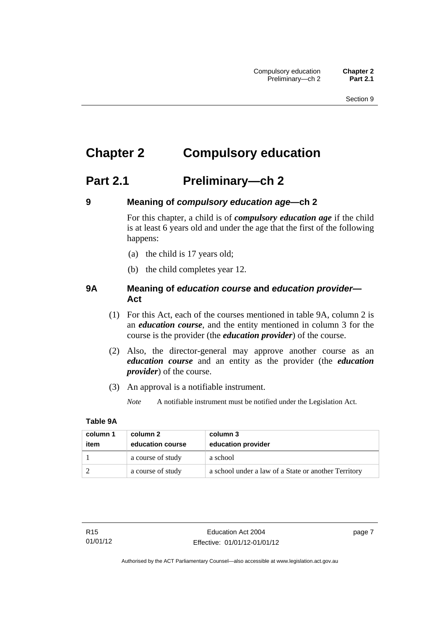## <span id="page-18-0"></span>**Chapter 2 Compulsory education**

### <span id="page-18-1"></span>**Part 2.1 Preliminary—ch 2**

<span id="page-18-2"></span>

### **9 Meaning of** *compulsory education age***—ch 2**

For this chapter, a child is of *compulsory education age* if the child is at least 6 years old and under the age that the first of the following happens:

- (a) the child is 17 years old;
- (b) the child completes year 12.

### <span id="page-18-3"></span>**9A Meaning of** *education course* **and** *education provider***— Act**

- (1) For this Act, each of the courses mentioned in table 9A, column 2 is an *education course*, and the entity mentioned in column 3 for the course is the provider (the *education provider*) of the course.
- (2) Also, the director-general may approve another course as an *education course* and an entity as the provider (the *education provider*) of the course.
- (3) An approval is a notifiable instrument.
	- *Note* A notifiable instrument must be notified under the Legislation Act.

### **Table 9A**

| column 1 | column 2          | column 3                                             |
|----------|-------------------|------------------------------------------------------|
| item     | education course  | education provider                                   |
|          | a course of study | a school                                             |
|          | a course of study | a school under a law of a State or another Territory |

page 7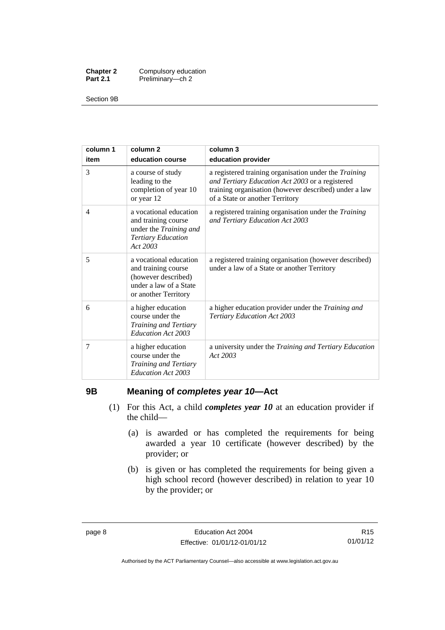| <b>Chapter 2</b> | Compulsory education |
|------------------|----------------------|
| <b>Part 2.1</b>  | Preliminary-ch 2     |

Section 9B

| column 1<br>item | column <sub>2</sub><br>education course                                                                                | column 3<br>education provider                                                                                                                                                                       |
|------------------|------------------------------------------------------------------------------------------------------------------------|------------------------------------------------------------------------------------------------------------------------------------------------------------------------------------------------------|
| 3                | a course of study<br>leading to the<br>completion of year 10<br>or year 12                                             | a registered training organisation under the Training<br>and Tertiary Education Act 2003 or a registered<br>training organisation (however described) under a law<br>of a State or another Territory |
| 4                | a vocational education<br>and training course<br>under the Training and<br><b>Tertiary Education</b><br>Act 2003       | a registered training organisation under the Training<br>and Tertiary Education Act 2003                                                                                                             |
| 5                | a vocational education<br>and training course<br>(however described)<br>under a law of a State<br>or another Territory | a registered training organisation (however described)<br>under a law of a State or another Territory                                                                                                |
| 6                | a higher education<br>course under the<br>Training and Tertiary<br>Education Act 2003                                  | a higher education provider under the Training and<br><b>Tertiary Education Act 2003</b>                                                                                                             |
| 7                | a higher education<br>course under the<br>Training and Tertiary<br>Education Act 2003                                  | a university under the Training and Tertiary Education<br>Act 2003                                                                                                                                   |

### <span id="page-19-0"></span>**9B Meaning of** *completes year 10***—Act**

- (1) For this Act, a child *completes year 10* at an education provider if the child—
	- (a) is awarded or has completed the requirements for being awarded a year 10 certificate (however described) by the provider; or
	- (b) is given or has completed the requirements for being given a high school record (however described) in relation to year 10 by the provider; or

Authorised by the ACT Parliamentary Counsel—also accessible at www.legislation.act.gov.au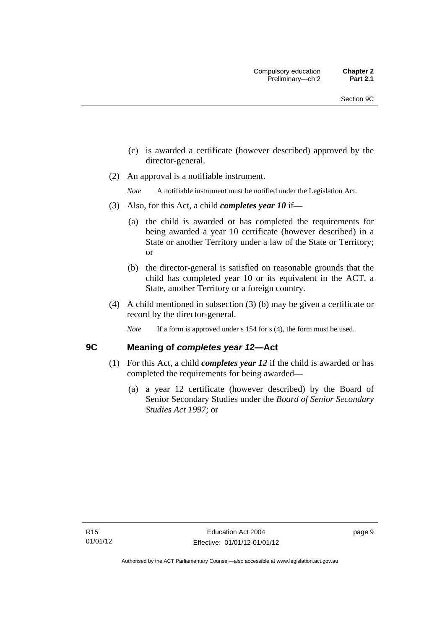- (c) is awarded a certificate (however described) approved by the director-general.
- (2) An approval is a notifiable instrument.

*Note* A notifiable instrument must be notified under the Legislation Act.

- (3) Also, for this Act, a child *completes year 10* if*—*
	- (a) the child is awarded or has completed the requirements for being awarded a year 10 certificate (however described) in a State or another Territory under a law of the State or Territory; or
	- (b) the director-general is satisfied on reasonable grounds that the child has completed year 10 or its equivalent in the ACT, a State, another Territory or a foreign country.
- (4) A child mentioned in subsection (3) (b) may be given a certificate or record by the director-general.
	- *Note* If a form is approved under s 154 for s (4), the form must be used.

### <span id="page-20-0"></span>**9C Meaning of** *completes year 12***—Act**

- (1) For this Act, a child *completes year 12* if the child is awarded or has completed the requirements for being awarded—
	- (a) a year 12 certificate (however described) by the Board of Senior Secondary Studies under the *Board of Senior Secondary Studies Act 1997*; or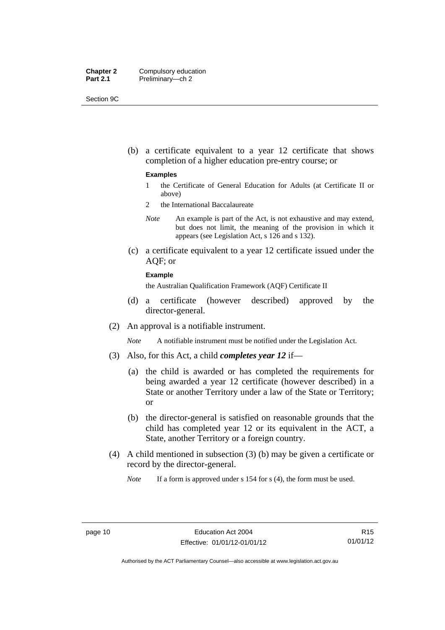| <b>Chapter 2</b> | Compulsory education |
|------------------|----------------------|
| <b>Part 2.1</b>  | Preliminary-ch 2     |

Section 9C

 (b) a certificate equivalent to a year 12 certificate that shows completion of a higher education pre-entry course; or

#### **Examples**

- 1 the Certificate of General Education for Adults (at Certificate II or above)
- 2 the International Baccalaureate
- *Note* An example is part of the Act, is not exhaustive and may extend, but does not limit, the meaning of the provision in which it appears (see Legislation Act, s 126 and s 132).
- (c) a certificate equivalent to a year 12 certificate issued under the AQF; or

#### **Example**

the Australian Qualification Framework (AQF) Certificate II

- (d) a certificate (however described) approved by the director-general.
- (2) An approval is a notifiable instrument.

*Note* A notifiable instrument must be notified under the Legislation Act.

- (3) Also, for this Act, a child *completes year 12* if—
	- (a) the child is awarded or has completed the requirements for being awarded a year 12 certificate (however described) in a State or another Territory under a law of the State or Territory; or
	- (b) the director-general is satisfied on reasonable grounds that the child has completed year 12 or its equivalent in the ACT, a State, another Territory or a foreign country.
- (4) A child mentioned in subsection (3) (b) may be given a certificate or record by the director-general.

*Note* If a form is approved under s 154 for s (4), the form must be used.

R15 01/01/12

Authorised by the ACT Parliamentary Counsel—also accessible at www.legislation.act.gov.au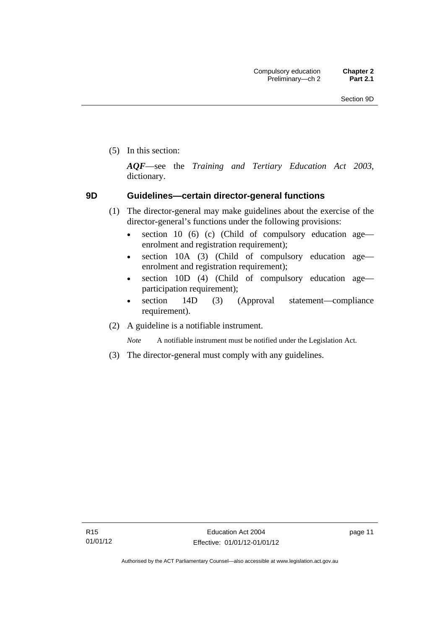(5) In this section:

*AQF*—see the *Training and Tertiary Education Act 2003*, dictionary.

### <span id="page-22-0"></span>**9D Guidelines—certain director-general functions**

- (1) The director-general may make guidelines about the exercise of the director-general's functions under the following provisions:
	- $\bullet$  section 10 (6) (c) (Child of compulsory education age enrolment and registration requirement);
	- section 10A (3) (Child of compulsory education age enrolment and registration requirement);
	- section 10D (4) (Child of compulsory education age participation requirement);
	- section 14D (3) (Approval statement—compliance requirement).
- (2) A guideline is a notifiable instrument.

*Note* A notifiable instrument must be notified under the Legislation Act.

(3) The director-general must comply with any guidelines.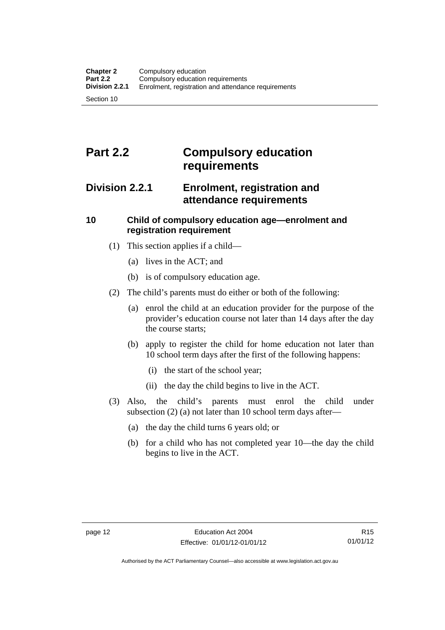### <span id="page-23-0"></span>**Part 2.2 Compulsory education requirements**

### <span id="page-23-1"></span>**Division 2.2.1 Enrolment, registration and attendance requirements**

### <span id="page-23-2"></span>**10 Child of compulsory education age—enrolment and registration requirement**

- (1) This section applies if a child—
	- (a) lives in the ACT; and
	- (b) is of compulsory education age.
- (2) The child's parents must do either or both of the following:
	- (a) enrol the child at an education provider for the purpose of the provider's education course not later than 14 days after the day the course starts;
	- (b) apply to register the child for home education not later than 10 school term days after the first of the following happens:
		- (i) the start of the school year;
		- (ii) the day the child begins to live in the ACT.
- (3) Also, the child's parents must enrol the child under subsection (2) (a) not later than 10 school term days after—
	- (a) the day the child turns 6 years old; or
	- (b) for a child who has not completed year 10—the day the child begins to live in the ACT.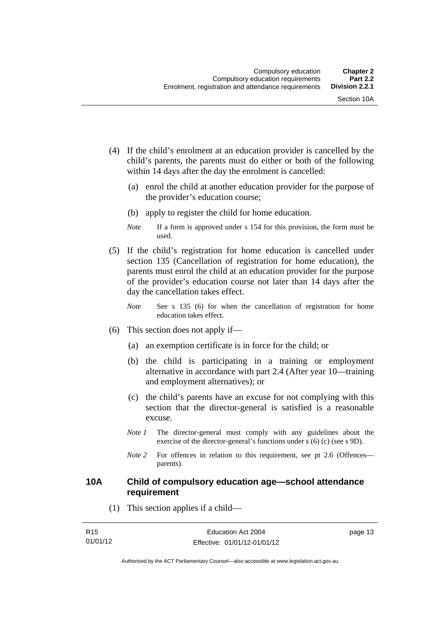- (4) If the child's enrolment at an education provider is cancelled by the child's parents, the parents must do either or both of the following within 14 days after the day the enrolment is cancelled:
	- (a) enrol the child at another education provider for the purpose of the provider's education course;
	- (b) apply to register the child for home education.
	- *Note* If a form is approved under s 154 for this provision, the form must be used.
- (5) If the child's registration for home education is cancelled under section 135 (Cancellation of registration for home education), the parents must enrol the child at an education provider for the purpose of the provider's education course not later than 14 days after the day the cancellation takes effect.
	- *Note* See s 135 (6) for when the cancellation of registration for home education takes effect.
- (6) This section does not apply if—
	- (a) an exemption certificate is in force for the child; or
	- (b) the child is participating in a training or employment alternative in accordance with part 2.4 (After year 10—training and employment alternatives); or
	- (c) the child's parents have an excuse for not complying with this section that the director-general is satisfied is a reasonable excuse.
	- *Note 1* The director-general must comply with any guidelines about the exercise of the director-general's functions under s (6) (c) (see s 9D).
	- *Note* 2 For offences in relation to this requirement, see pt 2.6 (Offences parents).

### <span id="page-24-0"></span>**10A Child of compulsory education age—school attendance requirement**

(1) This section applies if a child—

| R <sub>15</sub> | Education Act 2004           | page 13 |
|-----------------|------------------------------|---------|
| 01/01/12        | Effective: 01/01/12-01/01/12 |         |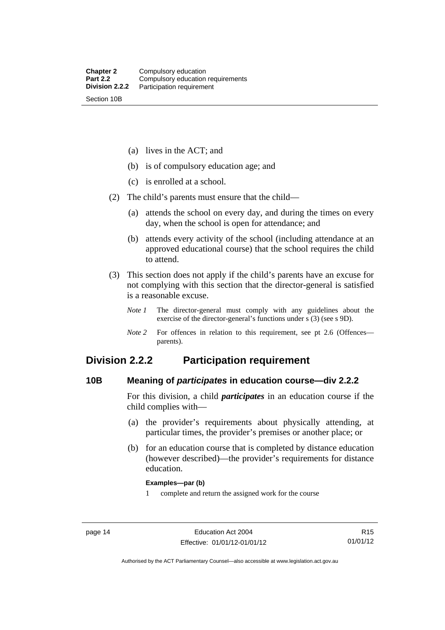(a) lives in the ACT; and

(b) is of compulsory education age; and

(c) is enrolled at a school.

(2) The child's parents must ensure that the child—

 (a) attends the school on every day, and during the times on every day, when the school is open for attendance; and

 (b) attends every activity of the school (including attendance at an approved educational course) that the school requires the child to attend.

 (3) This section does not apply if the child's parents have an excuse for not complying with this section that the director-general is satisfied is a reasonable excuse.

*Note 1* The director-general must comply with any guidelines about the exercise of the director-general's functions under s (3) (see s 9D).

*Note 2* For offences in relation to this requirement, see pt 2.6 (Offences parents).

### <span id="page-25-0"></span>**Division 2.2.2 Participation requirement**

### <span id="page-25-1"></span>**10B Meaning of** *participates* **in education course—div 2.2.2**

For this division, a child *participates* in an education course if the child complies with—

- (a) the provider's requirements about physically attending, at particular times, the provider's premises or another place; or
- (b) for an education course that is completed by distance education (however described)—the provider's requirements for distance education.

#### **Examples—par (b)**

1 complete and return the assigned work for the course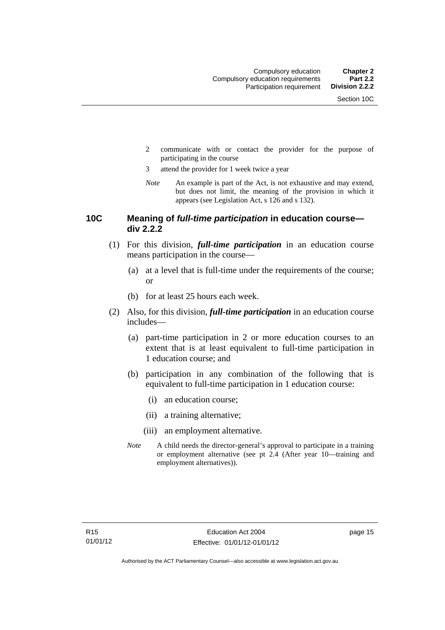- 2 communicate with or contact the provider for the purpose of participating in the course
- 3 attend the provider for 1 week twice a year
- *Note* An example is part of the Act, is not exhaustive and may extend, but does not limit, the meaning of the provision in which it appears (see Legislation Act, s 126 and s 132).

### <span id="page-26-0"></span>**10C Meaning of** *full-time participation* **in education course div 2.2.2**

- (1) For this division, *full-time participation* in an education course means participation in the course—
	- (a) at a level that is full-time under the requirements of the course; or
	- (b) for at least 25 hours each week.
- (2) Also, for this division, *full-time participation* in an education course includes—
	- (a) part-time participation in 2 or more education courses to an extent that is at least equivalent to full-time participation in 1 education course; and
	- (b) participation in any combination of the following that is equivalent to full-time participation in 1 education course:
		- (i) an education course;
		- (ii) a training alternative;
		- (iii) an employment alternative.
	- *Note* A child needs the director-general's approval to participate in a training or employment alternative (see pt 2.4 (After year 10—training and employment alternatives)).

page 15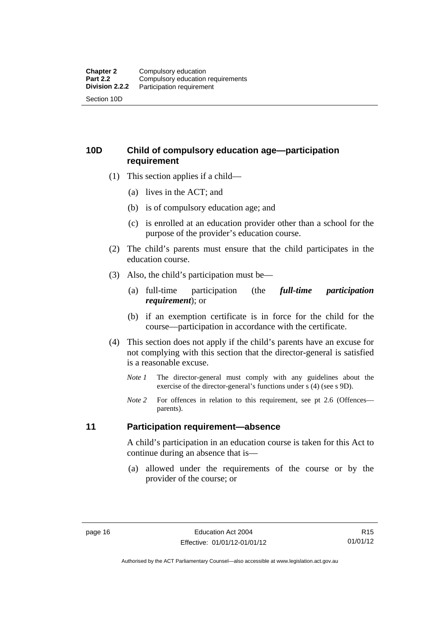### <span id="page-27-0"></span>**10D Child of compulsory education age—participation requirement**

- (1) This section applies if a child—
	- (a) lives in the ACT; and
	- (b) is of compulsory education age; and
	- (c) is enrolled at an education provider other than a school for the purpose of the provider's education course.
- (2) The child's parents must ensure that the child participates in the education course.
- (3) Also, the child's participation must be—
	- (a) full-time participation (the *full-time participation requirement*); or
	- (b) if an exemption certificate is in force for the child for the course—participation in accordance with the certificate.
- (4) This section does not apply if the child's parents have an excuse for not complying with this section that the director-general is satisfied is a reasonable excuse.
	- *Note 1* The director-general must comply with any guidelines about the exercise of the director-general's functions under s (4) (see s 9D).
	- *Note* 2 For offences in relation to this requirement, see pt 2.6 (Offences parents).

### <span id="page-27-1"></span>**11 Participation requirement—absence**

A child's participation in an education course is taken for this Act to continue during an absence that is—

 (a) allowed under the requirements of the course or by the provider of the course; or

R15 01/01/12

Authorised by the ACT Parliamentary Counsel—also accessible at www.legislation.act.gov.au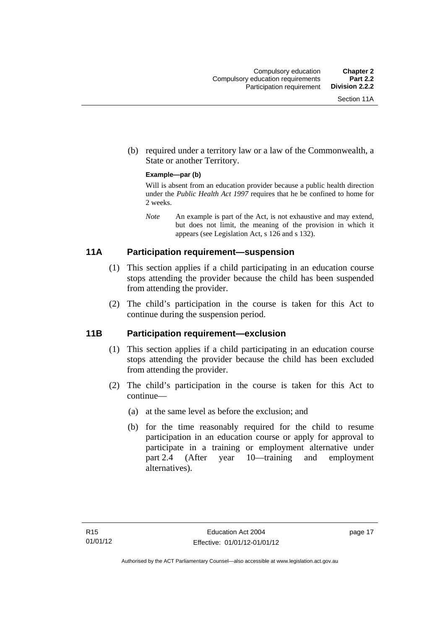(b) required under a territory law or a law of the Commonwealth, a State or another Territory.

#### **Example—par (b)**

Will is absent from an education provider because a public health direction under the *Public Health Act 1997* requires that he be confined to home for 2 weeks.

*Note* An example is part of the Act, is not exhaustive and may extend, but does not limit, the meaning of the provision in which it appears (see Legislation Act, s 126 and s 132).

### <span id="page-28-0"></span>**11A Participation requirement—suspension**

- (1) This section applies if a child participating in an education course stops attending the provider because the child has been suspended from attending the provider.
- (2) The child's participation in the course is taken for this Act to continue during the suspension period.

### <span id="page-28-1"></span>**11B Participation requirement—exclusion**

- (1) This section applies if a child participating in an education course stops attending the provider because the child has been excluded from attending the provider.
- (2) The child's participation in the course is taken for this Act to continue—
	- (a) at the same level as before the exclusion; and
	- (b) for the time reasonably required for the child to resume participation in an education course or apply for approval to participate in a training or employment alternative under part 2.4 (After year 10—training and employment alternatives).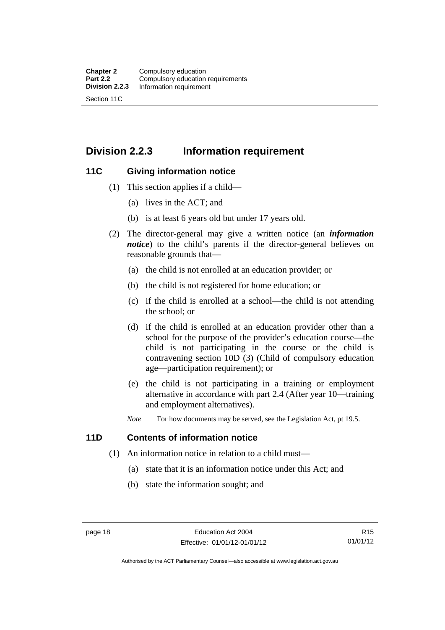### <span id="page-29-0"></span>**Division 2.2.3 Information requirement**

### <span id="page-29-1"></span>**11C Giving information notice**

- (1) This section applies if a child—
	- (a) lives in the ACT; and
	- (b) is at least 6 years old but under 17 years old.
- (2) The director-general may give a written notice (an *information notice*) to the child's parents if the director-general believes on reasonable grounds that—
	- (a) the child is not enrolled at an education provider; or
	- (b) the child is not registered for home education; or
	- (c) if the child is enrolled at a school—the child is not attending the school; or
	- (d) if the child is enrolled at an education provider other than a school for the purpose of the provider's education course—the child is not participating in the course or the child is contravening section 10D (3) (Child of compulsory education age—participation requirement); or
	- (e) the child is not participating in a training or employment alternative in accordance with part 2.4 (After year 10—training and employment alternatives).
	- *Note* For how documents may be served, see the Legislation Act, pt 19.5.

### <span id="page-29-2"></span>**11D Contents of information notice**

- (1) An information notice in relation to a child must—
	- (a) state that it is an information notice under this Act; and
	- (b) state the information sought; and

Authorised by the ACT Parliamentary Counsel—also accessible at www.legislation.act.gov.au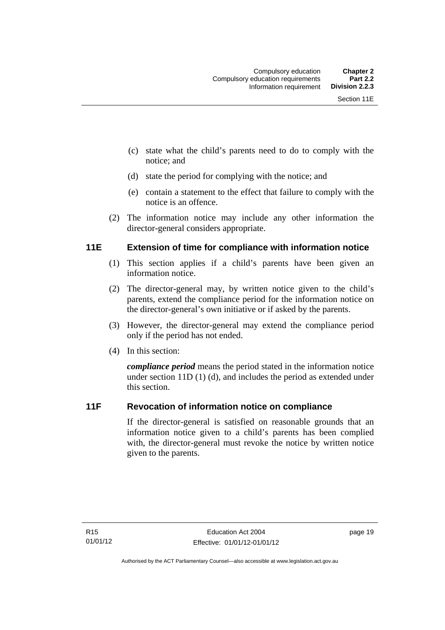- (c) state what the child's parents need to do to comply with the notice; and
- (d) state the period for complying with the notice; and
- (e) contain a statement to the effect that failure to comply with the notice is an offence.
- (2) The information notice may include any other information the director-general considers appropriate.

### <span id="page-30-0"></span>**11E Extension of time for compliance with information notice**

- (1) This section applies if a child's parents have been given an information notice.
- (2) The director-general may, by written notice given to the child's parents, extend the compliance period for the information notice on the director-general's own initiative or if asked by the parents.
- (3) However, the director-general may extend the compliance period only if the period has not ended.
- (4) In this section:

*compliance period* means the period stated in the information notice under section 11D (1) (d), and includes the period as extended under this section.

### <span id="page-30-1"></span>**11F Revocation of information notice on compliance**

If the director-general is satisfied on reasonable grounds that an information notice given to a child's parents has been complied with, the director-general must revoke the notice by written notice given to the parents.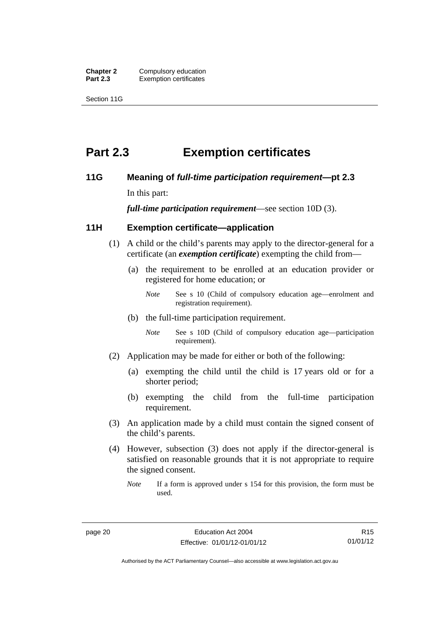**Chapter 2 Compulsory education**<br>**Part 2.3 Exemption certificates Exemption certificates** 

Section 11G

### <span id="page-31-0"></span>**Part 2.3 Exemption certificates**

### <span id="page-31-1"></span>**11G Meaning of** *full-time participation requirement***—pt 2.3**

In this part:

*full-time participation requirement*—see section 10D (3).

### <span id="page-31-2"></span>**11H Exemption certificate—application**

- (1) A child or the child's parents may apply to the director-general for a certificate (an *exemption certificate*) exempting the child from—
	- (a) the requirement to be enrolled at an education provider or registered for home education; or
		- *Note* See s 10 (Child of compulsory education age—enrolment and registration requirement).
	- (b) the full-time participation requirement.
		- *Note* See s 10D (Child of compulsory education age—participation requirement).
- (2) Application may be made for either or both of the following:
	- (a) exempting the child until the child is 17 years old or for a shorter period;
	- (b) exempting the child from the full-time participation requirement.
- (3) An application made by a child must contain the signed consent of the child's parents.
- (4) However, subsection (3) does not apply if the director-general is satisfied on reasonable grounds that it is not appropriate to require the signed consent.
	- *Note* If a form is approved under s 154 for this provision, the form must be used.

R15 01/01/12

Authorised by the ACT Parliamentary Counsel—also accessible at www.legislation.act.gov.au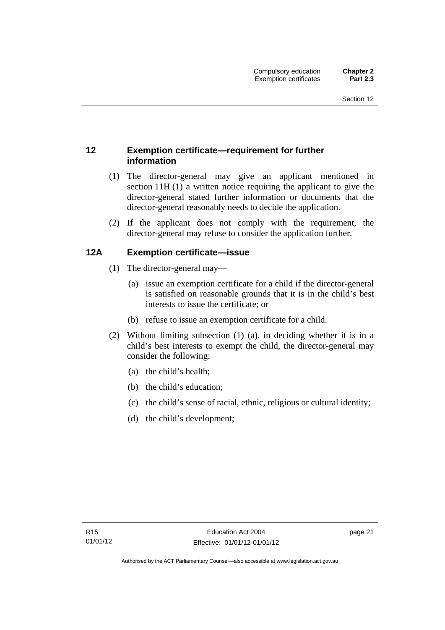### <span id="page-32-0"></span>**12 Exemption certificate—requirement for further information**

- (1) The director-general may give an applicant mentioned in section 11H (1) a written notice requiring the applicant to give the director-general stated further information or documents that the director-general reasonably needs to decide the application.
- (2) If the applicant does not comply with the requirement, the director-general may refuse to consider the application further.

### <span id="page-32-1"></span>**12A Exemption certificate—issue**

- (1) The director-general may—
	- (a) issue an exemption certificate for a child if the director-general is satisfied on reasonable grounds that it is in the child's best interests to issue the certificate; or
	- (b) refuse to issue an exemption certificate for a child.
- (2) Without limiting subsection (1) (a), in deciding whether it is in a child's best interests to exempt the child, the director-general may consider the following:
	- (a) the child's health;
	- (b) the child's education;
	- (c) the child's sense of racial, ethnic, religious or cultural identity;
	- (d) the child's development;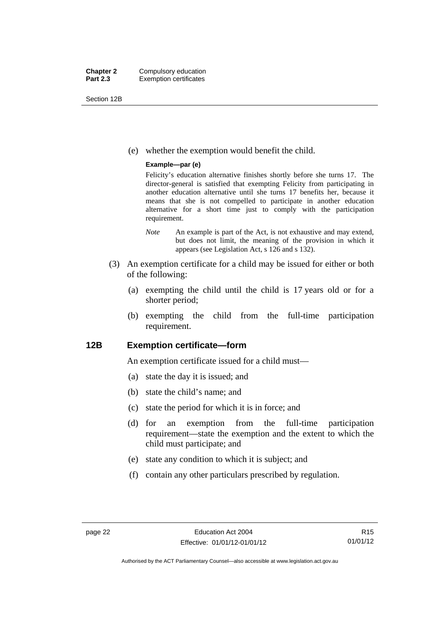Section 12B

(e) whether the exemption would benefit the child.

#### **Example—par (e)**

Felicity's education alternative finishes shortly before she turns 17. The director-general is satisfied that exempting Felicity from participating in another education alternative until she turns 17 benefits her, because it means that she is not compelled to participate in another education alternative for a short time just to comply with the participation requirement.

- *Note* An example is part of the Act, is not exhaustive and may extend, but does not limit, the meaning of the provision in which it appears (see Legislation Act, s 126 and s 132).
- (3) An exemption certificate for a child may be issued for either or both of the following:
	- (a) exempting the child until the child is 17 years old or for a shorter period;
	- (b) exempting the child from the full-time participation requirement.

### <span id="page-33-0"></span>**12B Exemption certificate—form**

An exemption certificate issued for a child must—

- (a) state the day it is issued; and
- (b) state the child's name; and
- (c) state the period for which it is in force; and
- (d) for an exemption from the full-time participation requirement—state the exemption and the extent to which the child must participate; and
- (e) state any condition to which it is subject; and
- (f) contain any other particulars prescribed by regulation.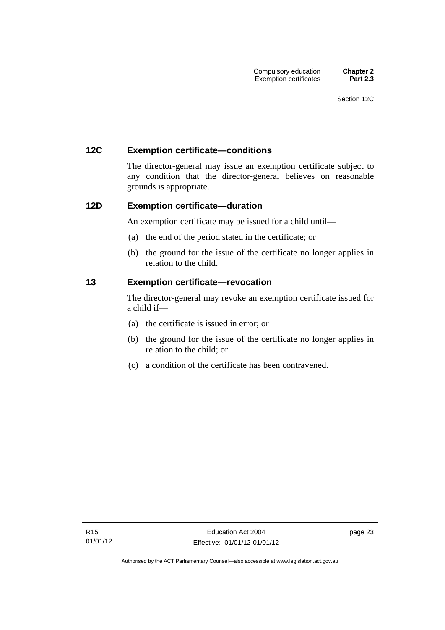### <span id="page-34-0"></span>**12C Exemption certificate—conditions**

The director-general may issue an exemption certificate subject to any condition that the director-general believes on reasonable grounds is appropriate.

### <span id="page-34-1"></span>**12D Exemption certificate—duration**

An exemption certificate may be issued for a child until—

- (a) the end of the period stated in the certificate; or
- (b) the ground for the issue of the certificate no longer applies in relation to the child.

### <span id="page-34-2"></span>**13 Exemption certificate—revocation**

The director-general may revoke an exemption certificate issued for a child if—

- (a) the certificate is issued in error; or
- (b) the ground for the issue of the certificate no longer applies in relation to the child; or
- (c) a condition of the certificate has been contravened.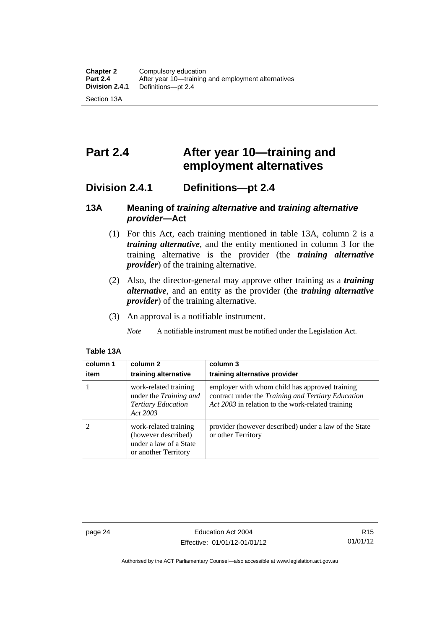### <span id="page-35-0"></span>**Part 2.4 After year 10—training and employment alternatives**

### <span id="page-35-1"></span>**Division 2.4.1 Definitions—pt 2.4**

### <span id="page-35-2"></span>**13A Meaning of** *training alternative* **and** *training alternative provider***—Act**

- (1) For this Act, each training mentioned in table 13A, column 2 is a *training alternative*, and the entity mentioned in column 3 for the training alternative is the provider (the *training alternative provider*) of the training alternative.
- (2) Also, the director-general may approve other training as a *training alternative*, and an entity as the provider (the *training alternative provider*) of the training alternative.
- (3) An approval is a notifiable instrument.

*Note* A notifiable instrument must be notified under the Legislation Act.

### **Table 13A**

| column 1<br>item | column 2<br>training alternative                                                               | column 3<br>training alternative provider                                                                                                                 |
|------------------|------------------------------------------------------------------------------------------------|-----------------------------------------------------------------------------------------------------------------------------------------------------------|
|                  | work-related training<br>under the Training and<br><b>Tertiary Education</b><br>Act 2003       | employer with whom child has approved training<br>contract under the Training and Tertiary Education<br>Act 2003 in relation to the work-related training |
|                  | work-related training<br>(however described)<br>under a law of a State<br>or another Territory | provider (however described) under a law of the State<br>or other Territory                                                                               |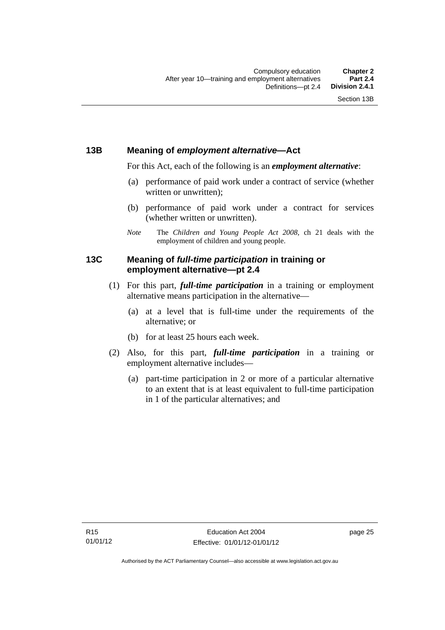### **13B Meaning of** *employment alternative***—Act**

For this Act, each of the following is an *employment alternative*:

- (a) performance of paid work under a contract of service (whether written or unwritten);
- (b) performance of paid work under a contract for services (whether written or unwritten).
- *Note* The *Children and Young People Act 2008*, ch 21 deals with the employment of children and young people.

### **13C Meaning of** *full-time participation* **in training or employment alternative—pt 2.4**

- (1) For this part, *full-time participation* in a training or employment alternative means participation in the alternative—
	- (a) at a level that is full-time under the requirements of the alternative; or
	- (b) for at least 25 hours each week.
- (2) Also, for this part, *full-time participation* in a training or employment alternative includes—
	- (a) part-time participation in 2 or more of a particular alternative to an extent that is at least equivalent to full-time participation in 1 of the particular alternatives; and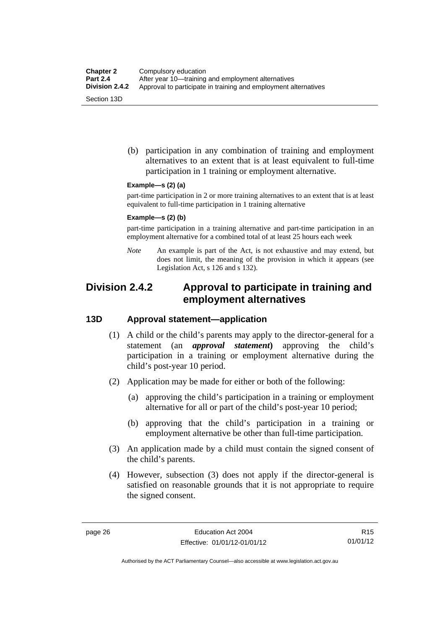(b) participation in any combination of training and employment alternatives to an extent that is at least equivalent to full-time participation in 1 training or employment alternative.

#### **Example—s (2) (a)**

part-time participation in 2 or more training alternatives to an extent that is at least equivalent to full-time participation in 1 training alternative

#### **Example—s (2) (b)**

part-time participation in a training alternative and part-time participation in an employment alternative for a combined total of at least 25 hours each week

*Note* An example is part of the Act, is not exhaustive and may extend, but does not limit, the meaning of the provision in which it appears (see Legislation Act, s 126 and s 132).

## **Division 2.4.2 Approval to participate in training and employment alternatives**

### **13D Approval statement—application**

- (1) A child or the child's parents may apply to the director-general for a statement (an *approval statement***)** approving the child's participation in a training or employment alternative during the child's post-year 10 period.
- (2) Application may be made for either or both of the following:
	- (a) approving the child's participation in a training or employment alternative for all or part of the child's post-year 10 period;
	- (b) approving that the child's participation in a training or employment alternative be other than full-time participation.
- (3) An application made by a child must contain the signed consent of the child's parents.
- (4) However, subsection (3) does not apply if the director-general is satisfied on reasonable grounds that it is not appropriate to require the signed consent.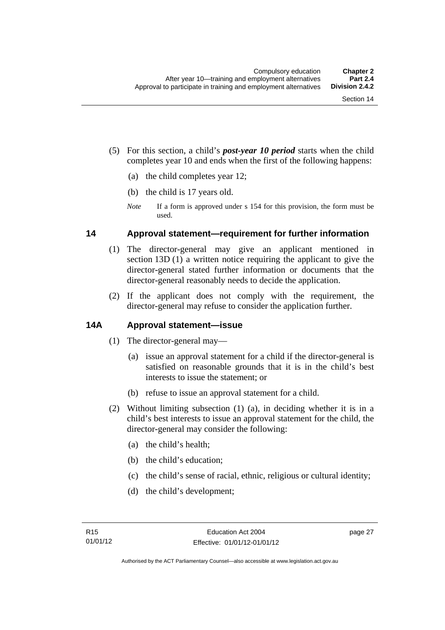- (5) For this section, a child's *post-year 10 period* starts when the child completes year 10 and ends when the first of the following happens:
	- (a) the child completes year 12;
	- (b) the child is 17 years old.
	- *Note* If a form is approved under s 154 for this provision, the form must be used.

### **14 Approval statement—requirement for further information**

- (1) The director-general may give an applicant mentioned in section 13D (1) a written notice requiring the applicant to give the director-general stated further information or documents that the director-general reasonably needs to decide the application.
- (2) If the applicant does not comply with the requirement, the director-general may refuse to consider the application further.

### **14A Approval statement—issue**

- (1) The director-general may—
	- (a) issue an approval statement for a child if the director-general is satisfied on reasonable grounds that it is in the child's best interests to issue the statement; or
	- (b) refuse to issue an approval statement for a child.
- (2) Without limiting subsection (1) (a), in deciding whether it is in a child's best interests to issue an approval statement for the child, the director-general may consider the following:
	- (a) the child's health;
	- (b) the child's education;
	- (c) the child's sense of racial, ethnic, religious or cultural identity;
	- (d) the child's development;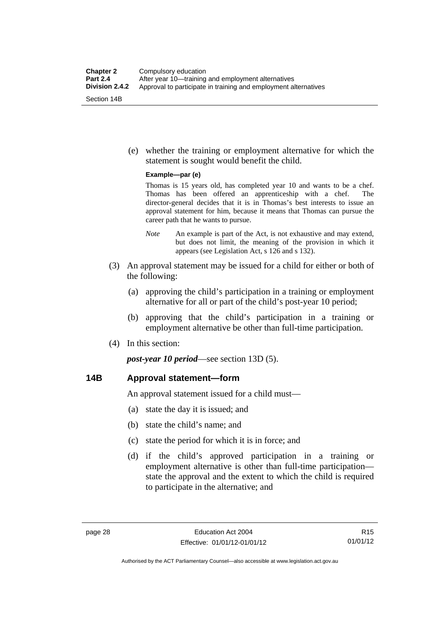(e) whether the training or employment alternative for which the statement is sought would benefit the child.

#### **Example—par (e)**

Thomas is 15 years old, has completed year 10 and wants to be a chef. Thomas has been offered an apprenticeship with a chef. The director-general decides that it is in Thomas's best interests to issue an approval statement for him, because it means that Thomas can pursue the career path that he wants to pursue.

- *Note* An example is part of the Act, is not exhaustive and may extend, but does not limit, the meaning of the provision in which it appears (see Legislation Act, s 126 and s 132).
- (3) An approval statement may be issued for a child for either or both of the following:
	- (a) approving the child's participation in a training or employment alternative for all or part of the child's post-year 10 period;
	- (b) approving that the child's participation in a training or employment alternative be other than full-time participation.
- (4) In this section:

*post-year 10 period*—see section 13D (5).

### **14B Approval statement—form**

An approval statement issued for a child must—

- (a) state the day it is issued; and
- (b) state the child's name; and
- (c) state the period for which it is in force; and
- (d) if the child's approved participation in a training or employment alternative is other than full-time participation state the approval and the extent to which the child is required to participate in the alternative; and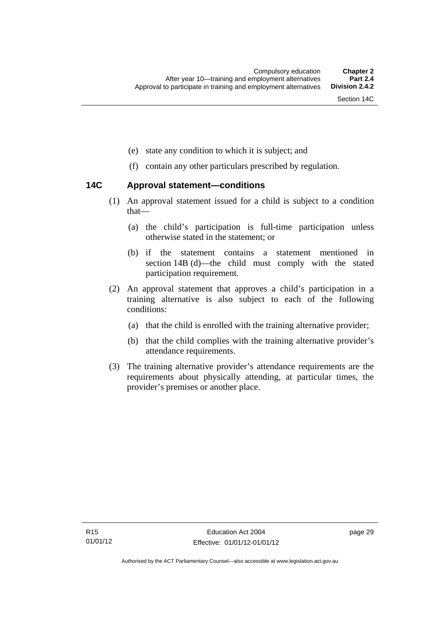- (e) state any condition to which it is subject; and
- (f) contain any other particulars prescribed by regulation.

### **14C Approval statement—conditions**

- (1) An approval statement issued for a child is subject to a condition that—
	- (a) the child's participation is full-time participation unless otherwise stated in the statement; or
	- (b) if the statement contains a statement mentioned in section 14B (d)—the child must comply with the stated participation requirement.
- (2) An approval statement that approves a child's participation in a training alternative is also subject to each of the following conditions:
	- (a) that the child is enrolled with the training alternative provider;
	- (b) that the child complies with the training alternative provider's attendance requirements.
- (3) The training alternative provider's attendance requirements are the requirements about physically attending, at particular times, the provider's premises or another place.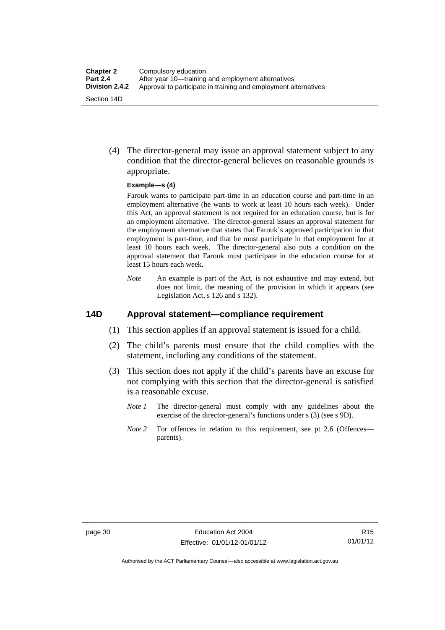(4) The director-general may issue an approval statement subject to any condition that the director-general believes on reasonable grounds is appropriate.

#### **Example—s (4)**

Farouk wants to participate part-time in an education course and part-time in an employment alternative (he wants to work at least 10 hours each week). Under this Act, an approval statement is not required for an education course, but is for an employment alternative. The director-general issues an approval statement for the employment alternative that states that Farouk's approved participation in that employment is part-time, and that he must participate in that employment for at least 10 hours each week. The director-general also puts a condition on the approval statement that Farouk must participate in the education course for at least 15 hours each week.

*Note* An example is part of the Act, is not exhaustive and may extend, but does not limit, the meaning of the provision in which it appears (see Legislation Act, s 126 and s 132).

### **14D Approval statement—compliance requirement**

- (1) This section applies if an approval statement is issued for a child.
- (2) The child's parents must ensure that the child complies with the statement, including any conditions of the statement.
- (3) This section does not apply if the child's parents have an excuse for not complying with this section that the director-general is satisfied is a reasonable excuse.
	- *Note 1* The director-general must comply with any guidelines about the exercise of the director-general's functions under s (3) (see s 9D).
	- *Note 2* For offences in relation to this requirement, see pt 2.6 (Offences parents).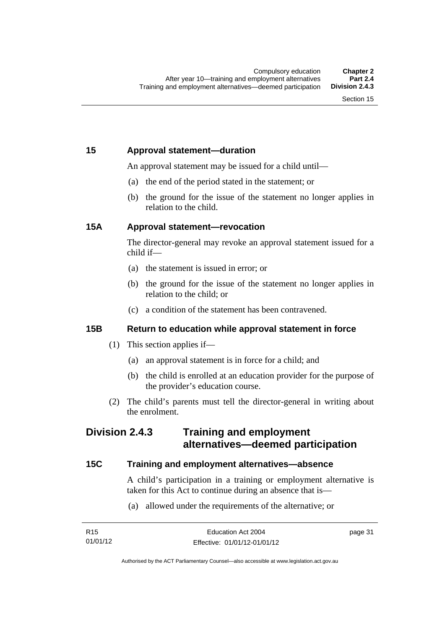## **15 Approval statement—duration**

An approval statement may be issued for a child until—

- (a) the end of the period stated in the statement; or
- (b) the ground for the issue of the statement no longer applies in relation to the child.

### **15A Approval statement—revocation**

The director-general may revoke an approval statement issued for a child if—

- (a) the statement is issued in error; or
- (b) the ground for the issue of the statement no longer applies in relation to the child; or
- (c) a condition of the statement has been contravened.

### **15B Return to education while approval statement in force**

- (1) This section applies if—
	- (a) an approval statement is in force for a child; and
	- (b) the child is enrolled at an education provider for the purpose of the provider's education course.
- (2) The child's parents must tell the director-general in writing about the enrolment.

## **Division 2.4.3 Training and employment alternatives—deemed participation**

### **15C Training and employment alternatives—absence**

A child's participation in a training or employment alternative is taken for this Act to continue during an absence that is—

(a) allowed under the requirements of the alternative; or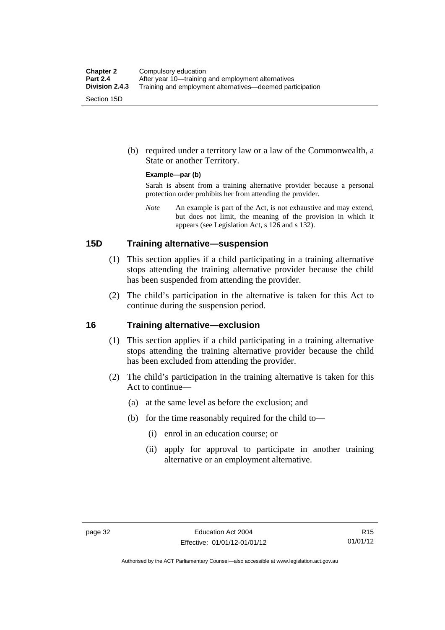(b) required under a territory law or a law of the Commonwealth, a State or another Territory.

#### **Example—par (b)**

Sarah is absent from a training alternative provider because a personal protection order prohibits her from attending the provider.

*Note* An example is part of the Act, is not exhaustive and may extend, but does not limit, the meaning of the provision in which it appears (see Legislation Act, s 126 and s 132).

### **15D Training alternative—suspension**

- (1) This section applies if a child participating in a training alternative stops attending the training alternative provider because the child has been suspended from attending the provider.
- (2) The child's participation in the alternative is taken for this Act to continue during the suspension period.

#### **16 Training alternative—exclusion**

- (1) This section applies if a child participating in a training alternative stops attending the training alternative provider because the child has been excluded from attending the provider.
- (2) The child's participation in the training alternative is taken for this Act to continue—
	- (a) at the same level as before the exclusion; and
	- (b) for the time reasonably required for the child to—
		- (i) enrol in an education course; or
		- (ii) apply for approval to participate in another training alternative or an employment alternative.

Authorised by the ACT Parliamentary Counsel—also accessible at www.legislation.act.gov.au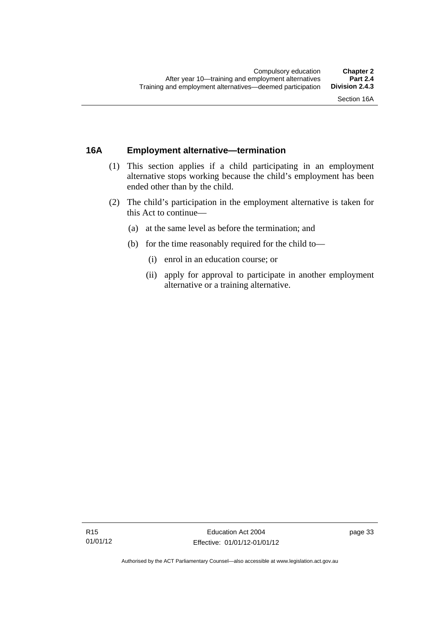### **16A Employment alternative—termination**

- (1) This section applies if a child participating in an employment alternative stops working because the child's employment has been ended other than by the child.
- (2) The child's participation in the employment alternative is taken for this Act to continue—
	- (a) at the same level as before the termination; and
	- (b) for the time reasonably required for the child to—
		- (i) enrol in an education course; or
		- (ii) apply for approval to participate in another employment alternative or a training alternative.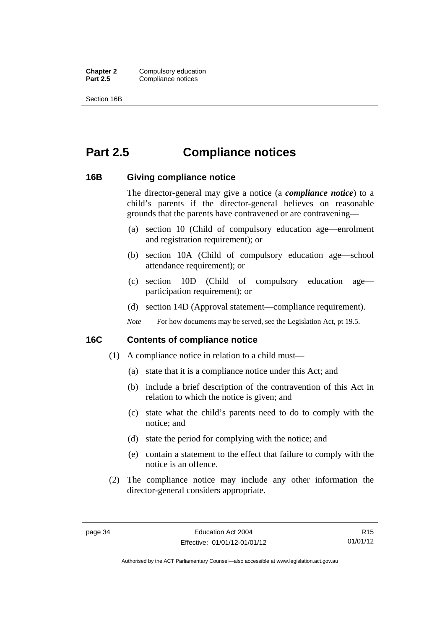**Chapter 2** Compulsory education<br>**Part 2.5** Compliance notices **Compliance notices** 

Section 16B

# **Part 2.5 Compliance notices**

### **16B Giving compliance notice**

The director-general may give a notice (a *compliance notice*) to a child's parents if the director-general believes on reasonable grounds that the parents have contravened or are contravening—

- (a) section 10 (Child of compulsory education age—enrolment and registration requirement); or
- (b) section 10A (Child of compulsory education age—school attendance requirement); or
- (c) section 10D (Child of compulsory education age participation requirement); or
- (d) section 14D (Approval statement—compliance requirement).
- *Note* For how documents may be served, see the Legislation Act, pt 19.5.

### **16C Contents of compliance notice**

- (1) A compliance notice in relation to a child must—
	- (a) state that it is a compliance notice under this Act; and
	- (b) include a brief description of the contravention of this Act in relation to which the notice is given; and
	- (c) state what the child's parents need to do to comply with the notice; and
	- (d) state the period for complying with the notice; and
	- (e) contain a statement to the effect that failure to comply with the notice is an offence.
- (2) The compliance notice may include any other information the director-general considers appropriate.

R15 01/01/12

Authorised by the ACT Parliamentary Counsel—also accessible at www.legislation.act.gov.au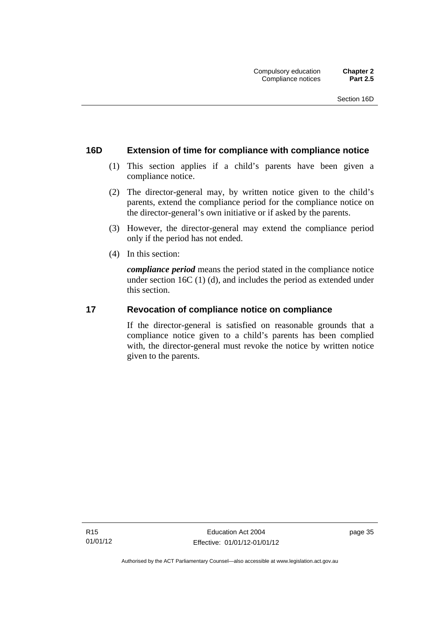### **16D Extension of time for compliance with compliance notice**

- (1) This section applies if a child's parents have been given a compliance notice.
- (2) The director-general may, by written notice given to the child's parents, extend the compliance period for the compliance notice on the director-general's own initiative or if asked by the parents.
- (3) However, the director-general may extend the compliance period only if the period has not ended.
- (4) In this section:

*compliance period* means the period stated in the compliance notice under section 16C (1) (d), and includes the period as extended under this section.

### **17 Revocation of compliance notice on compliance**

If the director-general is satisfied on reasonable grounds that a compliance notice given to a child's parents has been complied with, the director-general must revoke the notice by written notice given to the parents.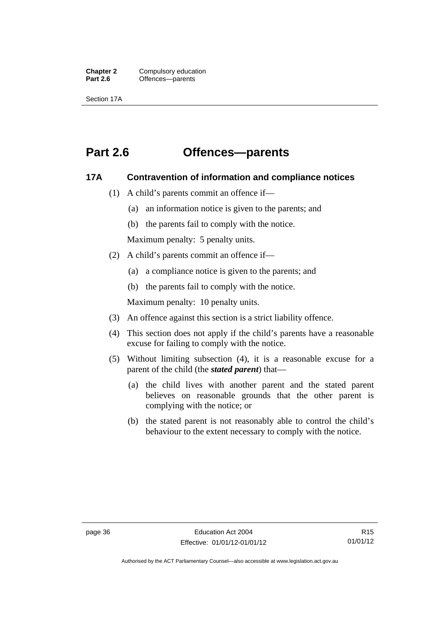**Chapter 2** Compulsory education<br>**Part 2.6 C** Offences—parents Offences—parents

Section 17A

# **Part 2.6 Offences—parents**

### **17A Contravention of information and compliance notices**

- (1) A child's parents commit an offence if—
	- (a) an information notice is given to the parents; and
	- (b) the parents fail to comply with the notice.

Maximum penalty: 5 penalty units.

- (2) A child's parents commit an offence if—
	- (a) a compliance notice is given to the parents; and
	- (b) the parents fail to comply with the notice.

Maximum penalty: 10 penalty units.

- (3) An offence against this section is a strict liability offence.
- (4) This section does not apply if the child's parents have a reasonable excuse for failing to comply with the notice.
- (5) Without limiting subsection (4), it is a reasonable excuse for a parent of the child (the *stated parent*) that—
	- (a) the child lives with another parent and the stated parent believes on reasonable grounds that the other parent is complying with the notice; or
	- (b) the stated parent is not reasonably able to control the child's behaviour to the extent necessary to comply with the notice.

Authorised by the ACT Parliamentary Counsel—also accessible at www.legislation.act.gov.au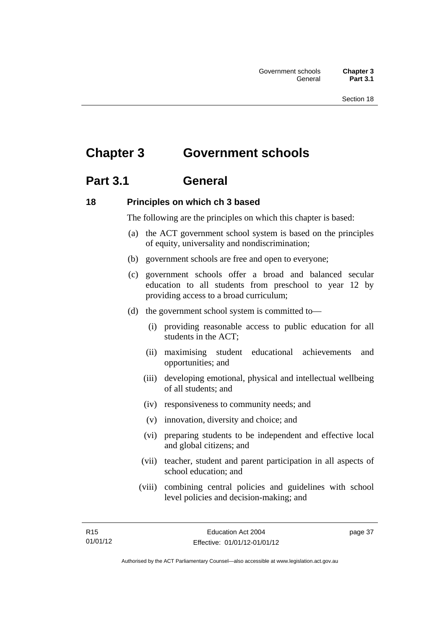# **Chapter 3 Government schools**

# **Part 3.1 General**

### **18 Principles on which ch 3 based**

The following are the principles on which this chapter is based:

- (a) the ACT government school system is based on the principles of equity, universality and nondiscrimination;
- (b) government schools are free and open to everyone;
- (c) government schools offer a broad and balanced secular education to all students from preschool to year 12 by providing access to a broad curriculum;
- (d) the government school system is committed to—
	- (i) providing reasonable access to public education for all students in the ACT;
	- (ii) maximising student educational achievements and opportunities; and
	- (iii) developing emotional, physical and intellectual wellbeing of all students; and
	- (iv) responsiveness to community needs; and
	- (v) innovation, diversity and choice; and
	- (vi) preparing students to be independent and effective local and global citizens; and
	- (vii) teacher, student and parent participation in all aspects of school education; and
	- (viii) combining central policies and guidelines with school level policies and decision-making; and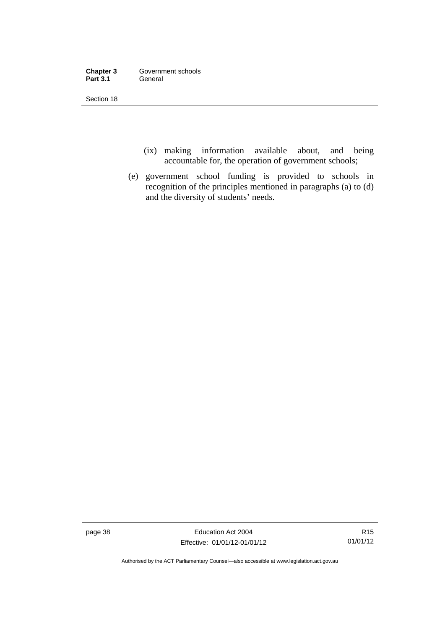| Chapter 3       | Government schools |
|-----------------|--------------------|
| <b>Part 3.1</b> | General            |

Section 18

- (ix) making information available about, and being accountable for, the operation of government schools;
- (e) government school funding is provided to schools in recognition of the principles mentioned in paragraphs (a) to (d) and the diversity of students' needs.

page 38 Education Act 2004 Effective: 01/01/12-01/01/12

R15 01/01/12

Authorised by the ACT Parliamentary Counsel—also accessible at www.legislation.act.gov.au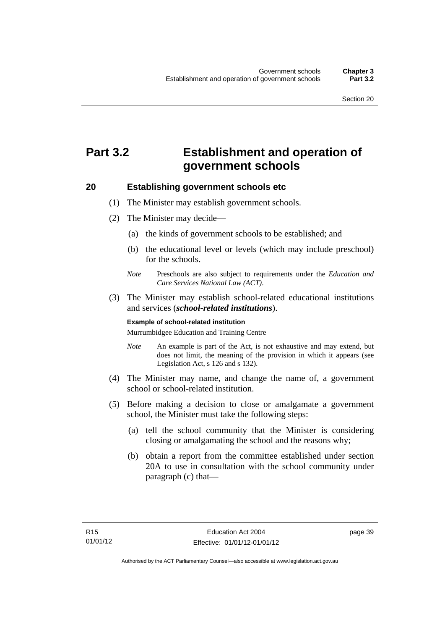# **Part 3.2 Establishment and operation of government schools**

### **20 Establishing government schools etc**

- (1) The Minister may establish government schools.
- (2) The Minister may decide—
	- (a) the kinds of government schools to be established; and
	- (b) the educational level or levels (which may include preschool) for the schools.
	- *Note* Preschools are also subject to requirements under the *Education and Care Services National Law (ACT)*.
- (3) The Minister may establish school-related educational institutions and services (*school-related institutions*).

#### **Example of school-related institution**

Murrumbidgee Education and Training Centre

- *Note* An example is part of the Act, is not exhaustive and may extend, but does not limit, the meaning of the provision in which it appears (see Legislation Act, s 126 and s 132).
- (4) The Minister may name, and change the name of, a government school or school-related institution.
- (5) Before making a decision to close or amalgamate a government school, the Minister must take the following steps:
	- (a) tell the school community that the Minister is considering closing or amalgamating the school and the reasons why;
	- (b) obtain a report from the committee established under section 20A to use in consultation with the school community under paragraph (c) that—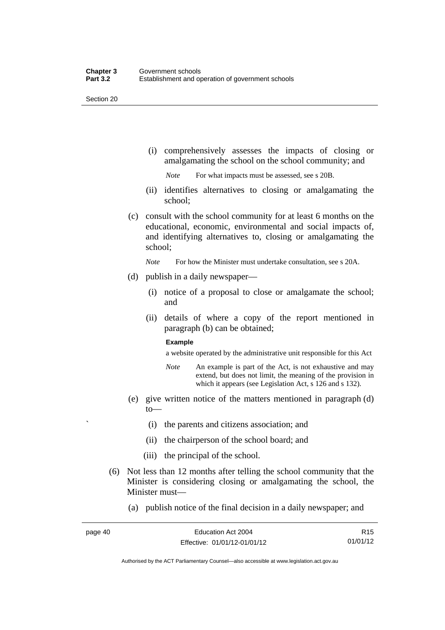Section 20

 (i) comprehensively assesses the impacts of closing or amalgamating the school on the school community; and

*Note* For what impacts must be assessed, see s 20B.

- (ii) identifies alternatives to closing or amalgamating the school;
- (c) consult with the school community for at least 6 months on the educational, economic, environmental and social impacts of, and identifying alternatives to, closing or amalgamating the school;

*Note* For how the Minister must undertake consultation, see s 20A.

- (d) publish in a daily newspaper—
	- (i) notice of a proposal to close or amalgamate the school; and
	- (ii) details of where a copy of the report mentioned in paragraph (b) can be obtained;

#### **Example**

a website operated by the administrative unit responsible for this Act

- *Note* An example is part of the Act, is not exhaustive and may extend, but does not limit, the meaning of the provision in which it appears (see Legislation Act, s 126 and s 132).
- (e) give written notice of the matters mentioned in paragraph (d) to—
	- ` (i) the parents and citizens association; and
	- (ii) the chairperson of the school board; and
	- (iii) the principal of the school.
- (6) Not less than 12 months after telling the school community that the Minister is considering closing or amalgamating the school, the Minister must—
	- (a) publish notice of the final decision in a daily newspaper; and

R15 01/01/12

Authorised by the ACT Parliamentary Counsel—also accessible at www.legislation.act.gov.au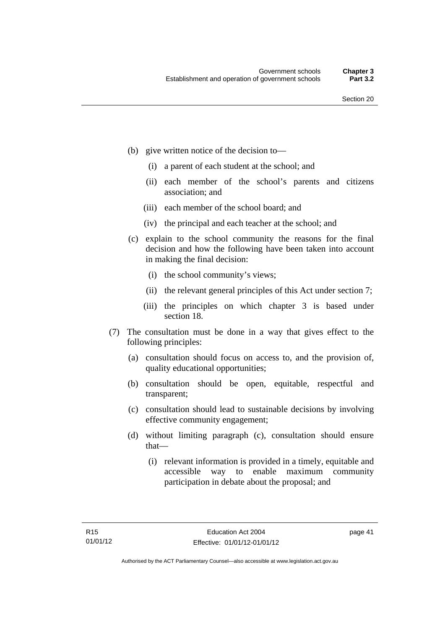- (b) give written notice of the decision to—
	- (i) a parent of each student at the school; and
	- (ii) each member of the school's parents and citizens association; and
	- (iii) each member of the school board; and
	- (iv) the principal and each teacher at the school; and
- (c) explain to the school community the reasons for the final decision and how the following have been taken into account in making the final decision:
	- (i) the school community's views;
	- (ii) the relevant general principles of this Act under section 7;
	- (iii) the principles on which chapter 3 is based under section 18.
- (7) The consultation must be done in a way that gives effect to the following principles:
	- (a) consultation should focus on access to, and the provision of, quality educational opportunities;
	- (b) consultation should be open, equitable, respectful and transparent;
	- (c) consultation should lead to sustainable decisions by involving effective community engagement;
	- (d) without limiting paragraph (c), consultation should ensure that—
		- (i) relevant information is provided in a timely, equitable and accessible way to enable maximum community participation in debate about the proposal; and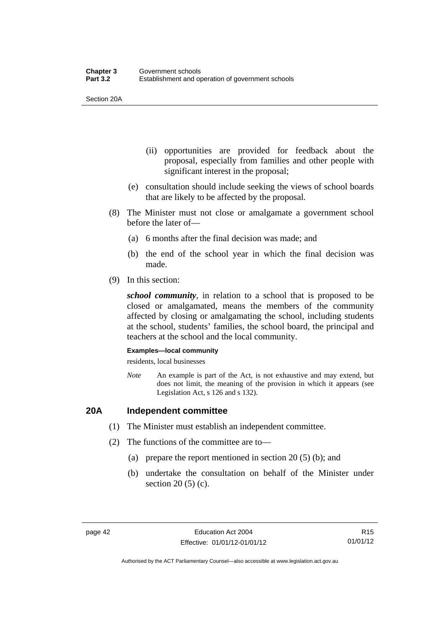Section 20A

- (ii) opportunities are provided for feedback about the proposal, especially from families and other people with significant interest in the proposal;
- (e) consultation should include seeking the views of school boards that are likely to be affected by the proposal.
- (8) The Minister must not close or amalgamate a government school before the later of—
	- (a) 6 months after the final decision was made; and
	- (b) the end of the school year in which the final decision was made.
- (9) In this section:

*school community*, in relation to a school that is proposed to be closed or amalgamated, means the members of the community affected by closing or amalgamating the school, including students at the school, students' families, the school board, the principal and teachers at the school and the local community.

#### **Examples—local community**

residents, local businesses

*Note* An example is part of the Act, is not exhaustive and may extend, but does not limit, the meaning of the provision in which it appears (see Legislation Act, s 126 and s 132).

### **20A Independent committee**

- (1) The Minister must establish an independent committee.
- (2) The functions of the committee are to—
	- (a) prepare the report mentioned in section 20 (5) (b); and
	- (b) undertake the consultation on behalf of the Minister under section 20 (5) (c).

Authorised by the ACT Parliamentary Counsel—also accessible at www.legislation.act.gov.au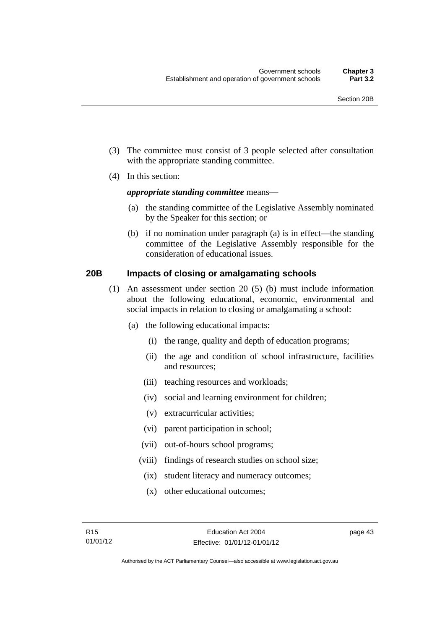- (3) The committee must consist of 3 people selected after consultation with the appropriate standing committee.
- (4) In this section:

### *appropriate standing committee* means—

- (a) the standing committee of the Legislative Assembly nominated by the Speaker for this section; or
- (b) if no nomination under paragraph (a) is in effect—the standing committee of the Legislative Assembly responsible for the consideration of educational issues.

### **20B Impacts of closing or amalgamating schools**

- (1) An assessment under section 20 (5) (b) must include information about the following educational, economic, environmental and social impacts in relation to closing or amalgamating a school:
	- (a) the following educational impacts:
		- (i) the range, quality and depth of education programs;
		- (ii) the age and condition of school infrastructure, facilities and resources;
		- (iii) teaching resources and workloads;
		- (iv) social and learning environment for children;
		- (v) extracurricular activities;
		- (vi) parent participation in school;
		- (vii) out-of-hours school programs;
		- (viii) findings of research studies on school size;
			- (ix) student literacy and numeracy outcomes;
			- (x) other educational outcomes;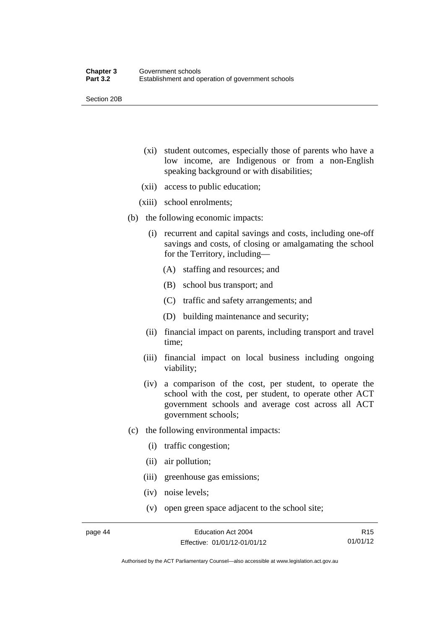Section 20B

- (xi) student outcomes, especially those of parents who have a low income, are Indigenous or from a non-English speaking background or with disabilities;
- (xii) access to public education;
- (xiii) school enrolments;
- (b) the following economic impacts:
	- (i) recurrent and capital savings and costs, including one-off savings and costs, of closing or amalgamating the school for the Territory, including—
		- (A) staffing and resources; and
		- (B) school bus transport; and
		- (C) traffic and safety arrangements; and
		- (D) building maintenance and security;
	- (ii) financial impact on parents, including transport and travel time;
	- (iii) financial impact on local business including ongoing viability;
	- (iv) a comparison of the cost, per student, to operate the school with the cost, per student, to operate other ACT government schools and average cost across all ACT government schools;
- (c) the following environmental impacts:
	- (i) traffic congestion;
	- (ii) air pollution;
	- (iii) greenhouse gas emissions;
	- (iv) noise levels;
	- (v) open green space adjacent to the school site;

R15 01/01/12

Authorised by the ACT Parliamentary Counsel—also accessible at www.legislation.act.gov.au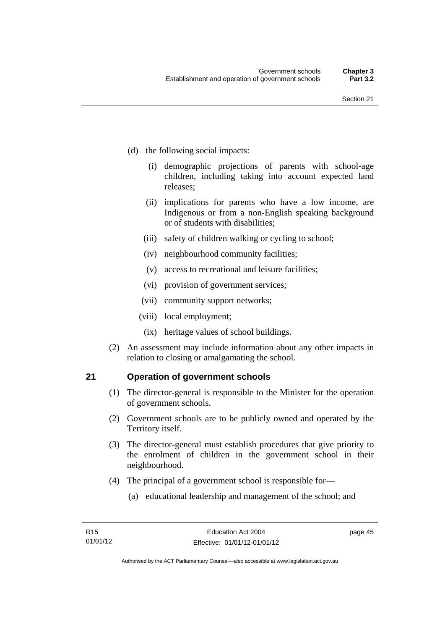- (d) the following social impacts:
	- (i) demographic projections of parents with school-age children, including taking into account expected land releases;
	- (ii) implications for parents who have a low income, are Indigenous or from a non-English speaking background or of students with disabilities;
	- (iii) safety of children walking or cycling to school;
	- (iv) neighbourhood community facilities;
	- (v) access to recreational and leisure facilities;
	- (vi) provision of government services;
	- (vii) community support networks;
	- (viii) local employment;
		- (ix) heritage values of school buildings.
- (2) An assessment may include information about any other impacts in relation to closing or amalgamating the school.

### **21 Operation of government schools**

- (1) The director-general is responsible to the Minister for the operation of government schools.
- (2) Government schools are to be publicly owned and operated by the Territory itself.
- (3) The director-general must establish procedures that give priority to the enrolment of children in the government school in their neighbourhood.
- (4) The principal of a government school is responsible for—
	- (a) educational leadership and management of the school; and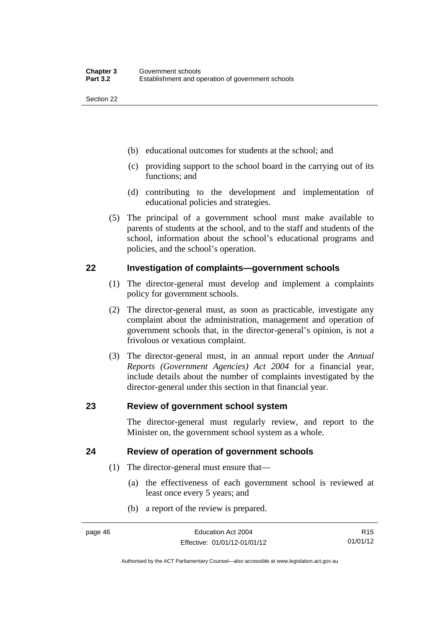Section 22

- (b) educational outcomes for students at the school; and
- (c) providing support to the school board in the carrying out of its functions; and
- (d) contributing to the development and implementation of educational policies and strategies.
- (5) The principal of a government school must make available to parents of students at the school, and to the staff and students of the school, information about the school's educational programs and policies, and the school's operation.

### **22 Investigation of complaints—government schools**

- (1) The director-general must develop and implement a complaints policy for government schools.
- (2) The director-general must, as soon as practicable, investigate any complaint about the administration, management and operation of government schools that, in the director-general's opinion, is not a frivolous or vexatious complaint.
- (3) The director-general must, in an annual report under the *Annual Reports (Government Agencies) Act 2004* for a financial year, include details about the number of complaints investigated by the director-general under this section in that financial year.

### **23 Review of government school system**

The director-general must regularly review, and report to the Minister on, the government school system as a whole.

### **24 Review of operation of government schools**

- (1) The director-general must ensure that—
	- (a) the effectiveness of each government school is reviewed at least once every 5 years; and
	- (b) a report of the review is prepared.

R15 01/01/12

Authorised by the ACT Parliamentary Counsel—also accessible at www.legislation.act.gov.au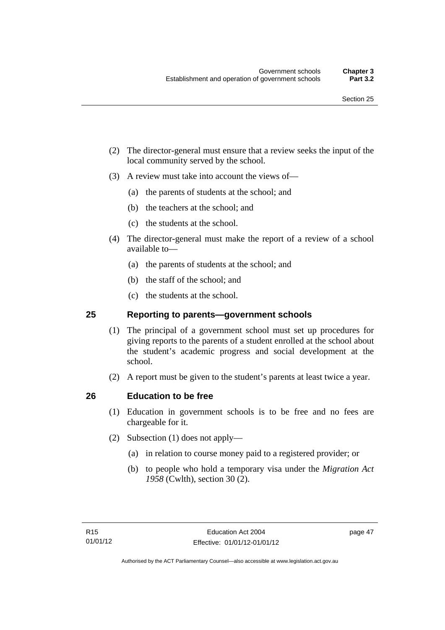- (2) The director-general must ensure that a review seeks the input of the local community served by the school.
- (3) A review must take into account the views of—
	- (a) the parents of students at the school; and
	- (b) the teachers at the school; and
	- (c) the students at the school.
- (4) The director-general must make the report of a review of a school available to—
	- (a) the parents of students at the school; and
	- (b) the staff of the school; and
	- (c) the students at the school.

### **25 Reporting to parents—government schools**

- (1) The principal of a government school must set up procedures for giving reports to the parents of a student enrolled at the school about the student's academic progress and social development at the school.
- (2) A report must be given to the student's parents at least twice a year.

### **26 Education to be free**

- (1) Education in government schools is to be free and no fees are chargeable for it.
- (2) Subsection (1) does not apply—
	- (a) in relation to course money paid to a registered provider; or
	- (b) to people who hold a temporary visa under the *Migration Act 1958* (Cwlth), section 30 (2).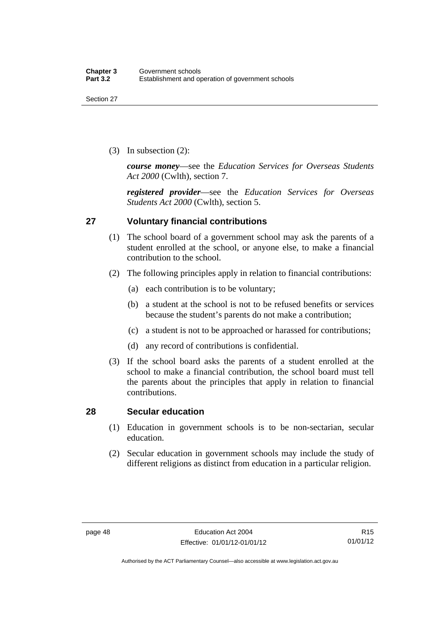(3) In subsection (2):

*course money*—see the *Education Services for Overseas Students Act 2000* (Cwlth), section 7.

*registered provider*—see the *Education Services for Overseas Students Act 2000* (Cwlth), section 5.

### **27 Voluntary financial contributions**

- (1) The school board of a government school may ask the parents of a student enrolled at the school, or anyone else, to make a financial contribution to the school.
- (2) The following principles apply in relation to financial contributions:
	- (a) each contribution is to be voluntary;
	- (b) a student at the school is not to be refused benefits or services because the student's parents do not make a contribution;
	- (c) a student is not to be approached or harassed for contributions;
	- (d) any record of contributions is confidential.
- (3) If the school board asks the parents of a student enrolled at the school to make a financial contribution, the school board must tell the parents about the principles that apply in relation to financial contributions.

### **28 Secular education**

- (1) Education in government schools is to be non-sectarian, secular education.
- (2) Secular education in government schools may include the study of different religions as distinct from education in a particular religion.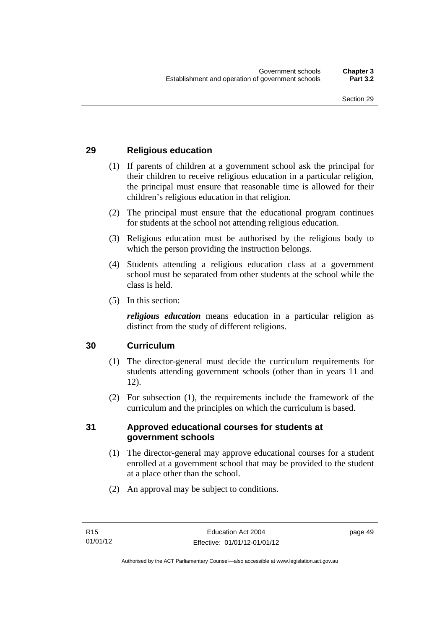### **29 Religious education**

- (1) If parents of children at a government school ask the principal for their children to receive religious education in a particular religion, the principal must ensure that reasonable time is allowed for their children's religious education in that religion.
- (2) The principal must ensure that the educational program continues for students at the school not attending religious education.
- (3) Religious education must be authorised by the religious body to which the person providing the instruction belongs.
- (4) Students attending a religious education class at a government school must be separated from other students at the school while the class is held.
- (5) In this section:

*religious education* means education in a particular religion as distinct from the study of different religions.

### **30 Curriculum**

- (1) The director-general must decide the curriculum requirements for students attending government schools (other than in years 11 and 12).
- (2) For subsection (1), the requirements include the framework of the curriculum and the principles on which the curriculum is based.

### **31 Approved educational courses for students at government schools**

- (1) The director-general may approve educational courses for a student enrolled at a government school that may be provided to the student at a place other than the school.
- (2) An approval may be subject to conditions.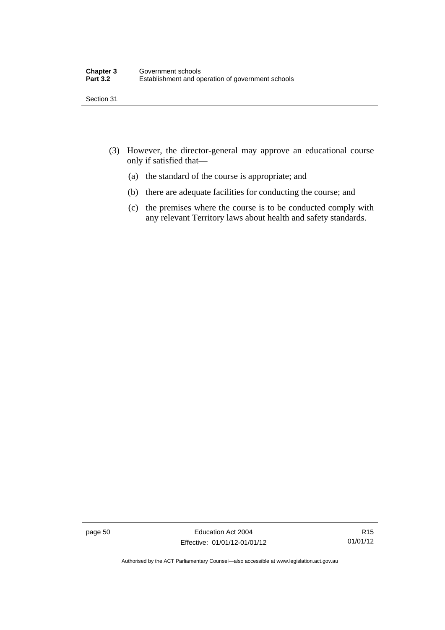Section 31

- (3) However, the director-general may approve an educational course only if satisfied that—
	- (a) the standard of the course is appropriate; and
	- (b) there are adequate facilities for conducting the course; and
	- (c) the premises where the course is to be conducted comply with any relevant Territory laws about health and safety standards.

page 50 Education Act 2004 Effective: 01/01/12-01/01/12

Authorised by the ACT Parliamentary Counsel—also accessible at www.legislation.act.gov.au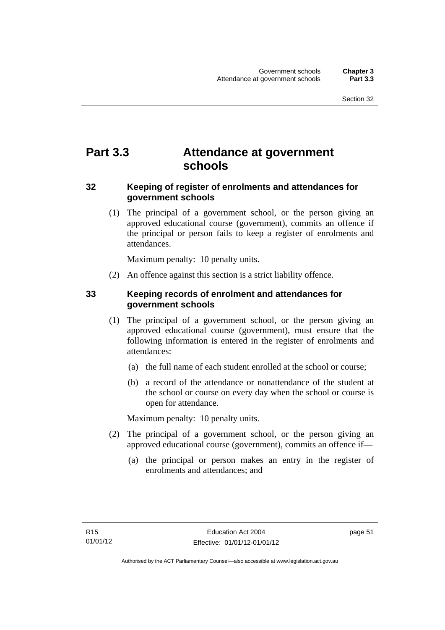# **Part 3.3 Attendance at government schools**

### **32 Keeping of register of enrolments and attendances for government schools**

 (1) The principal of a government school, or the person giving an approved educational course (government), commits an offence if the principal or person fails to keep a register of enrolments and attendances.

Maximum penalty: 10 penalty units.

(2) An offence against this section is a strict liability offence.

### **33 Keeping records of enrolment and attendances for government schools**

- (1) The principal of a government school, or the person giving an approved educational course (government), must ensure that the following information is entered in the register of enrolments and attendances:
	- (a) the full name of each student enrolled at the school or course;
	- (b) a record of the attendance or nonattendance of the student at the school or course on every day when the school or course is open for attendance.

Maximum penalty: 10 penalty units.

- (2) The principal of a government school, or the person giving an approved educational course (government), commits an offence if—
	- (a) the principal or person makes an entry in the register of enrolments and attendances; and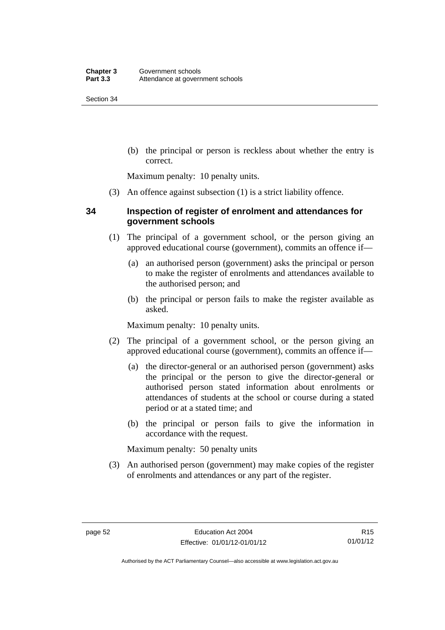Section 34

 (b) the principal or person is reckless about whether the entry is correct.

Maximum penalty: 10 penalty units.

(3) An offence against subsection (1) is a strict liability offence.

### **34 Inspection of register of enrolment and attendances for government schools**

- (1) The principal of a government school, or the person giving an approved educational course (government), commits an offence if—
	- (a) an authorised person (government) asks the principal or person to make the register of enrolments and attendances available to the authorised person; and
	- (b) the principal or person fails to make the register available as asked.

Maximum penalty: 10 penalty units.

- (2) The principal of a government school, or the person giving an approved educational course (government), commits an offence if—
	- (a) the director-general or an authorised person (government) asks the principal or the person to give the director-general or authorised person stated information about enrolments or attendances of students at the school or course during a stated period or at a stated time; and
	- (b) the principal or person fails to give the information in accordance with the request.

Maximum penalty: 50 penalty units

 (3) An authorised person (government) may make copies of the register of enrolments and attendances or any part of the register.

Authorised by the ACT Parliamentary Counsel—also accessible at www.legislation.act.gov.au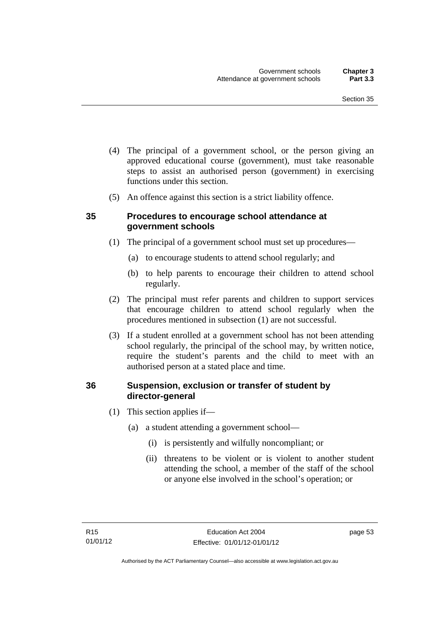- (4) The principal of a government school, or the person giving an approved educational course (government), must take reasonable steps to assist an authorised person (government) in exercising functions under this section.
- (5) An offence against this section is a strict liability offence.

### **35 Procedures to encourage school attendance at government schools**

- (1) The principal of a government school must set up procedures—
	- (a) to encourage students to attend school regularly; and
	- (b) to help parents to encourage their children to attend school regularly.
- (2) The principal must refer parents and children to support services that encourage children to attend school regularly when the procedures mentioned in subsection (1) are not successful.
- (3) If a student enrolled at a government school has not been attending school regularly, the principal of the school may, by written notice, require the student's parents and the child to meet with an authorised person at a stated place and time.

### **36 Suspension, exclusion or transfer of student by director-general**

- (1) This section applies if—
	- (a) a student attending a government school—
		- (i) is persistently and wilfully noncompliant; or
		- (ii) threatens to be violent or is violent to another student attending the school, a member of the staff of the school or anyone else involved in the school's operation; or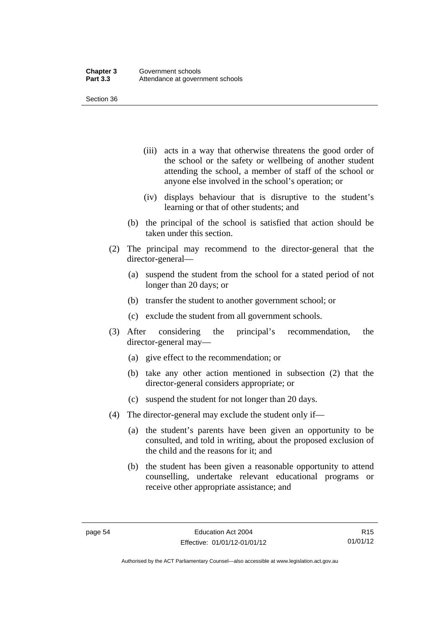Section 36

- (iii) acts in a way that otherwise threatens the good order of the school or the safety or wellbeing of another student attending the school, a member of staff of the school or anyone else involved in the school's operation; or
- (iv) displays behaviour that is disruptive to the student's learning or that of other students; and
- (b) the principal of the school is satisfied that action should be taken under this section.
- (2) The principal may recommend to the director-general that the director-general—
	- (a) suspend the student from the school for a stated period of not longer than 20 days; or
	- (b) transfer the student to another government school; or
	- (c) exclude the student from all government schools.
- (3) After considering the principal's recommendation, the director-general may—
	- (a) give effect to the recommendation; or
	- (b) take any other action mentioned in subsection (2) that the director-general considers appropriate; or
	- (c) suspend the student for not longer than 20 days.
- (4) The director-general may exclude the student only if—
	- (a) the student's parents have been given an opportunity to be consulted, and told in writing, about the proposed exclusion of the child and the reasons for it; and
	- (b) the student has been given a reasonable opportunity to attend counselling, undertake relevant educational programs or receive other appropriate assistance; and

R15 01/01/12

Authorised by the ACT Parliamentary Counsel—also accessible at www.legislation.act.gov.au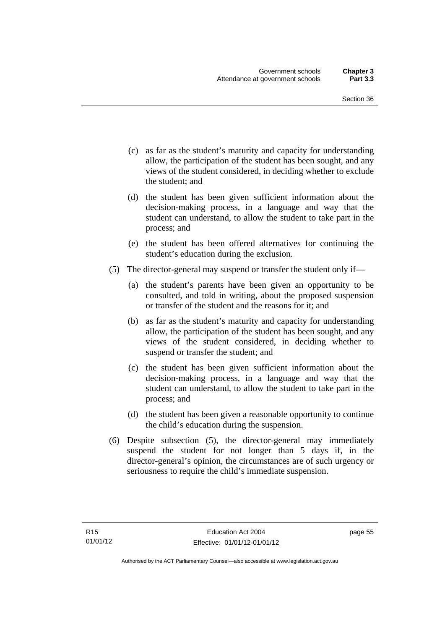- (c) as far as the student's maturity and capacity for understanding allow, the participation of the student has been sought, and any views of the student considered, in deciding whether to exclude the student; and
- (d) the student has been given sufficient information about the decision-making process, in a language and way that the student can understand, to allow the student to take part in the process; and
- (e) the student has been offered alternatives for continuing the student's education during the exclusion.
- (5) The director-general may suspend or transfer the student only if—
	- (a) the student's parents have been given an opportunity to be consulted, and told in writing, about the proposed suspension or transfer of the student and the reasons for it; and
	- (b) as far as the student's maturity and capacity for understanding allow, the participation of the student has been sought, and any views of the student considered, in deciding whether to suspend or transfer the student; and
	- (c) the student has been given sufficient information about the decision-making process, in a language and way that the student can understand, to allow the student to take part in the process; and
	- (d) the student has been given a reasonable opportunity to continue the child's education during the suspension.
- (6) Despite subsection (5), the director-general may immediately suspend the student for not longer than 5 days if, in the director-general's opinion, the circumstances are of such urgency or seriousness to require the child's immediate suspension.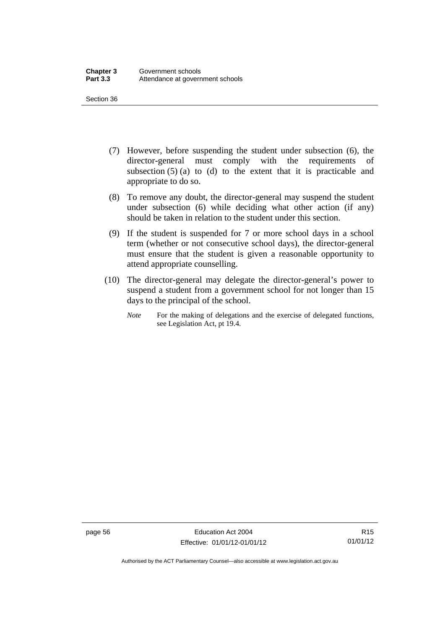Section 36

- (7) However, before suspending the student under subsection (6), the director-general must comply with the requirements of subsection  $(5)$  (a) to (d) to the extent that it is practicable and appropriate to do so.
- (8) To remove any doubt, the director-general may suspend the student under subsection (6) while deciding what other action (if any) should be taken in relation to the student under this section.
- (9) If the student is suspended for 7 or more school days in a school term (whether or not consecutive school days), the director-general must ensure that the student is given a reasonable opportunity to attend appropriate counselling.
- (10) The director-general may delegate the director-general's power to suspend a student from a government school for not longer than 15 days to the principal of the school.
	- *Note* For the making of delegations and the exercise of delegated functions, see Legislation Act, pt 19.4.

page 56 Education Act 2004 Effective: 01/01/12-01/01/12

Authorised by the ACT Parliamentary Counsel—also accessible at www.legislation.act.gov.au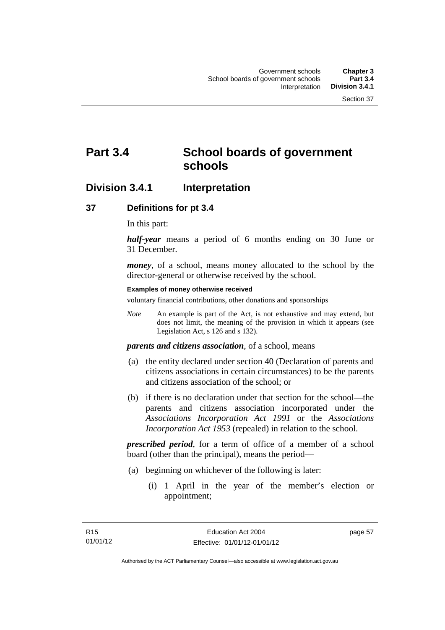# **Part 3.4 School boards of government schools**

## **Division 3.4.1 Interpretation**

### **37 Definitions for pt 3.4**

In this part:

*half-year* means a period of 6 months ending on 30 June or 31 December.

*money*, of a school, means money allocated to the school by the director-general or otherwise received by the school.

#### **Examples of money otherwise received**

voluntary financial contributions, other donations and sponsorships

*Note* An example is part of the Act, is not exhaustive and may extend, but does not limit, the meaning of the provision in which it appears (see Legislation Act, s 126 and s 132).

*parents and citizens association*, of a school, means

- (a) the entity declared under section 40 (Declaration of parents and citizens associations in certain circumstances) to be the parents and citizens association of the school; or
- (b) if there is no declaration under that section for the school—the parents and citizens association incorporated under the *Associations Incorporation Act 1991* or the *Associations Incorporation Act 1953* (repealed) in relation to the school.

*prescribed period*, for a term of office of a member of a school board (other than the principal), means the period—

- (a) beginning on whichever of the following is later:
	- (i) 1 April in the year of the member's election or appointment;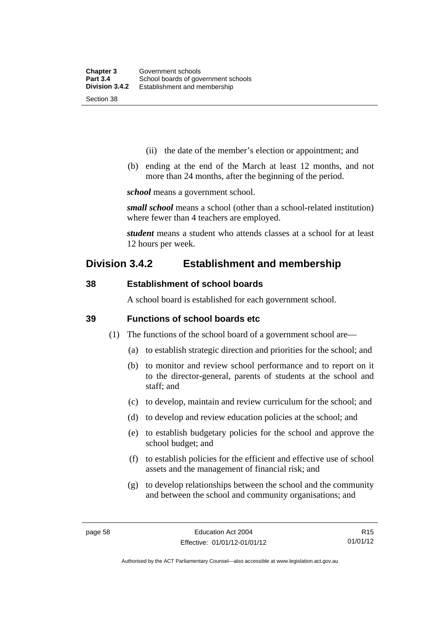- (ii) the date of the member's election or appointment; and
- (b) ending at the end of the March at least 12 months, and not more than 24 months, after the beginning of the period.

*school* means a government school.

*small school* means a school (other than a school-related institution) where fewer than 4 teachers are employed.

*student* means a student who attends classes at a school for at least 12 hours per week.

## **Division 3.4.2 Establishment and membership**

### **38 Establishment of school boards**

A school board is established for each government school.

### **39 Functions of school boards etc**

- (1) The functions of the school board of a government school are—
	- (a) to establish strategic direction and priorities for the school; and
	- (b) to monitor and review school performance and to report on it to the director-general, parents of students at the school and staff; and
	- (c) to develop, maintain and review curriculum for the school; and
	- (d) to develop and review education policies at the school; and
	- (e) to establish budgetary policies for the school and approve the school budget; and
	- (f) to establish policies for the efficient and effective use of school assets and the management of financial risk; and
	- (g) to develop relationships between the school and the community and between the school and community organisations; and

R15 01/01/12

Authorised by the ACT Parliamentary Counsel—also accessible at www.legislation.act.gov.au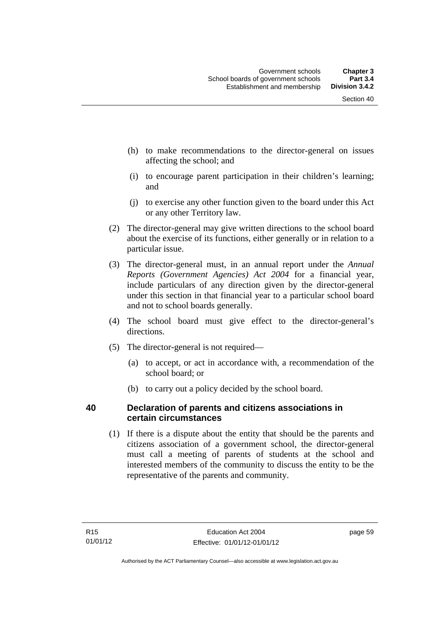- (h) to make recommendations to the director-general on issues affecting the school; and
- (i) to encourage parent participation in their children's learning; and
- (j) to exercise any other function given to the board under this Act or any other Territory law.
- (2) The director-general may give written directions to the school board about the exercise of its functions, either generally or in relation to a particular issue.
- (3) The director-general must, in an annual report under the *Annual Reports (Government Agencies) Act 2004* for a financial year, include particulars of any direction given by the director-general under this section in that financial year to a particular school board and not to school boards generally.
- (4) The school board must give effect to the director-general's directions.
- (5) The director-general is not required—
	- (a) to accept, or act in accordance with, a recommendation of the school board; or
	- (b) to carry out a policy decided by the school board.

## **40 Declaration of parents and citizens associations in certain circumstances**

 (1) If there is a dispute about the entity that should be the parents and citizens association of a government school, the director-general must call a meeting of parents of students at the school and interested members of the community to discuss the entity to be the representative of the parents and community.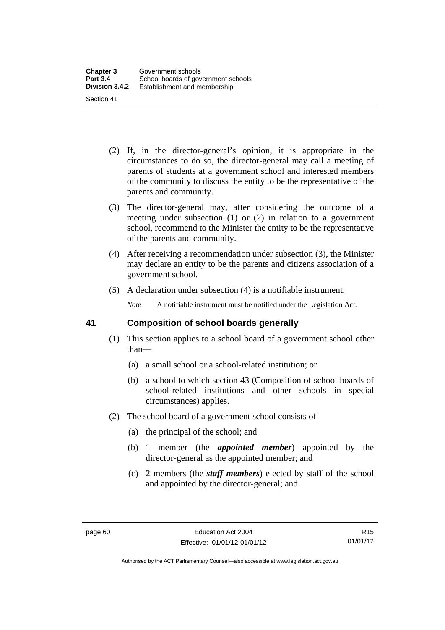- (2) If, in the director-general's opinion, it is appropriate in the circumstances to do so, the director-general may call a meeting of parents of students at a government school and interested members of the community to discuss the entity to be the representative of the parents and community.
- (3) The director-general may, after considering the outcome of a meeting under subsection (1) or (2) in relation to a government school, recommend to the Minister the entity to be the representative of the parents and community.
- (4) After receiving a recommendation under subsection (3), the Minister may declare an entity to be the parents and citizens association of a government school.
- (5) A declaration under subsection (4) is a notifiable instrument.

*Note* A notifiable instrument must be notified under the Legislation Act.

### **41 Composition of school boards generally**

- (1) This section applies to a school board of a government school other than—
	- (a) a small school or a school-related institution; or
	- (b) a school to which section 43 (Composition of school boards of school-related institutions and other schools in special circumstances) applies.
- (2) The school board of a government school consists of—
	- (a) the principal of the school; and
	- (b) 1 member (the *appointed member*) appointed by the director-general as the appointed member; and
	- (c) 2 members (the *staff members*) elected by staff of the school and appointed by the director-general; and

Authorised by the ACT Parliamentary Counsel—also accessible at www.legislation.act.gov.au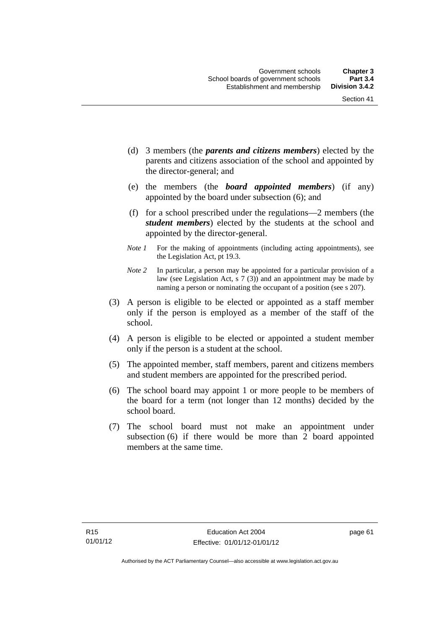- (d) 3 members (the *parents and citizens members*) elected by the parents and citizens association of the school and appointed by the director-general; and
- (e) the members (the *board appointed members*) (if any) appointed by the board under subsection (6); and
- (f) for a school prescribed under the regulations—2 members (the *student members*) elected by the students at the school and appointed by the director-general.
- *Note 1* For the making of appointments (including acting appointments), see the Legislation Act, pt 19.3.
- *Note 2* In particular, a person may be appointed for a particular provision of a law (see Legislation Act, s 7 (3)) and an appointment may be made by naming a person or nominating the occupant of a position (see s 207).
- (3) A person is eligible to be elected or appointed as a staff member only if the person is employed as a member of the staff of the school.
- (4) A person is eligible to be elected or appointed a student member only if the person is a student at the school.
- (5) The appointed member, staff members, parent and citizens members and student members are appointed for the prescribed period.
- (6) The school board may appoint 1 or more people to be members of the board for a term (not longer than 12 months) decided by the school board.
- (7) The school board must not make an appointment under subsection (6) if there would be more than 2 board appointed members at the same time.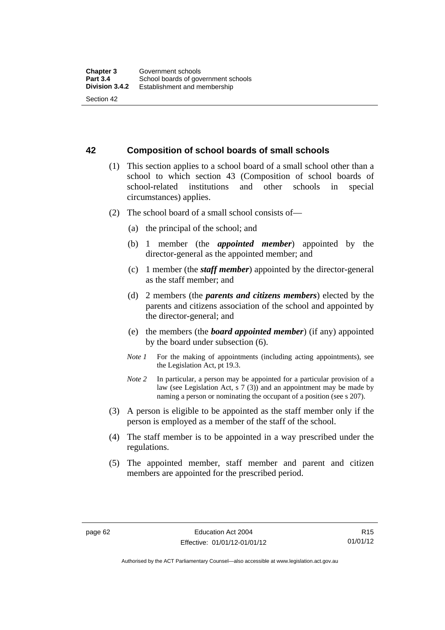#### **42 Composition of school boards of small schools**

- (1) This section applies to a school board of a small school other than a school to which section 43 (Composition of school boards of school-related institutions and other schools in special circumstances) applies.
- (2) The school board of a small school consists of—
	- (a) the principal of the school; and
	- (b) 1 member (the *appointed member*) appointed by the director-general as the appointed member; and
	- (c) 1 member (the *staff member*) appointed by the director-general as the staff member; and
	- (d) 2 members (the *parents and citizens members*) elected by the parents and citizens association of the school and appointed by the director-general; and
	- (e) the members (the *board appointed member*) (if any) appointed by the board under subsection (6).
	- *Note 1* For the making of appointments (including acting appointments), see the Legislation Act, pt 19.3.
	- *Note* 2 In particular, a person may be appointed for a particular provision of a law (see Legislation Act, s 7 (3)) and an appointment may be made by naming a person or nominating the occupant of a position (see s 207).
- (3) A person is eligible to be appointed as the staff member only if the person is employed as a member of the staff of the school.
- (4) The staff member is to be appointed in a way prescribed under the regulations.
- (5) The appointed member, staff member and parent and citizen members are appointed for the prescribed period.

Authorised by the ACT Parliamentary Counsel—also accessible at www.legislation.act.gov.au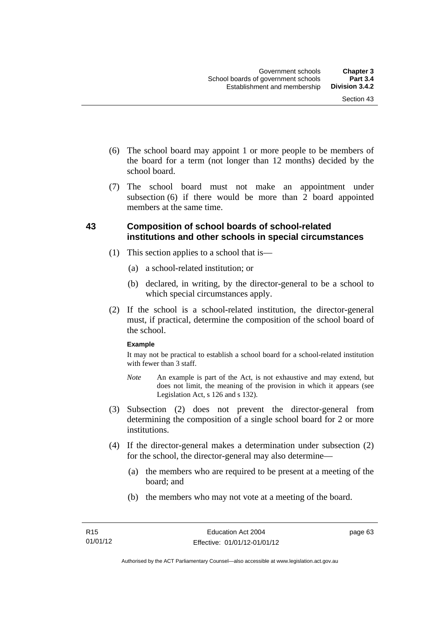- (6) The school board may appoint 1 or more people to be members of the board for a term (not longer than 12 months) decided by the school board.
- (7) The school board must not make an appointment under subsection  $(6)$  if there would be more than  $2$  board appointed members at the same time.

### **43 Composition of school boards of school-related institutions and other schools in special circumstances**

- (1) This section applies to a school that is—
	- (a) a school-related institution; or
	- (b) declared, in writing, by the director-general to be a school to which special circumstances apply.
- (2) If the school is a school-related institution, the director-general must, if practical, determine the composition of the school board of the school.

#### **Example**

It may not be practical to establish a school board for a school-related institution with fewer than 3 staff.

- *Note* An example is part of the Act, is not exhaustive and may extend, but does not limit, the meaning of the provision in which it appears (see Legislation Act, s 126 and s 132).
- (3) Subsection (2) does not prevent the director-general from determining the composition of a single school board for 2 or more institutions.
- (4) If the director-general makes a determination under subsection (2) for the school, the director-general may also determine—
	- (a) the members who are required to be present at a meeting of the board; and
	- (b) the members who may not vote at a meeting of the board.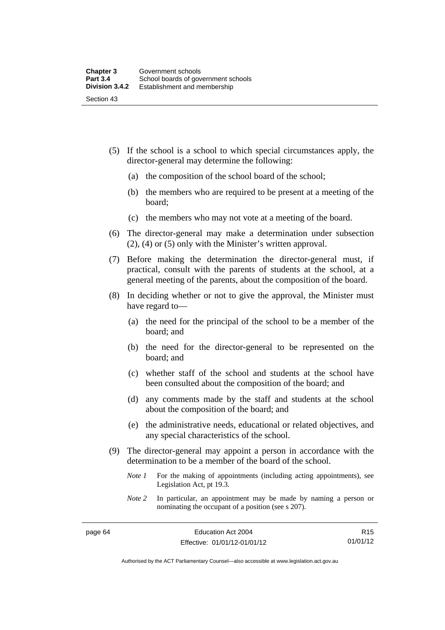- (5) If the school is a school to which special circumstances apply, the director-general may determine the following:
	- (a) the composition of the school board of the school;
	- (b) the members who are required to be present at a meeting of the board;
	- (c) the members who may not vote at a meeting of the board.
- (6) The director-general may make a determination under subsection (2), (4) or (5) only with the Minister's written approval.
- (7) Before making the determination the director-general must, if practical, consult with the parents of students at the school, at a general meeting of the parents, about the composition of the board.
- (8) In deciding whether or not to give the approval, the Minister must have regard to—
	- (a) the need for the principal of the school to be a member of the board; and
	- (b) the need for the director-general to be represented on the board; and
	- (c) whether staff of the school and students at the school have been consulted about the composition of the board; and
	- (d) any comments made by the staff and students at the school about the composition of the board; and
	- (e) the administrative needs, educational or related objectives, and any special characteristics of the school.
- (9) The director-general may appoint a person in accordance with the determination to be a member of the board of the school.
	- *Note 1* For the making of appointments (including acting appointments), see Legislation Act, pt 19.3.
	- *Note 2* In particular, an appointment may be made by naming a person or nominating the occupant of a position (see s 207).

R15 01/01/12

Authorised by the ACT Parliamentary Counsel—also accessible at www.legislation.act.gov.au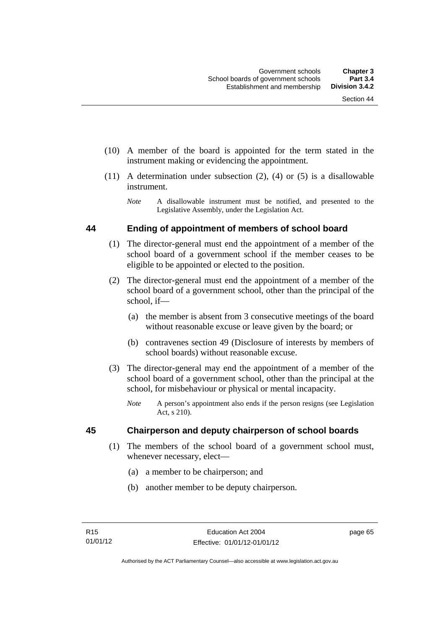- (10) A member of the board is appointed for the term stated in the instrument making or evidencing the appointment.
- (11) A determination under subsection (2), (4) or (5) is a disallowable instrument.
	- *Note* A disallowable instrument must be notified, and presented to the Legislative Assembly, under the Legislation Act.

#### **44 Ending of appointment of members of school board**

- (1) The director-general must end the appointment of a member of the school board of a government school if the member ceases to be eligible to be appointed or elected to the position.
- (2) The director-general must end the appointment of a member of the school board of a government school, other than the principal of the school, if—
	- (a) the member is absent from 3 consecutive meetings of the board without reasonable excuse or leave given by the board; or
	- (b) contravenes section 49 (Disclosure of interests by members of school boards) without reasonable excuse.
- (3) The director-general may end the appointment of a member of the school board of a government school, other than the principal at the school, for misbehaviour or physical or mental incapacity.
	- *Note* A person's appointment also ends if the person resigns (see Legislation Act, s 210).

#### **45 Chairperson and deputy chairperson of school boards**

- (1) The members of the school board of a government school must, whenever necessary, elect—
	- (a) a member to be chairperson; and
	- (b) another member to be deputy chairperson.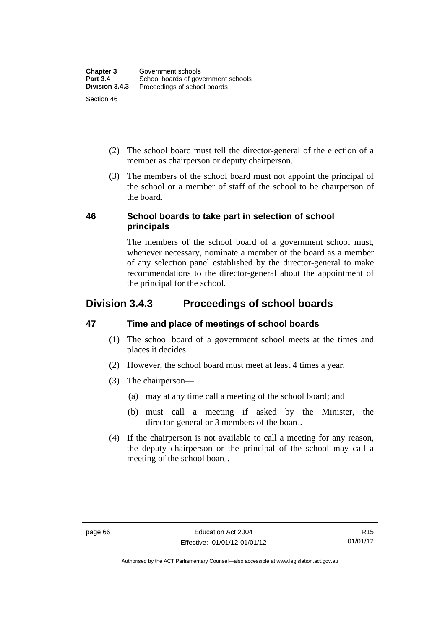- (2) The school board must tell the director-general of the election of a member as chairperson or deputy chairperson.
- (3) The members of the school board must not appoint the principal of the school or a member of staff of the school to be chairperson of the board.

#### **46 School boards to take part in selection of school principals**

The members of the school board of a government school must, whenever necessary, nominate a member of the board as a member of any selection panel established by the director-general to make recommendations to the director-general about the appointment of the principal for the school.

# **Division 3.4.3 Proceedings of school boards**

# **47 Time and place of meetings of school boards**

- (1) The school board of a government school meets at the times and places it decides.
- (2) However, the school board must meet at least 4 times a year.
- (3) The chairperson—
	- (a) may at any time call a meeting of the school board; and
	- (b) must call a meeting if asked by the Minister, the director-general or 3 members of the board.
- (4) If the chairperson is not available to call a meeting for any reason, the deputy chairperson or the principal of the school may call a meeting of the school board.

Authorised by the ACT Parliamentary Counsel—also accessible at www.legislation.act.gov.au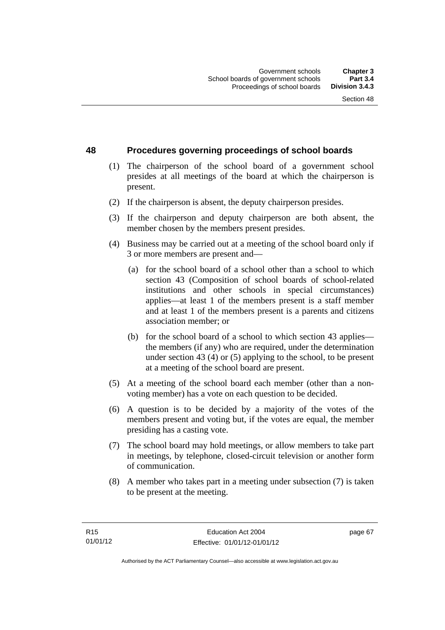#### **48 Procedures governing proceedings of school boards**

- (1) The chairperson of the school board of a government school presides at all meetings of the board at which the chairperson is present.
- (2) If the chairperson is absent, the deputy chairperson presides.
- (3) If the chairperson and deputy chairperson are both absent, the member chosen by the members present presides.
- (4) Business may be carried out at a meeting of the school board only if 3 or more members are present and—
	- (a) for the school board of a school other than a school to which section 43 (Composition of school boards of school-related institutions and other schools in special circumstances) applies—at least 1 of the members present is a staff member and at least 1 of the members present is a parents and citizens association member; or
	- (b) for the school board of a school to which section 43 applies the members (if any) who are required, under the determination under section 43 (4) or (5) applying to the school, to be present at a meeting of the school board are present.
- (5) At a meeting of the school board each member (other than a nonvoting member) has a vote on each question to be decided.
- (6) A question is to be decided by a majority of the votes of the members present and voting but, if the votes are equal, the member presiding has a casting vote.
- (7) The school board may hold meetings, or allow members to take part in meetings, by telephone, closed-circuit television or another form of communication.
- (8) A member who takes part in a meeting under subsection (7) is taken to be present at the meeting.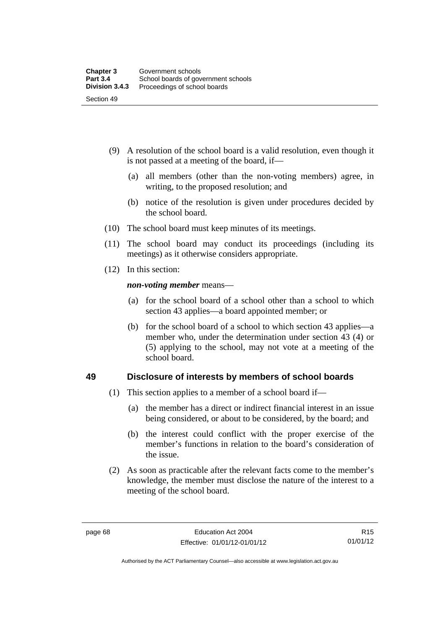- (9) A resolution of the school board is a valid resolution, even though it is not passed at a meeting of the board, if—
	- (a) all members (other than the non-voting members) agree, in writing, to the proposed resolution; and
	- (b) notice of the resolution is given under procedures decided by the school board.
- (10) The school board must keep minutes of its meetings.
- (11) The school board may conduct its proceedings (including its meetings) as it otherwise considers appropriate.
- (12) In this section:

*non-voting member* means—

- (a) for the school board of a school other than a school to which section 43 applies—a board appointed member; or
- (b) for the school board of a school to which section 43 applies—a member who, under the determination under section 43 (4) or (5) applying to the school, may not vote at a meeting of the school board.

#### **49 Disclosure of interests by members of school boards**

- (1) This section applies to a member of a school board if—
	- (a) the member has a direct or indirect financial interest in an issue being considered, or about to be considered, by the board; and
	- (b) the interest could conflict with the proper exercise of the member's functions in relation to the board's consideration of the issue.
- (2) As soon as practicable after the relevant facts come to the member's knowledge, the member must disclose the nature of the interest to a meeting of the school board.

Authorised by the ACT Parliamentary Counsel—also accessible at www.legislation.act.gov.au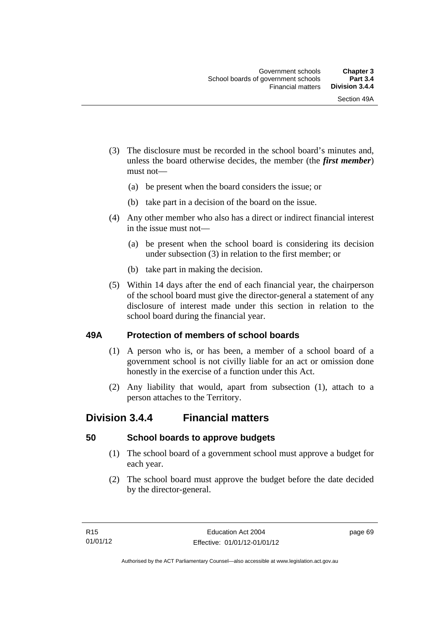- (3) The disclosure must be recorded in the school board's minutes and, unless the board otherwise decides, the member (the *first member*) must not—
	- (a) be present when the board considers the issue; or
	- (b) take part in a decision of the board on the issue.
- (4) Any other member who also has a direct or indirect financial interest in the issue must not—
	- (a) be present when the school board is considering its decision under subsection (3) in relation to the first member; or
	- (b) take part in making the decision.
- (5) Within 14 days after the end of each financial year, the chairperson of the school board must give the director-general a statement of any disclosure of interest made under this section in relation to the school board during the financial year.

#### **49A Protection of members of school boards**

- (1) A person who is, or has been, a member of a school board of a government school is not civilly liable for an act or omission done honestly in the exercise of a function under this Act.
- (2) Any liability that would, apart from subsection (1), attach to a person attaches to the Territory.

# **Division 3.4.4 Financial matters**

#### **50 School boards to approve budgets**

- (1) The school board of a government school must approve a budget for each year.
- (2) The school board must approve the budget before the date decided by the director-general.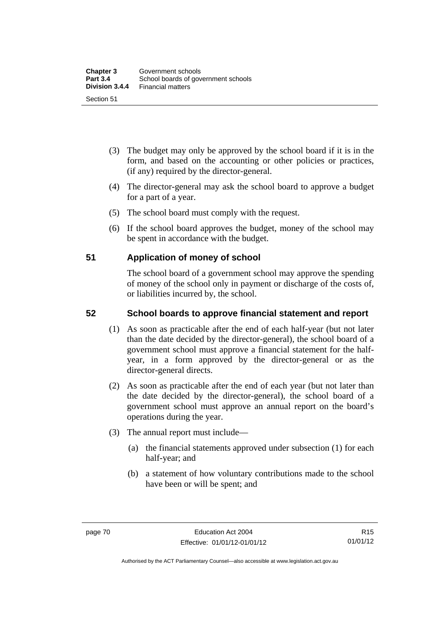- (3) The budget may only be approved by the school board if it is in the form, and based on the accounting or other policies or practices, (if any) required by the director-general.
- (4) The director-general may ask the school board to approve a budget for a part of a year.
- (5) The school board must comply with the request.
- (6) If the school board approves the budget, money of the school may be spent in accordance with the budget.

#### **51 Application of money of school**

The school board of a government school may approve the spending of money of the school only in payment or discharge of the costs of, or liabilities incurred by, the school.

## **52 School boards to approve financial statement and report**

- (1) As soon as practicable after the end of each half-year (but not later than the date decided by the director-general), the school board of a government school must approve a financial statement for the halfyear, in a form approved by the director-general or as the director-general directs.
- (2) As soon as practicable after the end of each year (but not later than the date decided by the director-general), the school board of a government school must approve an annual report on the board's operations during the year.
- (3) The annual report must include—
	- (a) the financial statements approved under subsection (1) for each half-year; and
	- (b) a statement of how voluntary contributions made to the school have been or will be spent; and

Authorised by the ACT Parliamentary Counsel—also accessible at www.legislation.act.gov.au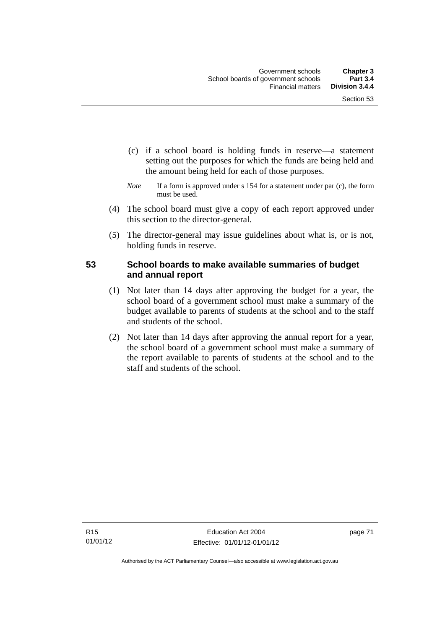- (c) if a school board is holding funds in reserve—a statement setting out the purposes for which the funds are being held and the amount being held for each of those purposes.
- *Note* If a form is approved under s 154 for a statement under par (c), the form must be used.
- (4) The school board must give a copy of each report approved under this section to the director-general.
- (5) The director-general may issue guidelines about what is, or is not, holding funds in reserve.

## **53 School boards to make available summaries of budget and annual report**

- (1) Not later than 14 days after approving the budget for a year, the school board of a government school must make a summary of the budget available to parents of students at the school and to the staff and students of the school.
- (2) Not later than 14 days after approving the annual report for a year, the school board of a government school must make a summary of the report available to parents of students at the school and to the staff and students of the school.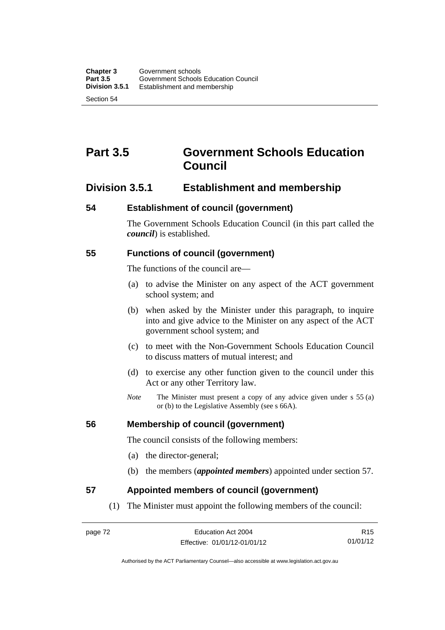# **Part 3.5 Government Schools Education Council**

# **Division 3.5.1 Establishment and membership**

#### **54 Establishment of council (government)**

The Government Schools Education Council (in this part called the *council*) is established.

#### **55 Functions of council (government)**

The functions of the council are—

- (a) to advise the Minister on any aspect of the ACT government school system; and
- (b) when asked by the Minister under this paragraph, to inquire into and give advice to the Minister on any aspect of the ACT government school system; and
- (c) to meet with the Non-Government Schools Education Council to discuss matters of mutual interest; and
- (d) to exercise any other function given to the council under this Act or any other Territory law.
- *Note* The Minister must present a copy of any advice given under s 55 (a) or (b) to the Legislative Assembly (see s 66A).

#### **56 Membership of council (government)**

The council consists of the following members:

- (a) the director-general;
- (b) the members (*appointed members*) appointed under section 57.

#### **57 Appointed members of council (government)**

(1) The Minister must appoint the following members of the council:

R15 01/01/12

Authorised by the ACT Parliamentary Counsel—also accessible at www.legislation.act.gov.au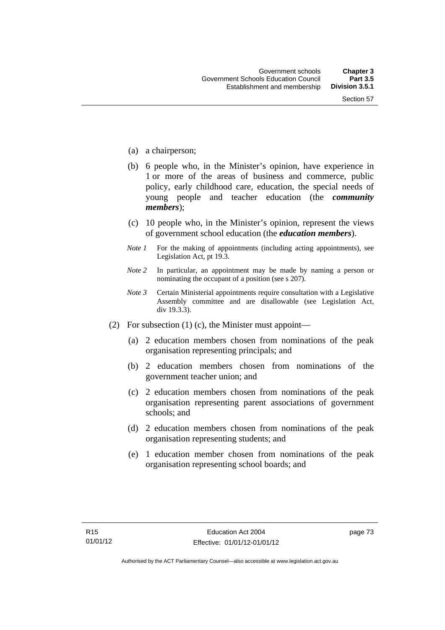- (a) a chairperson;
- (b) 6 people who, in the Minister's opinion, have experience in 1 or more of the areas of business and commerce, public policy, early childhood care, education, the special needs of young people and teacher education (the *community members*);
- (c) 10 people who, in the Minister's opinion, represent the views of government school education (the *education members*).
- *Note 1* For the making of appointments (including acting appointments), see Legislation Act, pt 19.3.
- *Note 2* In particular, an appointment may be made by naming a person or nominating the occupant of a position (see s 207).
- *Note 3* Certain Ministerial appointments require consultation with a Legislative Assembly committee and are disallowable (see Legislation Act, div 19.3.3).
- (2) For subsection (1) (c), the Minister must appoint—
	- (a) 2 education members chosen from nominations of the peak organisation representing principals; and
	- (b) 2 education members chosen from nominations of the government teacher union; and
	- (c) 2 education members chosen from nominations of the peak organisation representing parent associations of government schools; and
	- (d) 2 education members chosen from nominations of the peak organisation representing students; and
	- (e) 1 education member chosen from nominations of the peak organisation representing school boards; and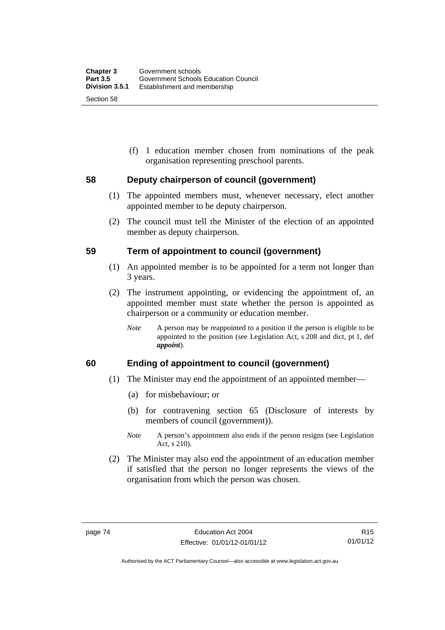(f) 1 education member chosen from nominations of the peak organisation representing preschool parents.

#### **58 Deputy chairperson of council (government)**

- (1) The appointed members must, whenever necessary, elect another appointed member to be deputy chairperson.
- (2) The council must tell the Minister of the election of an appointed member as deputy chairperson.

#### **59 Term of appointment to council (government)**

- (1) An appointed member is to be appointed for a term not longer than 3 years.
- (2) The instrument appointing, or evidencing the appointment of, an appointed member must state whether the person is appointed as chairperson or a community or education member.
	- *Note* A person may be reappointed to a position if the person is eligible to be appointed to the position (see Legislation Act, s 208 and dict, pt 1, def *appoint*).

#### **60 Ending of appointment to council (government)**

- (1) The Minister may end the appointment of an appointed member—
	- (a) for misbehaviour; or
	- (b) for contravening section 65 (Disclosure of interests by members of council (government)).
	- *Note* A person's appointment also ends if the person resigns (see Legislation Act, s 210).
- (2) The Minister may also end the appointment of an education member if satisfied that the person no longer represents the views of the organisation from which the person was chosen.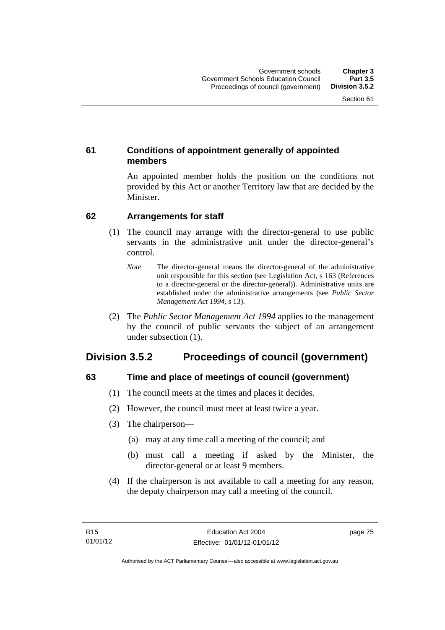## **61 Conditions of appointment generally of appointed members**

An appointed member holds the position on the conditions not provided by this Act or another Territory law that are decided by the Minister.

## **62 Arrangements for staff**

- (1) The council may arrange with the director-general to use public servants in the administrative unit under the director-general's control.
	- *Note* The director-general means the director-general of the administrative unit responsible for this section (see Legislation Act, s 163 (References to a director-general or the director-general)). Administrative units are established under the administrative arrangements (see *Public Sector Management Act 1994*, s 13).
- (2) The *Public Sector Management Act 1994* applies to the management by the council of public servants the subject of an arrangement under subsection (1).

# **Division 3.5.2 Proceedings of council (government)**

# **63 Time and place of meetings of council (government)**

- (1) The council meets at the times and places it decides.
- (2) However, the council must meet at least twice a year.
- (3) The chairperson—
	- (a) may at any time call a meeting of the council; and
	- (b) must call a meeting if asked by the Minister, the director-general or at least 9 members.
- (4) If the chairperson is not available to call a meeting for any reason, the deputy chairperson may call a meeting of the council.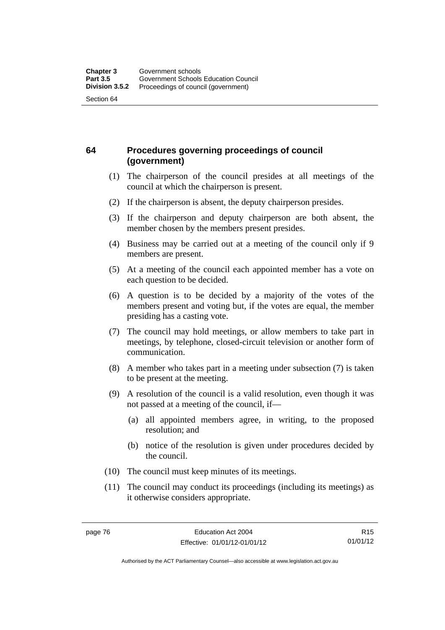## **64 Procedures governing proceedings of council (government)**

- (1) The chairperson of the council presides at all meetings of the council at which the chairperson is present.
- (2) If the chairperson is absent, the deputy chairperson presides.
- (3) If the chairperson and deputy chairperson are both absent, the member chosen by the members present presides.
- (4) Business may be carried out at a meeting of the council only if 9 members are present.
- (5) At a meeting of the council each appointed member has a vote on each question to be decided.
- (6) A question is to be decided by a majority of the votes of the members present and voting but, if the votes are equal, the member presiding has a casting vote.
- (7) The council may hold meetings, or allow members to take part in meetings, by telephone, closed-circuit television or another form of communication.
- (8) A member who takes part in a meeting under subsection (7) is taken to be present at the meeting.
- (9) A resolution of the council is a valid resolution, even though it was not passed at a meeting of the council, if—
	- (a) all appointed members agree, in writing, to the proposed resolution; and
	- (b) notice of the resolution is given under procedures decided by the council.
- (10) The council must keep minutes of its meetings.
- (11) The council may conduct its proceedings (including its meetings) as it otherwise considers appropriate.

Authorised by the ACT Parliamentary Counsel—also accessible at www.legislation.act.gov.au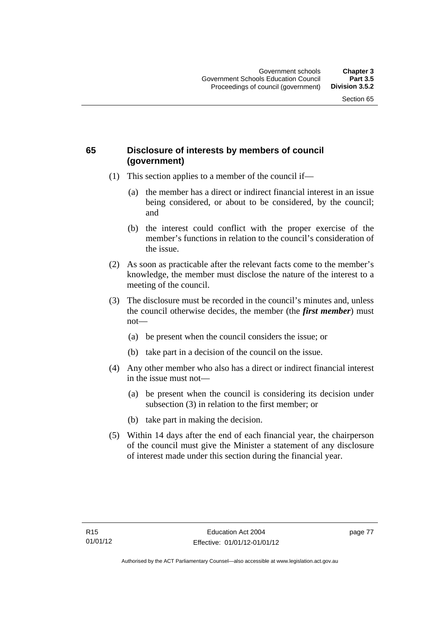## **65 Disclosure of interests by members of council (government)**

- (1) This section applies to a member of the council if—
	- (a) the member has a direct or indirect financial interest in an issue being considered, or about to be considered, by the council; and
	- (b) the interest could conflict with the proper exercise of the member's functions in relation to the council's consideration of the issue.
- (2) As soon as practicable after the relevant facts come to the member's knowledge, the member must disclose the nature of the interest to a meeting of the council.
- (3) The disclosure must be recorded in the council's minutes and, unless the council otherwise decides, the member (the *first member*) must not—
	- (a) be present when the council considers the issue; or
	- (b) take part in a decision of the council on the issue.
- (4) Any other member who also has a direct or indirect financial interest in the issue must not—
	- (a) be present when the council is considering its decision under subsection (3) in relation to the first member; or
	- (b) take part in making the decision.
- (5) Within 14 days after the end of each financial year, the chairperson of the council must give the Minister a statement of any disclosure of interest made under this section during the financial year.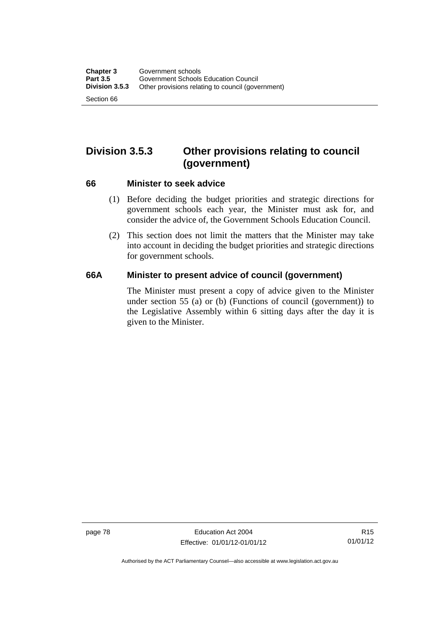# **Division 3.5.3 Other provisions relating to council (government)**

#### **66 Minister to seek advice**

- (1) Before deciding the budget priorities and strategic directions for government schools each year, the Minister must ask for, and consider the advice of, the Government Schools Education Council.
- (2) This section does not limit the matters that the Minister may take into account in deciding the budget priorities and strategic directions for government schools.

#### **66A Minister to present advice of council (government)**

The Minister must present a copy of advice given to the Minister under section 55 (a) or (b) (Functions of council (government)) to the Legislative Assembly within 6 sitting days after the day it is given to the Minister.

page 78 Education Act 2004 Effective: 01/01/12-01/01/12

Authorised by the ACT Parliamentary Counsel—also accessible at www.legislation.act.gov.au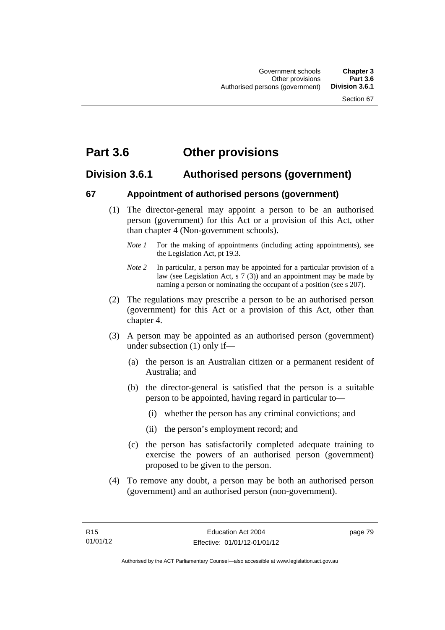# **Part 3.6 Other provisions**

# **Division 3.6.1 Authorised persons (government)**

#### **67 Appointment of authorised persons (government)**

- (1) The director-general may appoint a person to be an authorised person (government) for this Act or a provision of this Act, other than chapter 4 (Non-government schools).
	- *Note 1* For the making of appointments (including acting appointments), see the Legislation Act, pt 19.3.
	- *Note 2* In particular, a person may be appointed for a particular provision of a law (see Legislation Act, s 7 (3)) and an appointment may be made by naming a person or nominating the occupant of a position (see s 207).
- (2) The regulations may prescribe a person to be an authorised person (government) for this Act or a provision of this Act, other than chapter 4.
- (3) A person may be appointed as an authorised person (government) under subsection (1) only if—
	- (a) the person is an Australian citizen or a permanent resident of Australia; and
	- (b) the director-general is satisfied that the person is a suitable person to be appointed, having regard in particular to—
		- (i) whether the person has any criminal convictions; and
		- (ii) the person's employment record; and
	- (c) the person has satisfactorily completed adequate training to exercise the powers of an authorised person (government) proposed to be given to the person.
- (4) To remove any doubt, a person may be both an authorised person (government) and an authorised person (non-government).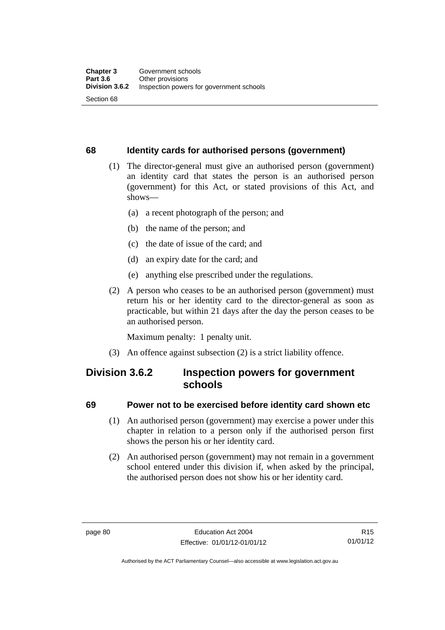#### **68 Identity cards for authorised persons (government)**

- (1) The director-general must give an authorised person (government) an identity card that states the person is an authorised person (government) for this Act, or stated provisions of this Act, and shows—
	- (a) a recent photograph of the person; and
	- (b) the name of the person; and
	- (c) the date of issue of the card; and
	- (d) an expiry date for the card; and
	- (e) anything else prescribed under the regulations.
- (2) A person who ceases to be an authorised person (government) must return his or her identity card to the director-general as soon as practicable, but within 21 days after the day the person ceases to be an authorised person.

Maximum penalty: 1 penalty unit.

(3) An offence against subsection (2) is a strict liability offence.

# **Division 3.6.2 Inspection powers for government schools**

#### **69 Power not to be exercised before identity card shown etc**

- (1) An authorised person (government) may exercise a power under this chapter in relation to a person only if the authorised person first shows the person his or her identity card.
- (2) An authorised person (government) may not remain in a government school entered under this division if, when asked by the principal, the authorised person does not show his or her identity card.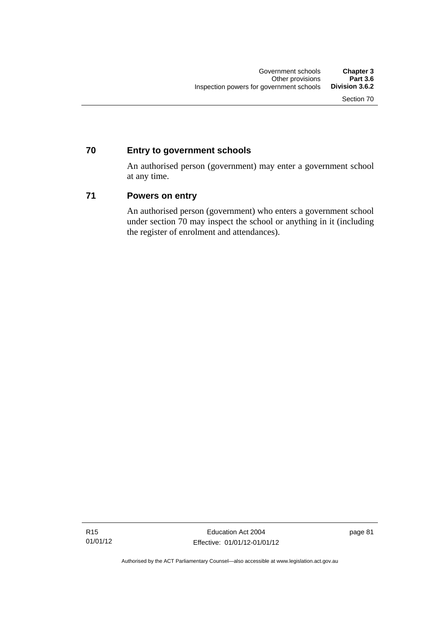## **70 Entry to government schools**

An authorised person (government) may enter a government school at any time.

#### **71 Powers on entry**

An authorised person (government) who enters a government school under section 70 may inspect the school or anything in it (including the register of enrolment and attendances).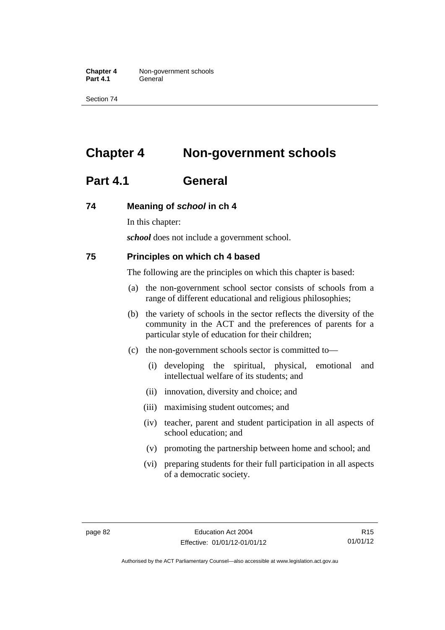**Chapter 4** Non-government schools Part 4.1 **General** 

Section 74

# **Chapter 4 Non-government schools**

# **Part 4.1 General**

#### **74 Meaning of** *school* **in ch 4**

In this chapter:

*school* does not include a government school.

#### **75 Principles on which ch 4 based**

The following are the principles on which this chapter is based:

- (a) the non-government school sector consists of schools from a range of different educational and religious philosophies;
- (b) the variety of schools in the sector reflects the diversity of the community in the ACT and the preferences of parents for a particular style of education for their children;
- (c) the non-government schools sector is committed to—
	- (i) developing the spiritual, physical, emotional and intellectual welfare of its students; and
	- (ii) innovation, diversity and choice; and
	- (iii) maximising student outcomes; and
	- (iv) teacher, parent and student participation in all aspects of school education; and
	- (v) promoting the partnership between home and school; and
	- (vi) preparing students for their full participation in all aspects of a democratic society.

R15 01/01/12

Authorised by the ACT Parliamentary Counsel—also accessible at www.legislation.act.gov.au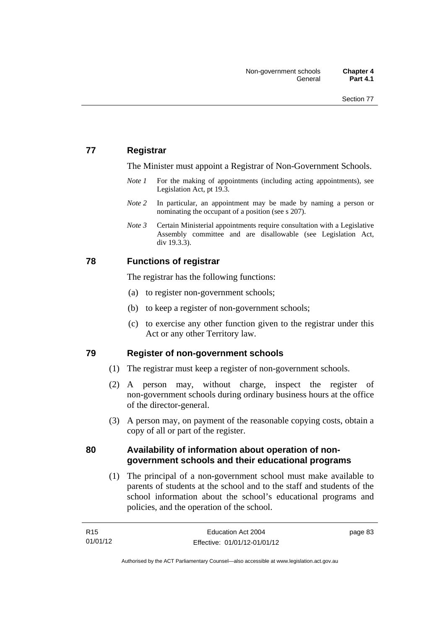## **77 Registrar**

The Minister must appoint a Registrar of Non-Government Schools.

- *Note 1* For the making of appointments (including acting appointments), see Legislation Act, pt 19.3.
- *Note* 2 In particular, an appointment may be made by naming a person or nominating the occupant of a position (see s 207).
- *Note 3* Certain Ministerial appointments require consultation with a Legislative Assembly committee and are disallowable (see Legislation Act, div 19.3.3).

#### **78 Functions of registrar**

The registrar has the following functions:

- (a) to register non-government schools;
- (b) to keep a register of non-government schools;
- (c) to exercise any other function given to the registrar under this Act or any other Territory law.

#### **79 Register of non-government schools**

- (1) The registrar must keep a register of non-government schools.
- (2) A person may, without charge, inspect the register of non-government schools during ordinary business hours at the office of the director-general.
- (3) A person may, on payment of the reasonable copying costs, obtain a copy of all or part of the register.

#### **80 Availability of information about operation of nongovernment schools and their educational programs**

(1) The principal of a non-government school must make available to parents of students at the school and to the staff and students of the school information about the school's educational programs and policies, and the operation of the school.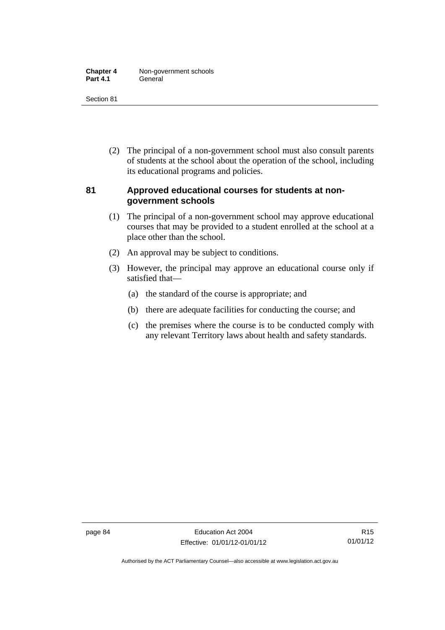| <b>Chapter 4</b> | Non-government schools |
|------------------|------------------------|
| <b>Part 4.1</b>  | General                |

Section 81

 (2) The principal of a non-government school must also consult parents of students at the school about the operation of the school, including its educational programs and policies.

#### **81 Approved educational courses for students at nongovernment schools**

- (1) The principal of a non-government school may approve educational courses that may be provided to a student enrolled at the school at a place other than the school.
- (2) An approval may be subject to conditions.
- (3) However, the principal may approve an educational course only if satisfied that—
	- (a) the standard of the course is appropriate; and
	- (b) there are adequate facilities for conducting the course; and
	- (c) the premises where the course is to be conducted comply with any relevant Territory laws about health and safety standards.

Authorised by the ACT Parliamentary Counsel—also accessible at www.legislation.act.gov.au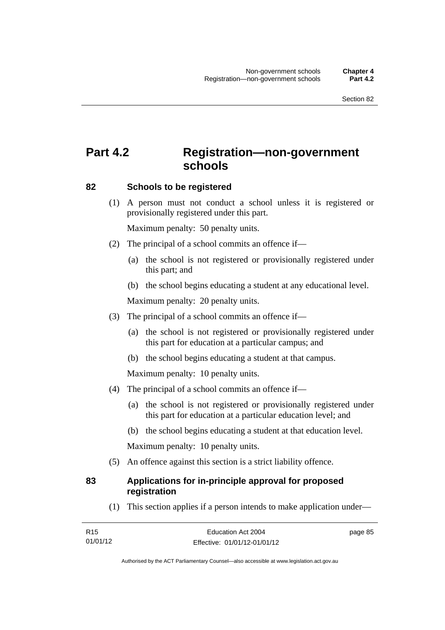# **Part 4.2 Registration—non-government schools**

#### **82 Schools to be registered**

 (1) A person must not conduct a school unless it is registered or provisionally registered under this part.

Maximum penalty: 50 penalty units.

- (2) The principal of a school commits an offence if—
	- (a) the school is not registered or provisionally registered under this part; and
	- (b) the school begins educating a student at any educational level.

Maximum penalty: 20 penalty units.

- (3) The principal of a school commits an offence if—
	- (a) the school is not registered or provisionally registered under this part for education at a particular campus; and
	- (b) the school begins educating a student at that campus.

Maximum penalty: 10 penalty units.

- (4) The principal of a school commits an offence if—
	- (a) the school is not registered or provisionally registered under this part for education at a particular education level; and
	- (b) the school begins educating a student at that education level.

Maximum penalty: 10 penalty units.

(5) An offence against this section is a strict liability offence.

#### **83 Applications for in-principle approval for proposed registration**

(1) This section applies if a person intends to make application under—

| R <sub>15</sub> | Education Act 2004           | page 85 |
|-----------------|------------------------------|---------|
| 01/01/12        | Effective: 01/01/12-01/01/12 |         |

Authorised by the ACT Parliamentary Counsel—also accessible at www.legislation.act.gov.au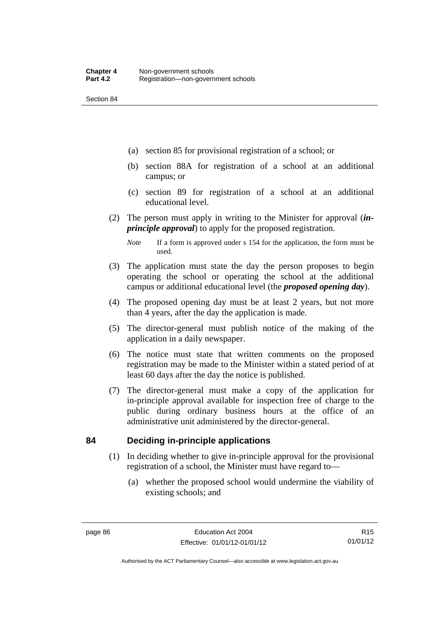Section 84

- (a) section 85 for provisional registration of a school; or
- (b) section 88A for registration of a school at an additional campus; or
- (c) section 89 for registration of a school at an additional educational level.
- (2) The person must apply in writing to the Minister for approval (*inprinciple approval*) to apply for the proposed registration.
	- *Note* If a form is approved under s 154 for the application, the form must be used.
- (3) The application must state the day the person proposes to begin operating the school or operating the school at the additional campus or additional educational level (the *proposed opening day*).
- (4) The proposed opening day must be at least 2 years, but not more than 4 years, after the day the application is made.
- (5) The director-general must publish notice of the making of the application in a daily newspaper.
- (6) The notice must state that written comments on the proposed registration may be made to the Minister within a stated period of at least 60 days after the day the notice is published.
- (7) The director-general must make a copy of the application for in-principle approval available for inspection free of charge to the public during ordinary business hours at the office of an administrative unit administered by the director-general.

#### **84 Deciding in-principle applications**

- (1) In deciding whether to give in-principle approval for the provisional registration of a school, the Minister must have regard to—
	- (a) whether the proposed school would undermine the viability of existing schools; and

R15 01/01/12

Authorised by the ACT Parliamentary Counsel—also accessible at www.legislation.act.gov.au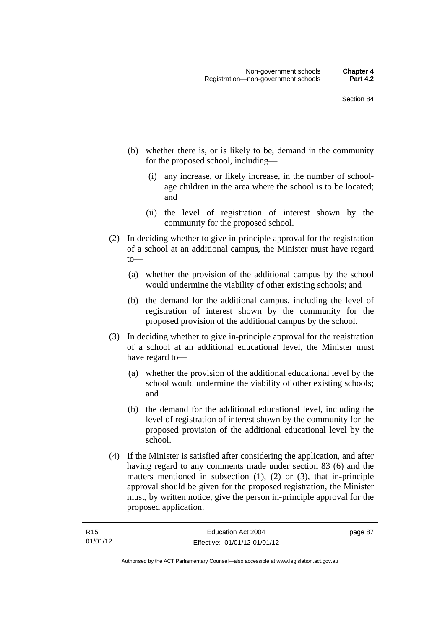- (b) whether there is, or is likely to be, demand in the community for the proposed school, including—
	- (i) any increase, or likely increase, in the number of schoolage children in the area where the school is to be located; and
	- (ii) the level of registration of interest shown by the community for the proposed school.
- (2) In deciding whether to give in-principle approval for the registration of a school at an additional campus, the Minister must have regard to—
	- (a) whether the provision of the additional campus by the school would undermine the viability of other existing schools; and
	- (b) the demand for the additional campus, including the level of registration of interest shown by the community for the proposed provision of the additional campus by the school.
- (3) In deciding whether to give in-principle approval for the registration of a school at an additional educational level, the Minister must have regard to—
	- (a) whether the provision of the additional educational level by the school would undermine the viability of other existing schools; and
	- (b) the demand for the additional educational level, including the level of registration of interest shown by the community for the proposed provision of the additional educational level by the school.
- (4) If the Minister is satisfied after considering the application, and after having regard to any comments made under section 83 (6) and the matters mentioned in subsection (1), (2) or (3), that in-principle approval should be given for the proposed registration, the Minister must, by written notice, give the person in-principle approval for the proposed application.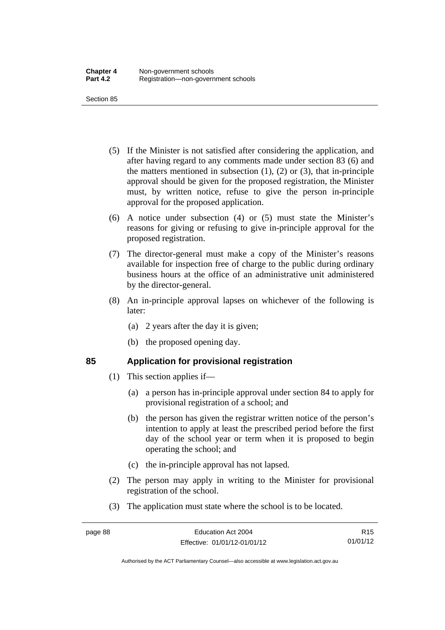Section 85

- (5) If the Minister is not satisfied after considering the application, and after having regard to any comments made under section 83 (6) and the matters mentioned in subsection  $(1)$ ,  $(2)$  or  $(3)$ , that in-principle approval should be given for the proposed registration, the Minister must, by written notice, refuse to give the person in-principle approval for the proposed application.
- (6) A notice under subsection (4) or (5) must state the Minister's reasons for giving or refusing to give in-principle approval for the proposed registration.
- (7) The director-general must make a copy of the Minister's reasons available for inspection free of charge to the public during ordinary business hours at the office of an administrative unit administered by the director-general.
- (8) An in-principle approval lapses on whichever of the following is later:
	- (a) 2 years after the day it is given;
	- (b) the proposed opening day.

# **85 Application for provisional registration**

- (1) This section applies if—
	- (a) a person has in-principle approval under section 84 to apply for provisional registration of a school; and
	- (b) the person has given the registrar written notice of the person's intention to apply at least the prescribed period before the first day of the school year or term when it is proposed to begin operating the school; and
	- (c) the in-principle approval has not lapsed.
- (2) The person may apply in writing to the Minister for provisional registration of the school.
- (3) The application must state where the school is to be located.

Authorised by the ACT Parliamentary Counsel—also accessible at www.legislation.act.gov.au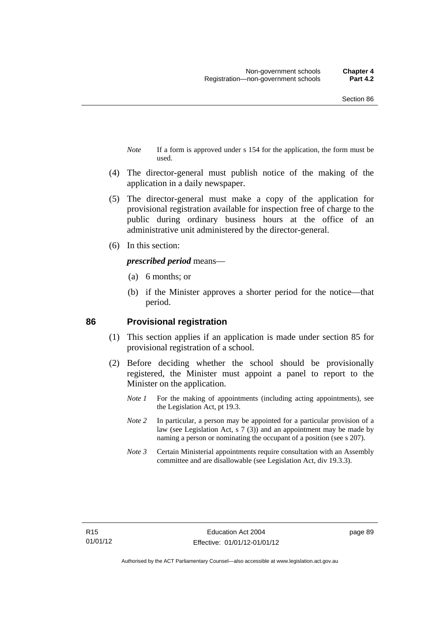- *Note* If a form is approved under s 154 for the application, the form must be used.
- (4) The director-general must publish notice of the making of the application in a daily newspaper.
- (5) The director-general must make a copy of the application for provisional registration available for inspection free of charge to the public during ordinary business hours at the office of an administrative unit administered by the director-general.
- (6) In this section:

#### *prescribed period* means—

- (a) 6 months; or
- (b) if the Minister approves a shorter period for the notice—that period.

#### **86 Provisional registration**

- (1) This section applies if an application is made under section 85 for provisional registration of a school.
- (2) Before deciding whether the school should be provisionally registered, the Minister must appoint a panel to report to the Minister on the application.
	- *Note 1* For the making of appointments (including acting appointments), see the Legislation Act, pt 19.3.
	- *Note 2* In particular, a person may be appointed for a particular provision of a law (see Legislation Act, s 7 (3)) and an appointment may be made by naming a person or nominating the occupant of a position (see s 207).
	- *Note 3* Certain Ministerial appointments require consultation with an Assembly committee and are disallowable (see Legislation Act, div 19.3.3).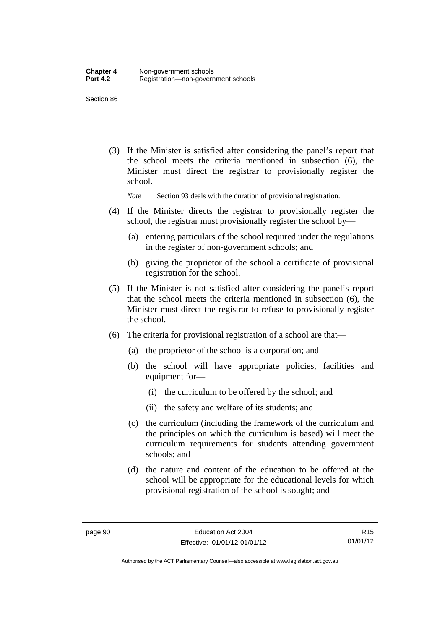Section 86

 (3) If the Minister is satisfied after considering the panel's report that the school meets the criteria mentioned in subsection (6), the Minister must direct the registrar to provisionally register the school.

*Note* Section 93 deals with the duration of provisional registration.

- (4) If the Minister directs the registrar to provisionally register the school, the registrar must provisionally register the school by—
	- (a) entering particulars of the school required under the regulations in the register of non-government schools; and
	- (b) giving the proprietor of the school a certificate of provisional registration for the school.
- (5) If the Minister is not satisfied after considering the panel's report that the school meets the criteria mentioned in subsection (6), the Minister must direct the registrar to refuse to provisionally register the school.
- (6) The criteria for provisional registration of a school are that—
	- (a) the proprietor of the school is a corporation; and
	- (b) the school will have appropriate policies, facilities and equipment for-
		- (i) the curriculum to be offered by the school; and
		- (ii) the safety and welfare of its students; and
	- (c) the curriculum (including the framework of the curriculum and the principles on which the curriculum is based) will meet the curriculum requirements for students attending government schools; and
	- (d) the nature and content of the education to be offered at the school will be appropriate for the educational levels for which provisional registration of the school is sought; and

R15 01/01/12

Authorised by the ACT Parliamentary Counsel—also accessible at www.legislation.act.gov.au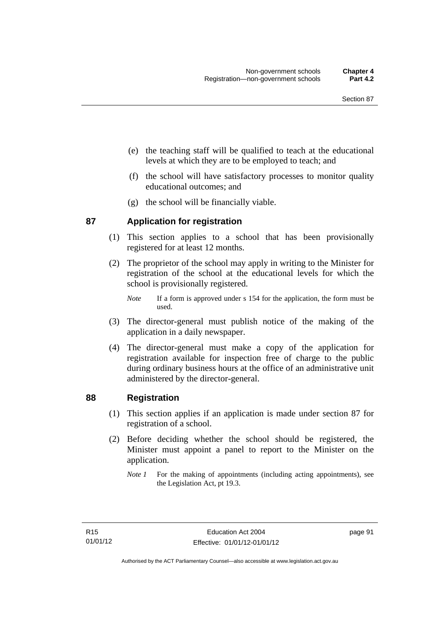- (e) the teaching staff will be qualified to teach at the educational levels at which they are to be employed to teach; and
- (f) the school will have satisfactory processes to monitor quality educational outcomes; and
- (g) the school will be financially viable.

#### **87 Application for registration**

- (1) This section applies to a school that has been provisionally registered for at least 12 months.
- (2) The proprietor of the school may apply in writing to the Minister for registration of the school at the educational levels for which the school is provisionally registered.
	- *Note* If a form is approved under s 154 for the application, the form must be used.
- (3) The director-general must publish notice of the making of the application in a daily newspaper.
- (4) The director-general must make a copy of the application for registration available for inspection free of charge to the public during ordinary business hours at the office of an administrative unit administered by the director-general.

#### **88 Registration**

- (1) This section applies if an application is made under section 87 for registration of a school.
- (2) Before deciding whether the school should be registered, the Minister must appoint a panel to report to the Minister on the application.
	- *Note 1* For the making of appointments (including acting appointments), see the Legislation Act, pt 19.3.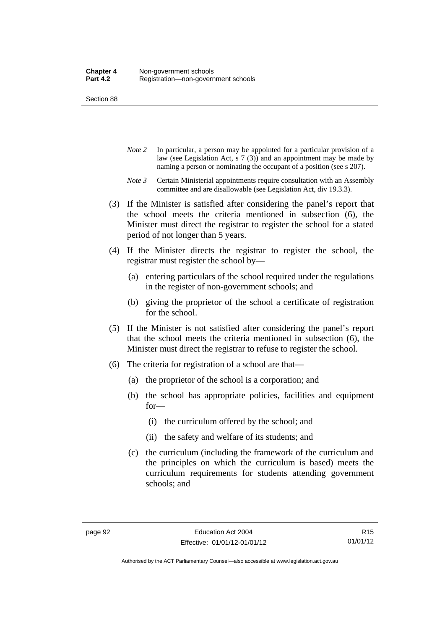Section 88

- *Note 2* In particular, a person may be appointed for a particular provision of a law (see Legislation Act, s 7 (3)) and an appointment may be made by naming a person or nominating the occupant of a position (see s 207).
- *Note 3* Certain Ministerial appointments require consultation with an Assembly committee and are disallowable (see Legislation Act, div 19.3.3).
- (3) If the Minister is satisfied after considering the panel's report that the school meets the criteria mentioned in subsection (6), the Minister must direct the registrar to register the school for a stated period of not longer than 5 years.
- (4) If the Minister directs the registrar to register the school, the registrar must register the school by—
	- (a) entering particulars of the school required under the regulations in the register of non-government schools; and
	- (b) giving the proprietor of the school a certificate of registration for the school.
- (5) If the Minister is not satisfied after considering the panel's report that the school meets the criteria mentioned in subsection (6), the Minister must direct the registrar to refuse to register the school.
- (6) The criteria for registration of a school are that—
	- (a) the proprietor of the school is a corporation; and
	- (b) the school has appropriate policies, facilities and equipment for—
		- (i) the curriculum offered by the school; and
		- (ii) the safety and welfare of its students; and
	- (c) the curriculum (including the framework of the curriculum and the principles on which the curriculum is based) meets the curriculum requirements for students attending government schools; and

Authorised by the ACT Parliamentary Counsel—also accessible at www.legislation.act.gov.au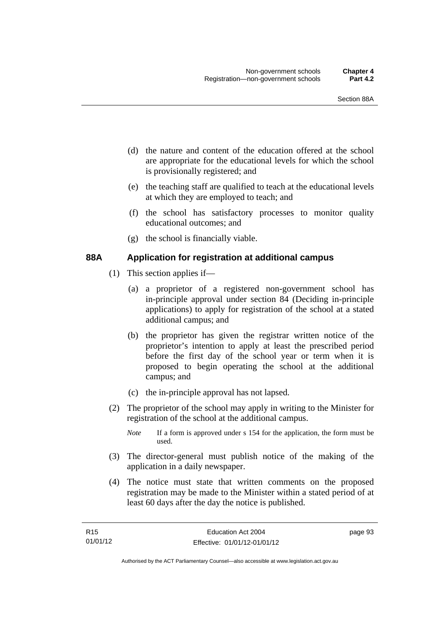- (d) the nature and content of the education offered at the school are appropriate for the educational levels for which the school is provisionally registered; and
- (e) the teaching staff are qualified to teach at the educational levels at which they are employed to teach; and
- (f) the school has satisfactory processes to monitor quality educational outcomes; and
- (g) the school is financially viable.

#### **88A Application for registration at additional campus**

- (1) This section applies if—
	- (a) a proprietor of a registered non-government school has in-principle approval under section 84 (Deciding in-principle applications) to apply for registration of the school at a stated additional campus; and
	- (b) the proprietor has given the registrar written notice of the proprietor's intention to apply at least the prescribed period before the first day of the school year or term when it is proposed to begin operating the school at the additional campus; and
	- (c) the in-principle approval has not lapsed.
- (2) The proprietor of the school may apply in writing to the Minister for registration of the school at the additional campus.
	- *Note* If a form is approved under s 154 for the application, the form must be used.
- (3) The director-general must publish notice of the making of the application in a daily newspaper.
- (4) The notice must state that written comments on the proposed registration may be made to the Minister within a stated period of at least 60 days after the day the notice is published.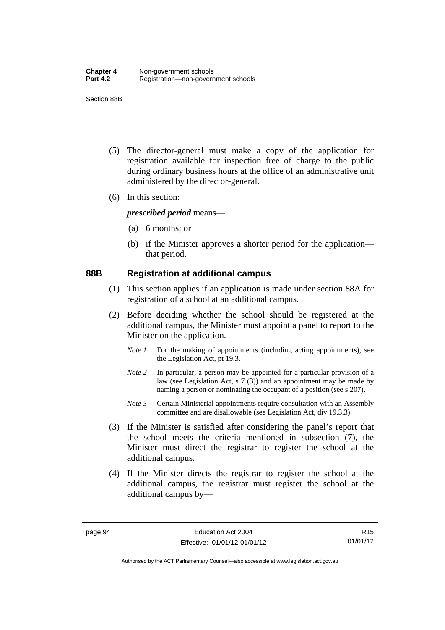Section 88B

- (5) The director-general must make a copy of the application for registration available for inspection free of charge to the public during ordinary business hours at the office of an administrative unit administered by the director-general.
- (6) In this section:

*prescribed period* means—

- (a) 6 months; or
- (b) if the Minister approves a shorter period for the application that period.

#### **88B Registration at additional campus**

- (1) This section applies if an application is made under section 88A for registration of a school at an additional campus.
- (2) Before deciding whether the school should be registered at the additional campus, the Minister must appoint a panel to report to the Minister on the application.
	- *Note 1* For the making of appointments (including acting appointments), see the Legislation Act, pt 19.3.
	- *Note 2* In particular, a person may be appointed for a particular provision of a law (see Legislation Act, s 7 (3)) and an appointment may be made by naming a person or nominating the occupant of a position (see s 207).
	- *Note 3* Certain Ministerial appointments require consultation with an Assembly committee and are disallowable (see Legislation Act, div 19.3.3).
- (3) If the Minister is satisfied after considering the panel's report that the school meets the criteria mentioned in subsection (7), the Minister must direct the registrar to register the school at the additional campus.
- (4) If the Minister directs the registrar to register the school at the additional campus, the registrar must register the school at the additional campus by—

R15 01/01/12

Authorised by the ACT Parliamentary Counsel—also accessible at www.legislation.act.gov.au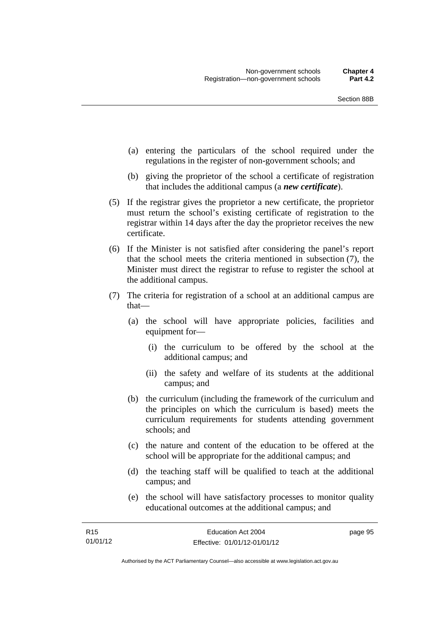- (a) entering the particulars of the school required under the regulations in the register of non-government schools; and
- (b) giving the proprietor of the school a certificate of registration that includes the additional campus (a *new certificate*).
- (5) If the registrar gives the proprietor a new certificate, the proprietor must return the school's existing certificate of registration to the registrar within 14 days after the day the proprietor receives the new certificate.
- (6) If the Minister is not satisfied after considering the panel's report that the school meets the criteria mentioned in subsection (7), the Minister must direct the registrar to refuse to register the school at the additional campus.
- (7) The criteria for registration of a school at an additional campus are that—
	- (a) the school will have appropriate policies, facilities and equipment for—
		- (i) the curriculum to be offered by the school at the additional campus; and
		- (ii) the safety and welfare of its students at the additional campus; and
	- (b) the curriculum (including the framework of the curriculum and the principles on which the curriculum is based) meets the curriculum requirements for students attending government schools; and
	- (c) the nature and content of the education to be offered at the school will be appropriate for the additional campus; and
	- (d) the teaching staff will be qualified to teach at the additional campus; and
	- (e) the school will have satisfactory processes to monitor quality educational outcomes at the additional campus; and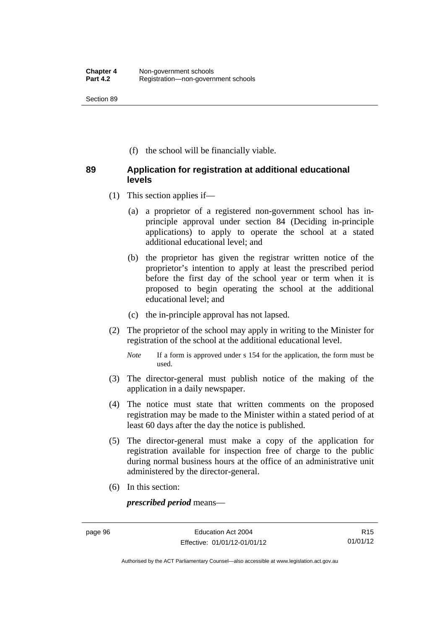Section 89

(f) the school will be financially viable.

### **89 Application for registration at additional educational levels**

- (1) This section applies if—
	- (a) a proprietor of a registered non-government school has inprinciple approval under section 84 (Deciding in-principle applications) to apply to operate the school at a stated additional educational level; and
	- (b) the proprietor has given the registrar written notice of the proprietor's intention to apply at least the prescribed period before the first day of the school year or term when it is proposed to begin operating the school at the additional educational level; and
	- (c) the in-principle approval has not lapsed.
- (2) The proprietor of the school may apply in writing to the Minister for registration of the school at the additional educational level.
	- *Note* If a form is approved under s 154 for the application, the form must be used.
- (3) The director-general must publish notice of the making of the application in a daily newspaper.
- (4) The notice must state that written comments on the proposed registration may be made to the Minister within a stated period of at least 60 days after the day the notice is published.
- (5) The director-general must make a copy of the application for registration available for inspection free of charge to the public during normal business hours at the office of an administrative unit administered by the director-general.
- (6) In this section:

*prescribed period* means—

R15 01/01/12

Authorised by the ACT Parliamentary Counsel—also accessible at www.legislation.act.gov.au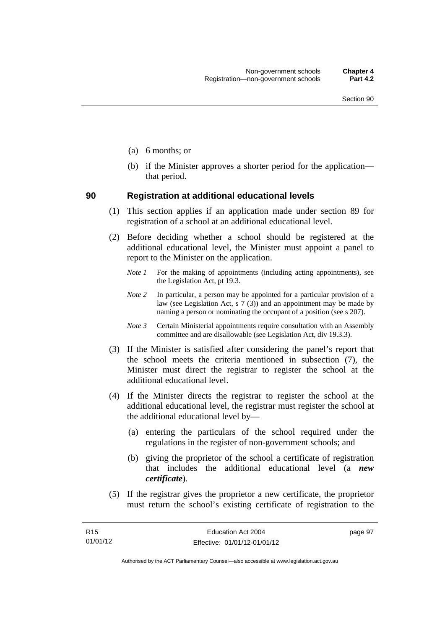- (a) 6 months; or
- (b) if the Minister approves a shorter period for the application that period.

#### **90 Registration at additional educational levels**

- (1) This section applies if an application made under section 89 for registration of a school at an additional educational level.
- (2) Before deciding whether a school should be registered at the additional educational level, the Minister must appoint a panel to report to the Minister on the application.
	- *Note 1* For the making of appointments (including acting appointments), see the Legislation Act, pt 19.3.
	- *Note 2* In particular, a person may be appointed for a particular provision of a law (see Legislation Act, s  $7(3)$ ) and an appointment may be made by naming a person or nominating the occupant of a position (see s 207).
	- *Note 3* Certain Ministerial appointments require consultation with an Assembly committee and are disallowable (see Legislation Act, div 19.3.3).
- (3) If the Minister is satisfied after considering the panel's report that the school meets the criteria mentioned in subsection (7), the Minister must direct the registrar to register the school at the additional educational level.
- (4) If the Minister directs the registrar to register the school at the additional educational level, the registrar must register the school at the additional educational level by—
	- (a) entering the particulars of the school required under the regulations in the register of non-government schools; and
	- (b) giving the proprietor of the school a certificate of registration that includes the additional educational level (a *new certificate*).
- (5) If the registrar gives the proprietor a new certificate, the proprietor must return the school's existing certificate of registration to the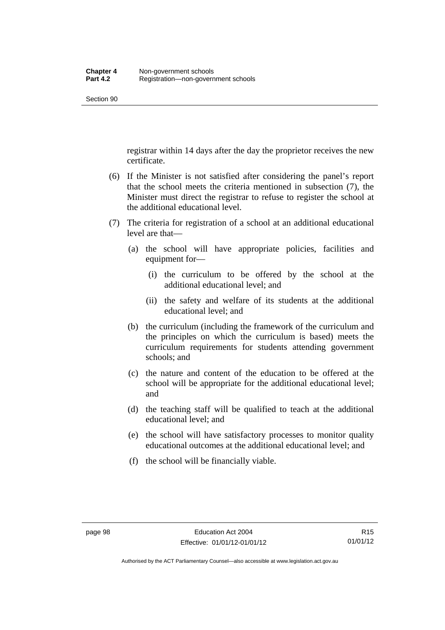registrar within 14 days after the day the proprietor receives the new certificate.

- (6) If the Minister is not satisfied after considering the panel's report that the school meets the criteria mentioned in subsection (7), the Minister must direct the registrar to refuse to register the school at the additional educational level.
- (7) The criteria for registration of a school at an additional educational level are that—
	- (a) the school will have appropriate policies, facilities and equipment for—
		- (i) the curriculum to be offered by the school at the additional educational level; and
		- (ii) the safety and welfare of its students at the additional educational level; and
	- (b) the curriculum (including the framework of the curriculum and the principles on which the curriculum is based) meets the curriculum requirements for students attending government schools; and
	- (c) the nature and content of the education to be offered at the school will be appropriate for the additional educational level; and
	- (d) the teaching staff will be qualified to teach at the additional educational level; and
	- (e) the school will have satisfactory processes to monitor quality educational outcomes at the additional educational level; and
	- (f) the school will be financially viable.

Authorised by the ACT Parliamentary Counsel—also accessible at www.legislation.act.gov.au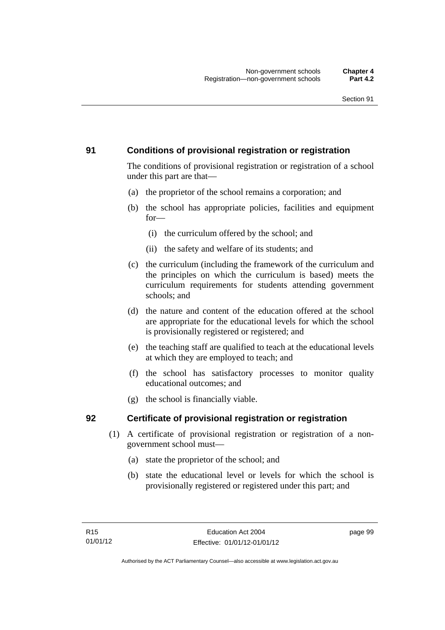# **91 Conditions of provisional registration or registration**

The conditions of provisional registration or registration of a school under this part are that—

- (a) the proprietor of the school remains a corporation; and
- (b) the school has appropriate policies, facilities and equipment for—
	- (i) the curriculum offered by the school; and
	- (ii) the safety and welfare of its students; and
- (c) the curriculum (including the framework of the curriculum and the principles on which the curriculum is based) meets the curriculum requirements for students attending government schools; and
- (d) the nature and content of the education offered at the school are appropriate for the educational levels for which the school is provisionally registered or registered; and
- (e) the teaching staff are qualified to teach at the educational levels at which they are employed to teach; and
- (f) the school has satisfactory processes to monitor quality educational outcomes; and
- (g) the school is financially viable.

# **92 Certificate of provisional registration or registration**

- (1) A certificate of provisional registration or registration of a nongovernment school must—
	- (a) state the proprietor of the school; and
	- (b) state the educational level or levels for which the school is provisionally registered or registered under this part; and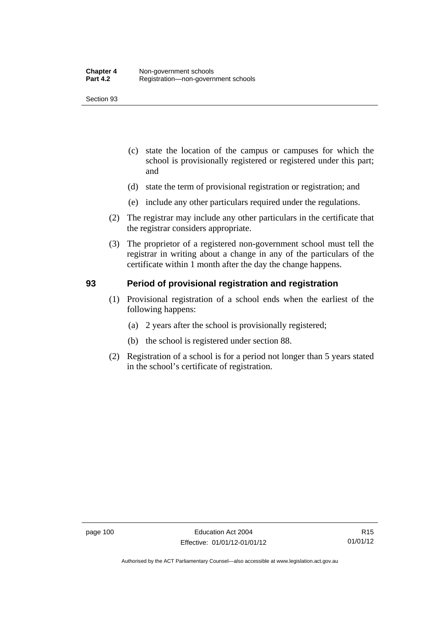- (c) state the location of the campus or campuses for which the school is provisionally registered or registered under this part; and
- (d) state the term of provisional registration or registration; and
- (e) include any other particulars required under the regulations.
- (2) The registrar may include any other particulars in the certificate that the registrar considers appropriate.
- (3) The proprietor of a registered non-government school must tell the registrar in writing about a change in any of the particulars of the certificate within 1 month after the day the change happens.

## **93 Period of provisional registration and registration**

- (1) Provisional registration of a school ends when the earliest of the following happens:
	- (a) 2 years after the school is provisionally registered;
	- (b) the school is registered under section 88.
- (2) Registration of a school is for a period not longer than 5 years stated in the school's certificate of registration.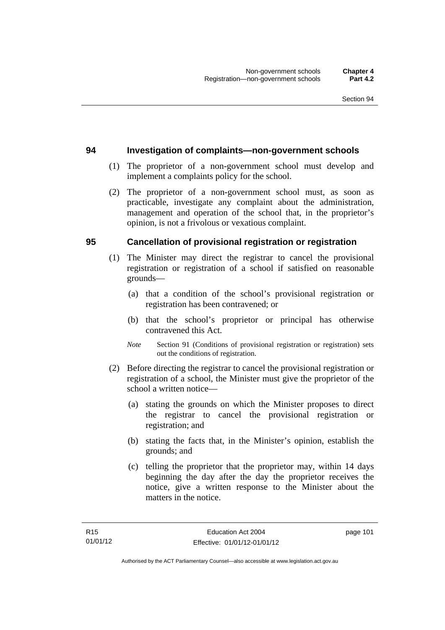#### **94 Investigation of complaints—non-government schools**

- (1) The proprietor of a non-government school must develop and implement a complaints policy for the school.
- (2) The proprietor of a non-government school must, as soon as practicable, investigate any complaint about the administration, management and operation of the school that, in the proprietor's opinion, is not a frivolous or vexatious complaint.

## **95 Cancellation of provisional registration or registration**

- (1) The Minister may direct the registrar to cancel the provisional registration or registration of a school if satisfied on reasonable grounds—
	- (a) that a condition of the school's provisional registration or registration has been contravened; or
	- (b) that the school's proprietor or principal has otherwise contravened this Act.
	- *Note* Section 91 (Conditions of provisional registration or registration) sets out the conditions of registration.
- (2) Before directing the registrar to cancel the provisional registration or registration of a school, the Minister must give the proprietor of the school a written notice—
	- (a) stating the grounds on which the Minister proposes to direct the registrar to cancel the provisional registration or registration; and
	- (b) stating the facts that, in the Minister's opinion, establish the grounds; and
	- (c) telling the proprietor that the proprietor may, within 14 days beginning the day after the day the proprietor receives the notice, give a written response to the Minister about the matters in the notice.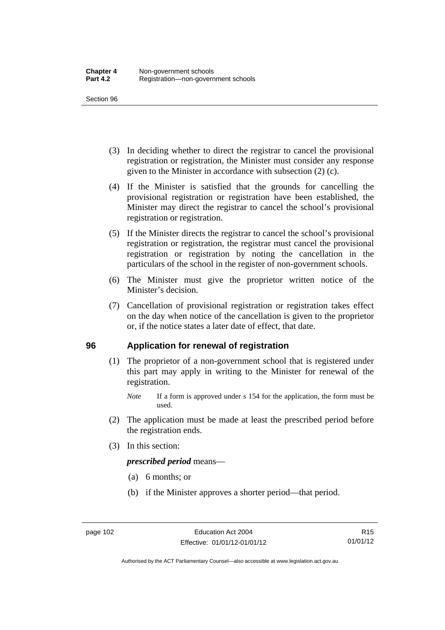- (3) In deciding whether to direct the registrar to cancel the provisional registration or registration, the Minister must consider any response given to the Minister in accordance with subsection (2) (c).
- (4) If the Minister is satisfied that the grounds for cancelling the provisional registration or registration have been established, the Minister may direct the registrar to cancel the school's provisional registration or registration.
- (5) If the Minister directs the registrar to cancel the school's provisional registration or registration, the registrar must cancel the provisional registration or registration by noting the cancellation in the particulars of the school in the register of non-government schools.
- (6) The Minister must give the proprietor written notice of the Minister's decision.
- (7) Cancellation of provisional registration or registration takes effect on the day when notice of the cancellation is given to the proprietor or, if the notice states a later date of effect, that date.

#### **96 Application for renewal of registration**

- (1) The proprietor of a non-government school that is registered under this part may apply in writing to the Minister for renewal of the registration.
	- *Note* If a form is approved under s 154 for the application, the form must be used.
- (2) The application must be made at least the prescribed period before the registration ends.
- (3) In this section:

*prescribed period* means—

- (a) 6 months; or
- (b) if the Minister approves a shorter period—that period.

Authorised by the ACT Parliamentary Counsel—also accessible at www.legislation.act.gov.au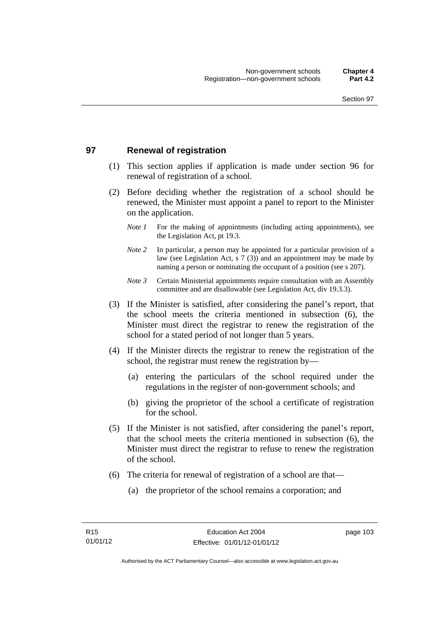# **97 Renewal of registration**

- (1) This section applies if application is made under section 96 for renewal of registration of a school.
- (2) Before deciding whether the registration of a school should be renewed, the Minister must appoint a panel to report to the Minister on the application.
	- *Note 1* For the making of appointments (including acting appointments), see the Legislation Act, pt 19.3.
	- *Note 2* In particular, a person may be appointed for a particular provision of a law (see Legislation Act, s 7 (3)) and an appointment may be made by naming a person or nominating the occupant of a position (see s 207).
	- *Note 3* Certain Ministerial appointments require consultation with an Assembly committee and are disallowable (see Legislation Act, div 19.3.3).
- (3) If the Minister is satisfied, after considering the panel's report, that the school meets the criteria mentioned in subsection (6), the Minister must direct the registrar to renew the registration of the school for a stated period of not longer than 5 years.
- (4) If the Minister directs the registrar to renew the registration of the school, the registrar must renew the registration by—
	- (a) entering the particulars of the school required under the regulations in the register of non-government schools; and
	- (b) giving the proprietor of the school a certificate of registration for the school.
- (5) If the Minister is not satisfied, after considering the panel's report, that the school meets the criteria mentioned in subsection (6), the Minister must direct the registrar to refuse to renew the registration of the school.
- (6) The criteria for renewal of registration of a school are that—
	- (a) the proprietor of the school remains a corporation; and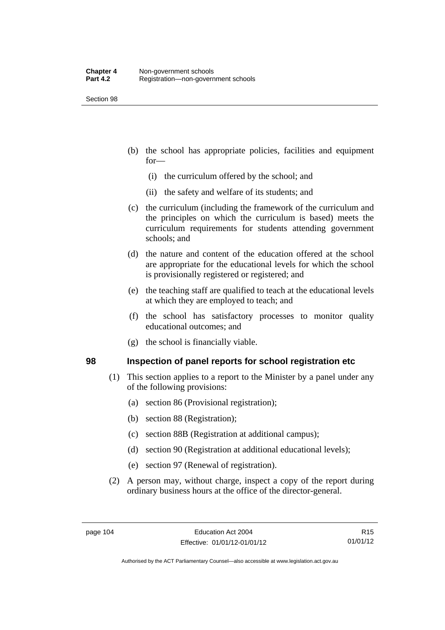- (b) the school has appropriate policies, facilities and equipment for—
	- (i) the curriculum offered by the school; and
	- (ii) the safety and welfare of its students; and
- (c) the curriculum (including the framework of the curriculum and the principles on which the curriculum is based) meets the curriculum requirements for students attending government schools; and
- (d) the nature and content of the education offered at the school are appropriate for the educational levels for which the school is provisionally registered or registered; and
- (e) the teaching staff are qualified to teach at the educational levels at which they are employed to teach; and
- (f) the school has satisfactory processes to monitor quality educational outcomes; and
- (g) the school is financially viable.

#### **98 Inspection of panel reports for school registration etc**

- (1) This section applies to a report to the Minister by a panel under any of the following provisions:
	- (a) section 86 (Provisional registration);
	- (b) section 88 (Registration);
	- (c) section 88B (Registration at additional campus);
	- (d) section 90 (Registration at additional educational levels);
	- (e) section 97 (Renewal of registration).
- (2) A person may, without charge, inspect a copy of the report during ordinary business hours at the office of the director-general.

Authorised by the ACT Parliamentary Counsel—also accessible at www.legislation.act.gov.au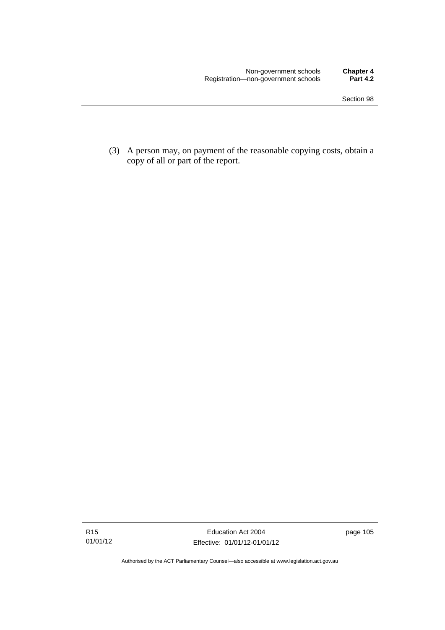(3) A person may, on payment of the reasonable copying costs, obtain a copy of all or part of the report.

Authorised by the ACT Parliamentary Counsel—also accessible at www.legislation.act.gov.au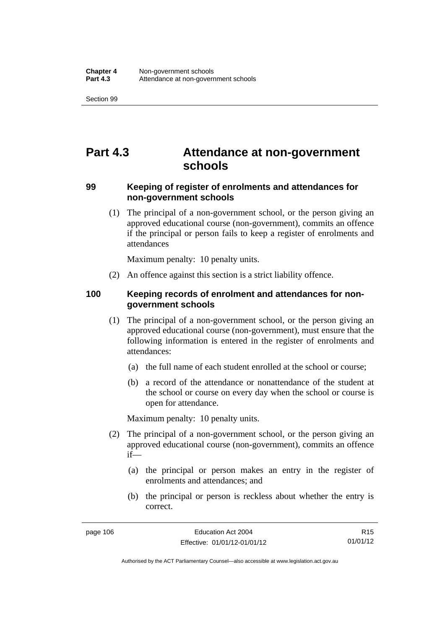# **Part 4.3 Attendance at non-government schools**

## **99 Keeping of register of enrolments and attendances for non-government schools**

 (1) The principal of a non-government school, or the person giving an approved educational course (non-government), commits an offence if the principal or person fails to keep a register of enrolments and attendances

Maximum penalty: 10 penalty units.

(2) An offence against this section is a strict liability offence.

## **100 Keeping records of enrolment and attendances for nongovernment schools**

- (1) The principal of a non-government school, or the person giving an approved educational course (non-government), must ensure that the following information is entered in the register of enrolments and attendances:
	- (a) the full name of each student enrolled at the school or course;
	- (b) a record of the attendance or nonattendance of the student at the school or course on every day when the school or course is open for attendance.

Maximum penalty: 10 penalty units.

- (2) The principal of a non-government school, or the person giving an approved educational course (non-government), commits an offence if—
	- (a) the principal or person makes an entry in the register of enrolments and attendances; and
	- (b) the principal or person is reckless about whether the entry is correct.

Authorised by the ACT Parliamentary Counsel—also accessible at www.legislation.act.gov.au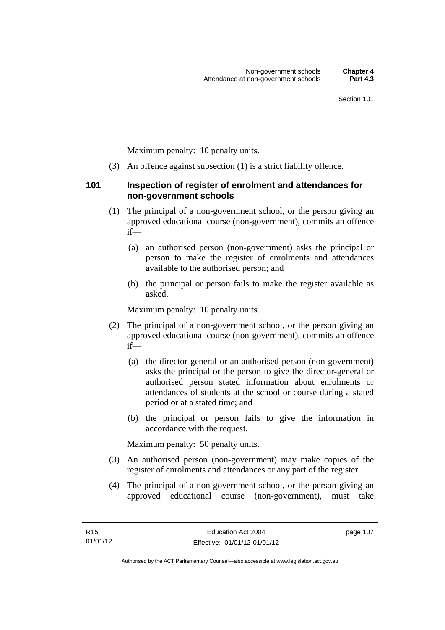Maximum penalty: 10 penalty units.

(3) An offence against subsection (1) is a strict liability offence.

#### **101 Inspection of register of enrolment and attendances for non-government schools**

- (1) The principal of a non-government school, or the person giving an approved educational course (non-government), commits an offence if—
	- (a) an authorised person (non-government) asks the principal or person to make the register of enrolments and attendances available to the authorised person; and
	- (b) the principal or person fails to make the register available as asked.

Maximum penalty: 10 penalty units.

- (2) The principal of a non-government school, or the person giving an approved educational course (non-government), commits an offence if—
	- (a) the director-general or an authorised person (non-government) asks the principal or the person to give the director-general or authorised person stated information about enrolments or attendances of students at the school or course during a stated period or at a stated time; and
	- (b) the principal or person fails to give the information in accordance with the request.

Maximum penalty: 50 penalty units.

- (3) An authorised person (non-government) may make copies of the register of enrolments and attendances or any part of the register.
- (4) The principal of a non-government school, or the person giving an approved educational course (non-government), must take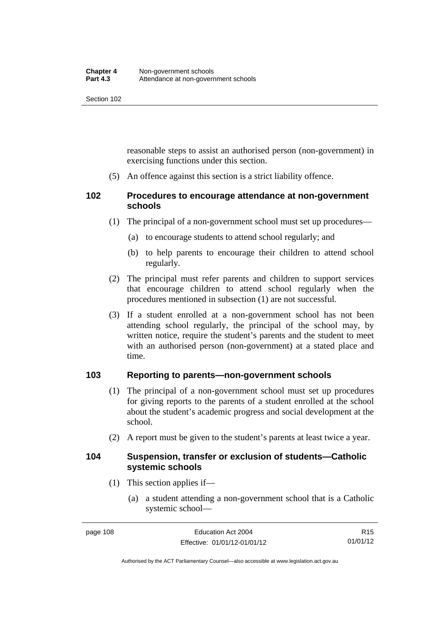reasonable steps to assist an authorised person (non-government) in exercising functions under this section.

(5) An offence against this section is a strict liability offence.

# **102 Procedures to encourage attendance at non-government schools**

- (1) The principal of a non-government school must set up procedures—
	- (a) to encourage students to attend school regularly; and
	- (b) to help parents to encourage their children to attend school regularly.
- (2) The principal must refer parents and children to support services that encourage children to attend school regularly when the procedures mentioned in subsection (1) are not successful.
- (3) If a student enrolled at a non-government school has not been attending school regularly, the principal of the school may, by written notice, require the student's parents and the student to meet with an authorised person (non-government) at a stated place and time.

# **103 Reporting to parents—non-government schools**

- (1) The principal of a non-government school must set up procedures for giving reports to the parents of a student enrolled at the school about the student's academic progress and social development at the school.
- (2) A report must be given to the student's parents at least twice a year.

#### **104 Suspension, transfer or exclusion of students—Catholic systemic schools**

- (1) This section applies if—
	- (a) a student attending a non-government school that is a Catholic systemic school—

R15 01/01/12

Authorised by the ACT Parliamentary Counsel—also accessible at www.legislation.act.gov.au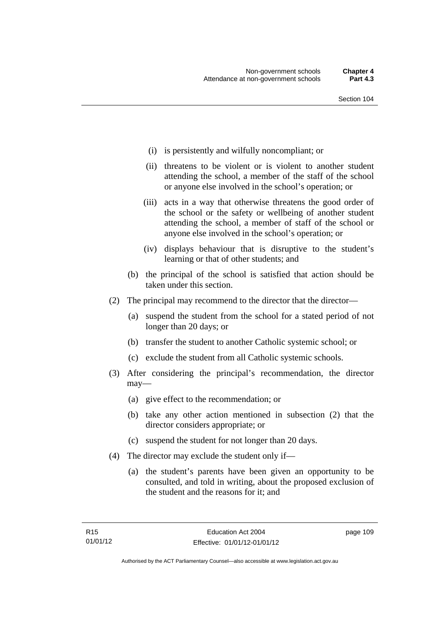- (i) is persistently and wilfully noncompliant; or
- (ii) threatens to be violent or is violent to another student attending the school, a member of the staff of the school or anyone else involved in the school's operation; or
- (iii) acts in a way that otherwise threatens the good order of the school or the safety or wellbeing of another student attending the school, a member of staff of the school or anyone else involved in the school's operation; or
- (iv) displays behaviour that is disruptive to the student's learning or that of other students; and
- (b) the principal of the school is satisfied that action should be taken under this section.
- (2) The principal may recommend to the director that the director—
	- (a) suspend the student from the school for a stated period of not longer than 20 days; or
	- (b) transfer the student to another Catholic systemic school; or
	- (c) exclude the student from all Catholic systemic schools.
- (3) After considering the principal's recommendation, the director may—
	- (a) give effect to the recommendation; or
	- (b) take any other action mentioned in subsection (2) that the director considers appropriate; or
	- (c) suspend the student for not longer than 20 days.
- (4) The director may exclude the student only if—
	- (a) the student's parents have been given an opportunity to be consulted, and told in writing, about the proposed exclusion of the student and the reasons for it; and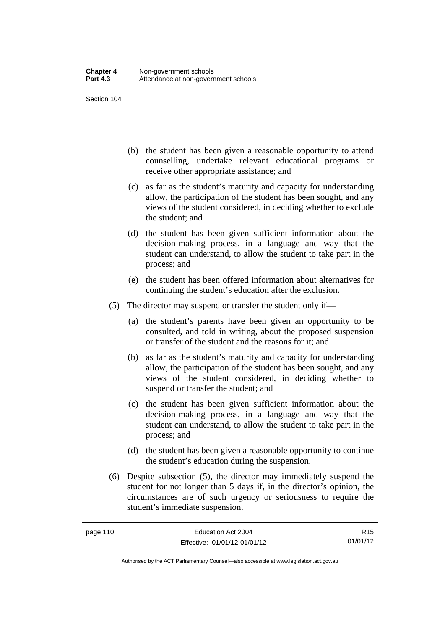- (b) the student has been given a reasonable opportunity to attend counselling, undertake relevant educational programs or receive other appropriate assistance; and
- (c) as far as the student's maturity and capacity for understanding allow, the participation of the student has been sought, and any views of the student considered, in deciding whether to exclude the student; and
- (d) the student has been given sufficient information about the decision-making process, in a language and way that the student can understand, to allow the student to take part in the process; and
- (e) the student has been offered information about alternatives for continuing the student's education after the exclusion.
- (5) The director may suspend or transfer the student only if—
	- (a) the student's parents have been given an opportunity to be consulted, and told in writing, about the proposed suspension or transfer of the student and the reasons for it; and
	- (b) as far as the student's maturity and capacity for understanding allow, the participation of the student has been sought, and any views of the student considered, in deciding whether to suspend or transfer the student; and
	- (c) the student has been given sufficient information about the decision-making process, in a language and way that the student can understand, to allow the student to take part in the process; and
	- (d) the student has been given a reasonable opportunity to continue the student's education during the suspension.
- (6) Despite subsection (5), the director may immediately suspend the student for not longer than 5 days if, in the director's opinion, the circumstances are of such urgency or seriousness to require the student's immediate suspension.

R15 01/01/12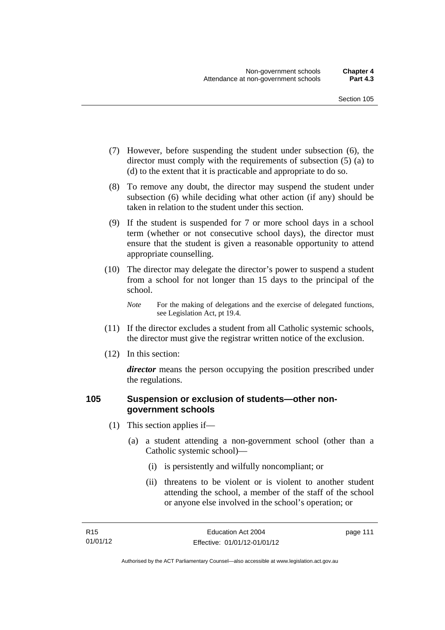- (7) However, before suspending the student under subsection (6), the director must comply with the requirements of subsection (5) (a) to (d) to the extent that it is practicable and appropriate to do so.
- (8) To remove any doubt, the director may suspend the student under subsection (6) while deciding what other action (if any) should be taken in relation to the student under this section.
- (9) If the student is suspended for 7 or more school days in a school term (whether or not consecutive school days), the director must ensure that the student is given a reasonable opportunity to attend appropriate counselling.
- (10) The director may delegate the director's power to suspend a student from a school for not longer than 15 days to the principal of the school.

*Note* For the making of delegations and the exercise of delegated functions, see Legislation Act, pt 19.4.

- (11) If the director excludes a student from all Catholic systemic schools, the director must give the registrar written notice of the exclusion.
- (12) In this section:

*director* means the person occupying the position prescribed under the regulations.

## **105 Suspension or exclusion of students—other nongovernment schools**

- (1) This section applies if—
	- (a) a student attending a non-government school (other than a Catholic systemic school)—
		- (i) is persistently and wilfully noncompliant; or
		- (ii) threatens to be violent or is violent to another student attending the school, a member of the staff of the school or anyone else involved in the school's operation; or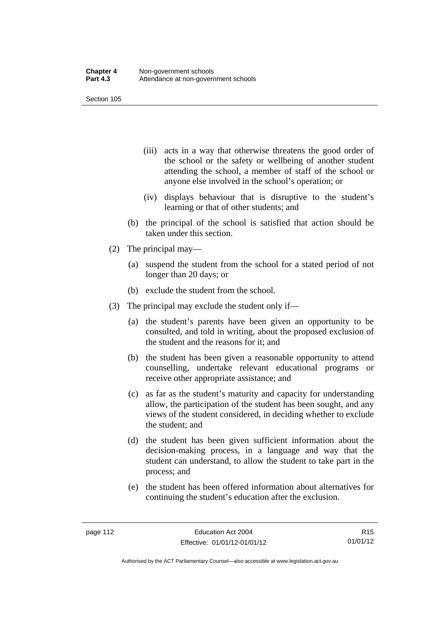- (iii) acts in a way that otherwise threatens the good order of the school or the safety or wellbeing of another student attending the school, a member of staff of the school or anyone else involved in the school's operation; or
- (iv) displays behaviour that is disruptive to the student's learning or that of other students; and
- (b) the principal of the school is satisfied that action should be taken under this section.
- (2) The principal may—
	- (a) suspend the student from the school for a stated period of not longer than 20 days; or
	- (b) exclude the student from the school.
- (3) The principal may exclude the student only if—
	- (a) the student's parents have been given an opportunity to be consulted, and told in writing, about the proposed exclusion of the student and the reasons for it; and
	- (b) the student has been given a reasonable opportunity to attend counselling, undertake relevant educational programs or receive other appropriate assistance; and
	- (c) as far as the student's maturity and capacity for understanding allow, the participation of the student has been sought, and any views of the student considered, in deciding whether to exclude the student; and
	- (d) the student has been given sufficient information about the decision-making process, in a language and way that the student can understand, to allow the student to take part in the process; and
	- (e) the student has been offered information about alternatives for continuing the student's education after the exclusion.

R15 01/01/12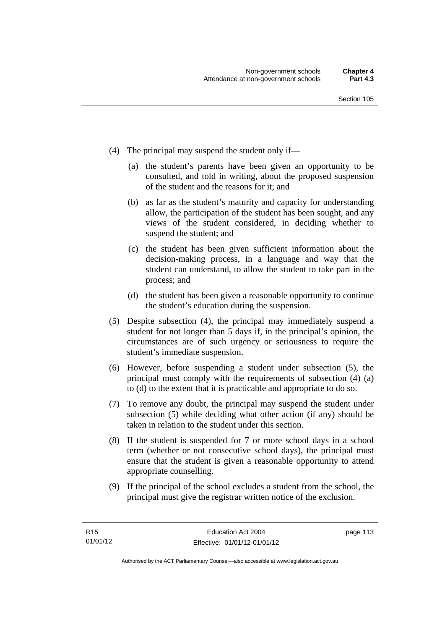- (4) The principal may suspend the student only if—
	- (a) the student's parents have been given an opportunity to be consulted, and told in writing, about the proposed suspension of the student and the reasons for it; and
	- (b) as far as the student's maturity and capacity for understanding allow, the participation of the student has been sought, and any views of the student considered, in deciding whether to suspend the student; and
	- (c) the student has been given sufficient information about the decision-making process, in a language and way that the student can understand, to allow the student to take part in the process; and
	- (d) the student has been given a reasonable opportunity to continue the student's education during the suspension.
- (5) Despite subsection (4), the principal may immediately suspend a student for not longer than 5 days if, in the principal's opinion, the circumstances are of such urgency or seriousness to require the student's immediate suspension.
- (6) However, before suspending a student under subsection (5), the principal must comply with the requirements of subsection (4) (a) to (d) to the extent that it is practicable and appropriate to do so.
- (7) To remove any doubt, the principal may suspend the student under subsection (5) while deciding what other action (if any) should be taken in relation to the student under this section.
- (8) If the student is suspended for 7 or more school days in a school term (whether or not consecutive school days), the principal must ensure that the student is given a reasonable opportunity to attend appropriate counselling.
- (9) If the principal of the school excludes a student from the school, the principal must give the registrar written notice of the exclusion.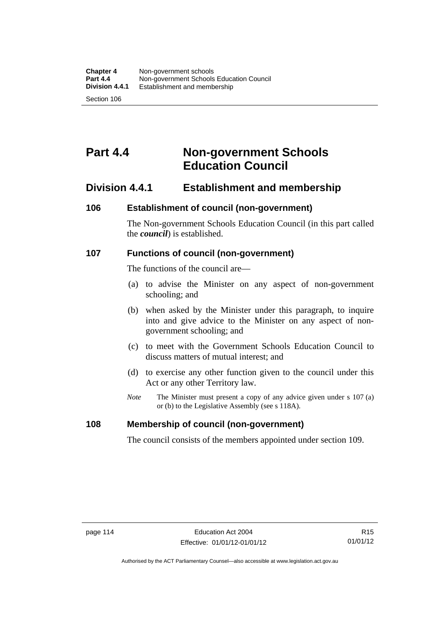# **Part 4.4 Non-government Schools Education Council**

# **Division 4.4.1 Establishment and membership**

## **106 Establishment of council (non-government)**

The Non-government Schools Education Council (in this part called the *council*) is established.

## **107 Functions of council (non-government)**

The functions of the council are—

- (a) to advise the Minister on any aspect of non-government schooling; and
- (b) when asked by the Minister under this paragraph, to inquire into and give advice to the Minister on any aspect of nongovernment schooling; and
- (c) to meet with the Government Schools Education Council to discuss matters of mutual interest; and
- (d) to exercise any other function given to the council under this Act or any other Territory law.
- *Note* The Minister must present a copy of any advice given under s 107 (a) or (b) to the Legislative Assembly (see s 118A).

#### **108 Membership of council (non-government)**

The council consists of the members appointed under section 109.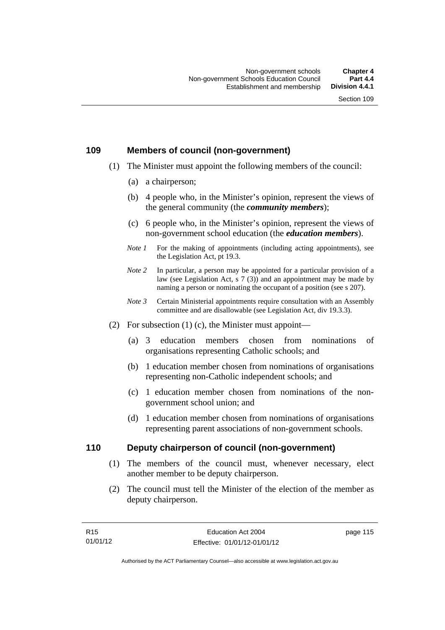## **109 Members of council (non-government)**

- (1) The Minister must appoint the following members of the council:
	- (a) a chairperson;
	- (b) 4 people who, in the Minister's opinion, represent the views of the general community (the *community members*);
	- (c) 6 people who, in the Minister's opinion, represent the views of non-government school education (the *education members*).
	- *Note 1* For the making of appointments (including acting appointments), see the Legislation Act, pt 19.3.
	- *Note* 2 In particular, a person may be appointed for a particular provision of a law (see Legislation Act, s 7 (3)) and an appointment may be made by naming a person or nominating the occupant of a position (see s 207).
	- *Note 3* Certain Ministerial appointments require consultation with an Assembly committee and are disallowable (see Legislation Act, div 19.3.3).
- (2) For subsection  $(1)$  (c), the Minister must appoint—
	- (a) 3 education members chosen from nominations of organisations representing Catholic schools; and
	- (b) 1 education member chosen from nominations of organisations representing non-Catholic independent schools; and
	- (c) 1 education member chosen from nominations of the nongovernment school union; and
	- (d) 1 education member chosen from nominations of organisations representing parent associations of non-government schools.

#### **110 Deputy chairperson of council (non-government)**

- (1) The members of the council must, whenever necessary, elect another member to be deputy chairperson.
- (2) The council must tell the Minister of the election of the member as deputy chairperson.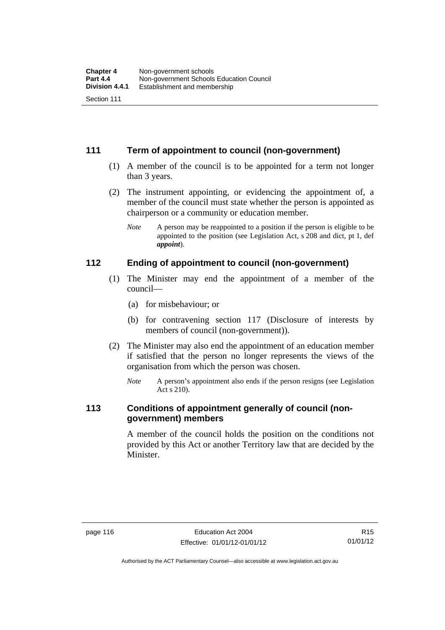# **111 Term of appointment to council (non-government)**

- (1) A member of the council is to be appointed for a term not longer than 3 years.
- (2) The instrument appointing, or evidencing the appointment of, a member of the council must state whether the person is appointed as chairperson or a community or education member.
	- *Note* A person may be reappointed to a position if the person is eligible to be appointed to the position (see Legislation Act, s 208 and dict, pt 1, def *appoint*).

#### **112 Ending of appointment to council (non-government)**

- (1) The Minister may end the appointment of a member of the council—
	- (a) for misbehaviour; or
	- (b) for contravening section 117 (Disclosure of interests by members of council (non-government)).
- (2) The Minister may also end the appointment of an education member if satisfied that the person no longer represents the views of the organisation from which the person was chosen.
	- *Note* A person's appointment also ends if the person resigns (see Legislation Act s 210).

# **113 Conditions of appointment generally of council (nongovernment) members**

A member of the council holds the position on the conditions not provided by this Act or another Territory law that are decided by the Minister.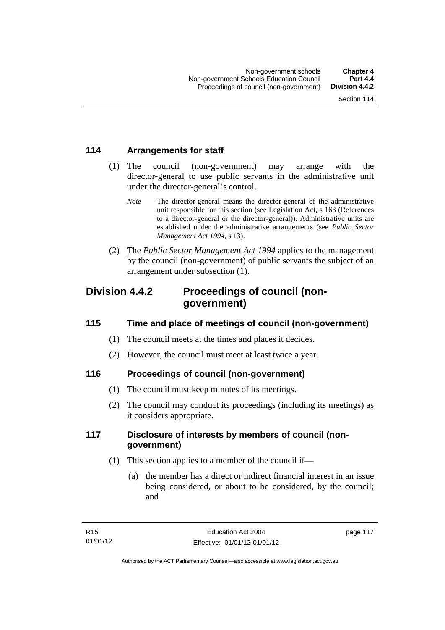# **114 Arrangements for staff**

- (1) The council (non-government) may arrange with the director-general to use public servants in the administrative unit under the director-general's control.
	- *Note* The director-general means the director-general of the administrative unit responsible for this section (see Legislation Act, s 163 (References to a director-general or the director-general)). Administrative units are established under the administrative arrangements (see *Public Sector Management Act 1994*, s 13).
- (2) The *Public Sector Management Act 1994* applies to the management by the council (non-government) of public servants the subject of an arrangement under subsection (1).

# **Division 4.4.2 Proceedings of council (nongovernment)**

# **115 Time and place of meetings of council (non-government)**

- (1) The council meets at the times and places it decides.
- (2) However, the council must meet at least twice a year.

# **116 Proceedings of council (non-government)**

- (1) The council must keep minutes of its meetings.
- (2) The council may conduct its proceedings (including its meetings) as it considers appropriate.

# **117 Disclosure of interests by members of council (nongovernment)**

- (1) This section applies to a member of the council if—
	- (a) the member has a direct or indirect financial interest in an issue being considered, or about to be considered, by the council; and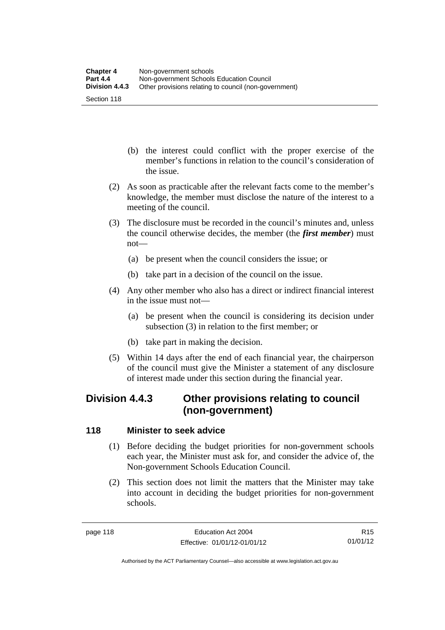- (b) the interest could conflict with the proper exercise of the member's functions in relation to the council's consideration of the issue.
- (2) As soon as practicable after the relevant facts come to the member's knowledge, the member must disclose the nature of the interest to a meeting of the council.
- (3) The disclosure must be recorded in the council's minutes and, unless the council otherwise decides, the member (the *first member*) must not—
	- (a) be present when the council considers the issue; or
	- (b) take part in a decision of the council on the issue.
- (4) Any other member who also has a direct or indirect financial interest in the issue must not—
	- (a) be present when the council is considering its decision under subsection (3) in relation to the first member; or
	- (b) take part in making the decision.
- (5) Within 14 days after the end of each financial year, the chairperson of the council must give the Minister a statement of any disclosure of interest made under this section during the financial year.

# **Division 4.4.3 Other provisions relating to council (non-government)**

# **118 Minister to seek advice**

- (1) Before deciding the budget priorities for non-government schools each year, the Minister must ask for, and consider the advice of, the Non-government Schools Education Council.
- (2) This section does not limit the matters that the Minister may take into account in deciding the budget priorities for non-government schools.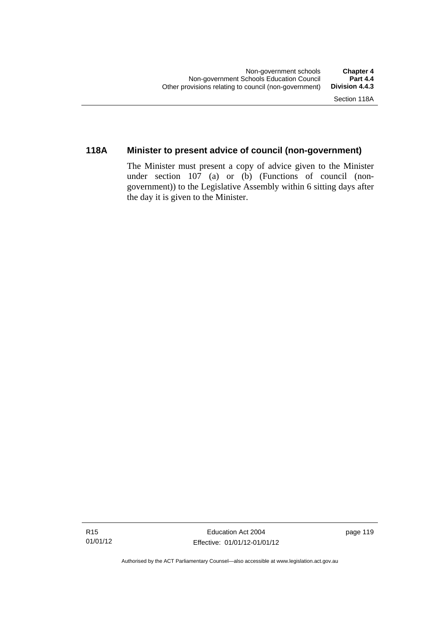# **118A Minister to present advice of council (non-government)**

The Minister must present a copy of advice given to the Minister under section 107 (a) or (b) (Functions of council (nongovernment)) to the Legislative Assembly within 6 sitting days after the day it is given to the Minister.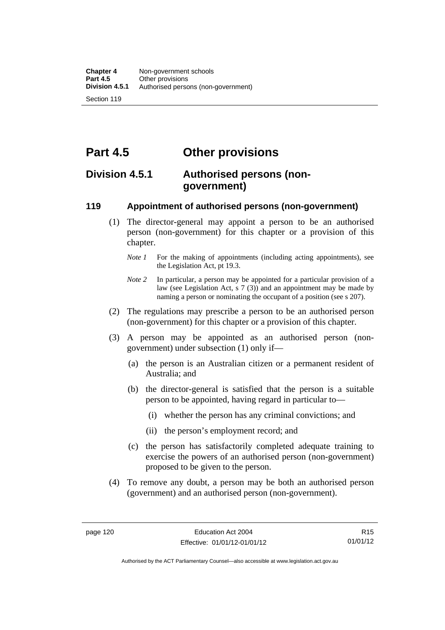**Part 4.5 Other provisions** 

# **Division 4.5.1 Authorised persons (nongovernment)**

## **119 Appointment of authorised persons (non-government)**

- (1) The director-general may appoint a person to be an authorised person (non-government) for this chapter or a provision of this chapter.
	- *Note 1* For the making of appointments (including acting appointments), see the Legislation Act, pt 19.3.
	- *Note 2* In particular, a person may be appointed for a particular provision of a law (see Legislation Act, s 7 (3)) and an appointment may be made by naming a person or nominating the occupant of a position (see s 207).
- (2) The regulations may prescribe a person to be an authorised person (non-government) for this chapter or a provision of this chapter.
- (3) A person may be appointed as an authorised person (nongovernment) under subsection (1) only if—
	- (a) the person is an Australian citizen or a permanent resident of Australia; and
	- (b) the director-general is satisfied that the person is a suitable person to be appointed, having regard in particular to—
		- (i) whether the person has any criminal convictions; and
		- (ii) the person's employment record; and
	- (c) the person has satisfactorily completed adequate training to exercise the powers of an authorised person (non-government) proposed to be given to the person.
- (4) To remove any doubt, a person may be both an authorised person (government) and an authorised person (non-government).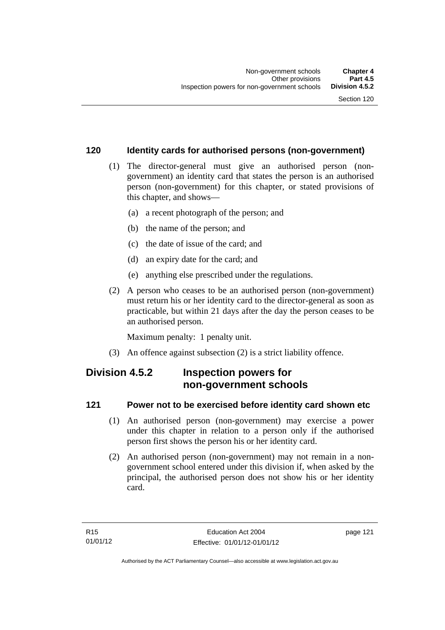#### **120 Identity cards for authorised persons (non-government)**

- (1) The director-general must give an authorised person (nongovernment) an identity card that states the person is an authorised person (non-government) for this chapter, or stated provisions of this chapter, and shows—
	- (a) a recent photograph of the person; and
	- (b) the name of the person; and
	- (c) the date of issue of the card; and
	- (d) an expiry date for the card; and
	- (e) anything else prescribed under the regulations.
- (2) A person who ceases to be an authorised person (non-government) must return his or her identity card to the director-general as soon as practicable, but within 21 days after the day the person ceases to be an authorised person.

Maximum penalty: 1 penalty unit.

(3) An offence against subsection (2) is a strict liability offence.

# **Division 4.5.2 Inspection powers for non-government schools**

#### **121 Power not to be exercised before identity card shown etc**

- (1) An authorised person (non-government) may exercise a power under this chapter in relation to a person only if the authorised person first shows the person his or her identity card.
- (2) An authorised person (non-government) may not remain in a nongovernment school entered under this division if, when asked by the principal, the authorised person does not show his or her identity card.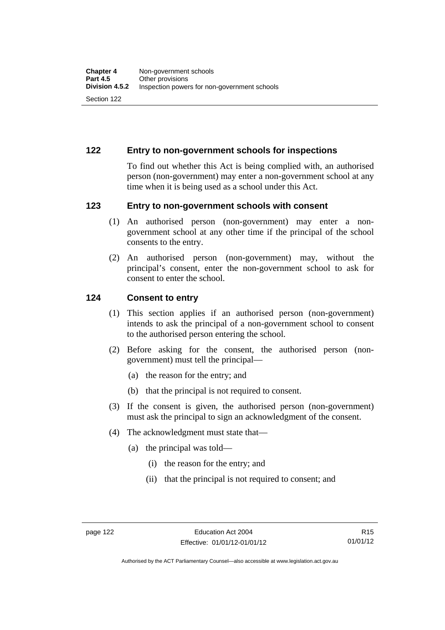# **122 Entry to non-government schools for inspections**

To find out whether this Act is being complied with, an authorised person (non-government) may enter a non-government school at any time when it is being used as a school under this Act.

#### **123 Entry to non-government schools with consent**

- (1) An authorised person (non-government) may enter a nongovernment school at any other time if the principal of the school consents to the entry.
- (2) An authorised person (non-government) may, without the principal's consent, enter the non-government school to ask for consent to enter the school.

#### **124 Consent to entry**

- (1) This section applies if an authorised person (non-government) intends to ask the principal of a non-government school to consent to the authorised person entering the school.
- (2) Before asking for the consent, the authorised person (nongovernment) must tell the principal—
	- (a) the reason for the entry; and
	- (b) that the principal is not required to consent.
- (3) If the consent is given, the authorised person (non-government) must ask the principal to sign an acknowledgment of the consent.
- (4) The acknowledgment must state that—
	- (a) the principal was told—
		- (i) the reason for the entry; and
		- (ii) that the principal is not required to consent; and

Authorised by the ACT Parliamentary Counsel—also accessible at www.legislation.act.gov.au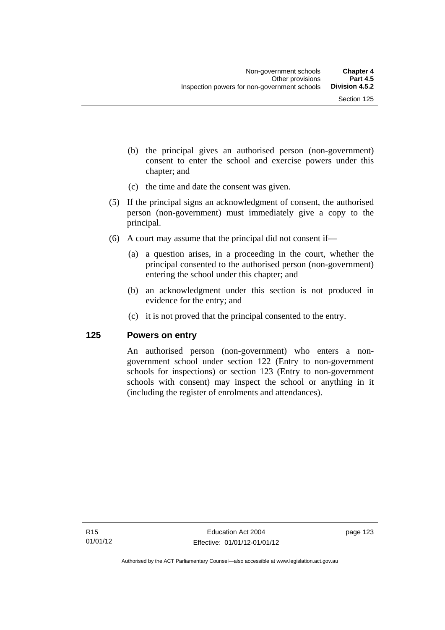- (b) the principal gives an authorised person (non-government) consent to enter the school and exercise powers under this chapter; and
- (c) the time and date the consent was given.
- (5) If the principal signs an acknowledgment of consent, the authorised person (non-government) must immediately give a copy to the principal.
- (6) A court may assume that the principal did not consent if—
	- (a) a question arises, in a proceeding in the court, whether the principal consented to the authorised person (non-government) entering the school under this chapter; and
	- (b) an acknowledgment under this section is not produced in evidence for the entry; and
	- (c) it is not proved that the principal consented to the entry.

#### **125 Powers on entry**

An authorised person (non-government) who enters a nongovernment school under section 122 (Entry to non-government schools for inspections) or section 123 (Entry to non-government schools with consent) may inspect the school or anything in it (including the register of enrolments and attendances).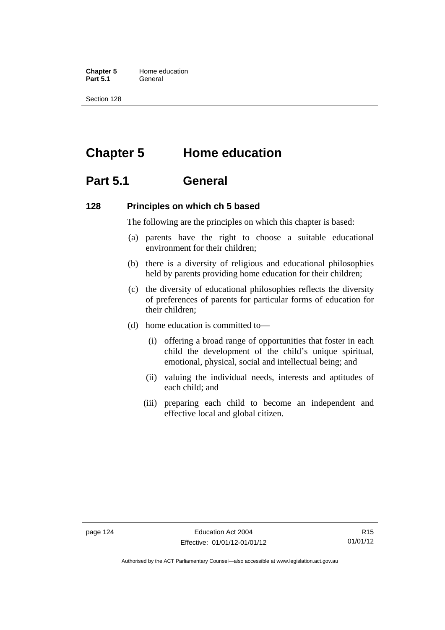**Chapter 5** Home education Part 5.1 **General** 

Section 128

# **Chapter 5 Home education**

# **Part 5.1 General**

#### **128 Principles on which ch 5 based**

The following are the principles on which this chapter is based:

- (a) parents have the right to choose a suitable educational environment for their children;
- (b) there is a diversity of religious and educational philosophies held by parents providing home education for their children;
- (c) the diversity of educational philosophies reflects the diversity of preferences of parents for particular forms of education for their children;
- (d) home education is committed to—
	- (i) offering a broad range of opportunities that foster in each child the development of the child's unique spiritual, emotional, physical, social and intellectual being; and
	- (ii) valuing the individual needs, interests and aptitudes of each child; and
	- (iii) preparing each child to become an independent and effective local and global citizen.

Authorised by the ACT Parliamentary Counsel—also accessible at www.legislation.act.gov.au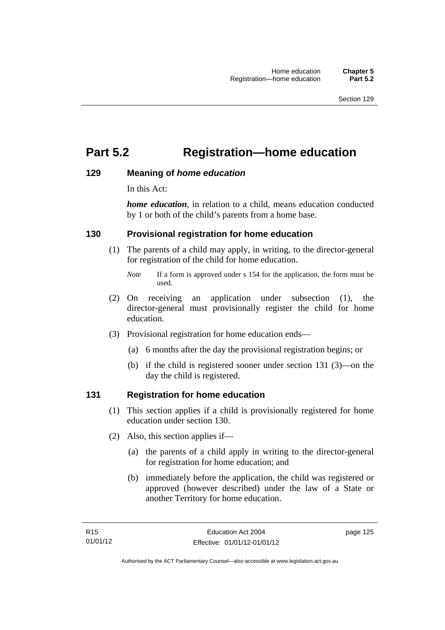# **Part 5.2 Registration—home education**

#### **129 Meaning of** *home education*

In this Act:

*home education*, in relation to a child, means education conducted by 1 or both of the child's parents from a home base.

## **130 Provisional registration for home education**

(1) The parents of a child may apply, in writing, to the director-general for registration of the child for home education.

- (2) On receiving an application under subsection (1), the director-general must provisionally register the child for home education.
- (3) Provisional registration for home education ends—
	- (a) 6 months after the day the provisional registration begins; or
	- (b) if the child is registered sooner under section 131 (3)—on the day the child is registered.

#### **131 Registration for home education**

- (1) This section applies if a child is provisionally registered for home education under section 130.
- (2) Also, this section applies if—
	- (a) the parents of a child apply in writing to the director-general for registration for home education; and
	- (b) immediately before the application, the child was registered or approved (however described) under the law of a State or another Territory for home education.

*Note* If a form is approved under s 154 for the application, the form must be used.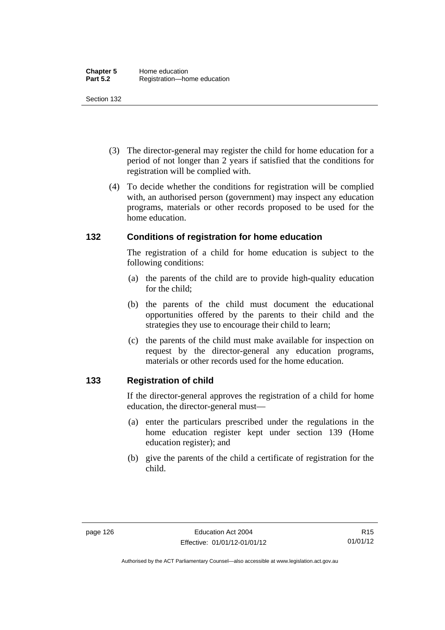- (3) The director-general may register the child for home education for a period of not longer than 2 years if satisfied that the conditions for registration will be complied with.
- (4) To decide whether the conditions for registration will be complied with, an authorised person (government) may inspect any education programs, materials or other records proposed to be used for the home education.

## **132 Conditions of registration for home education**

The registration of a child for home education is subject to the following conditions:

- (a) the parents of the child are to provide high-quality education for the child;
- (b) the parents of the child must document the educational opportunities offered by the parents to their child and the strategies they use to encourage their child to learn;
- (c) the parents of the child must make available for inspection on request by the director-general any education programs, materials or other records used for the home education.

# **133 Registration of child**

If the director-general approves the registration of a child for home education, the director-general must—

- (a) enter the particulars prescribed under the regulations in the home education register kept under section 139 (Home education register); and
- (b) give the parents of the child a certificate of registration for the child.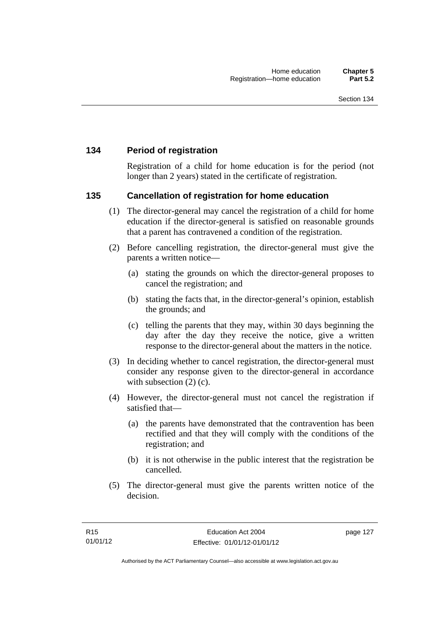# **134 Period of registration**

Registration of a child for home education is for the period (not longer than 2 years) stated in the certificate of registration.

#### **135 Cancellation of registration for home education**

- (1) The director-general may cancel the registration of a child for home education if the director-general is satisfied on reasonable grounds that a parent has contravened a condition of the registration.
- (2) Before cancelling registration, the director-general must give the parents a written notice—
	- (a) stating the grounds on which the director-general proposes to cancel the registration; and
	- (b) stating the facts that, in the director-general's opinion, establish the grounds; and
	- (c) telling the parents that they may, within 30 days beginning the day after the day they receive the notice, give a written response to the director-general about the matters in the notice.
- (3) In deciding whether to cancel registration, the director-general must consider any response given to the director-general in accordance with subsection  $(2)$  (c).
- (4) However, the director-general must not cancel the registration if satisfied that—
	- (a) the parents have demonstrated that the contravention has been rectified and that they will comply with the conditions of the registration; and
	- (b) it is not otherwise in the public interest that the registration be cancelled.
- (5) The director-general must give the parents written notice of the decision.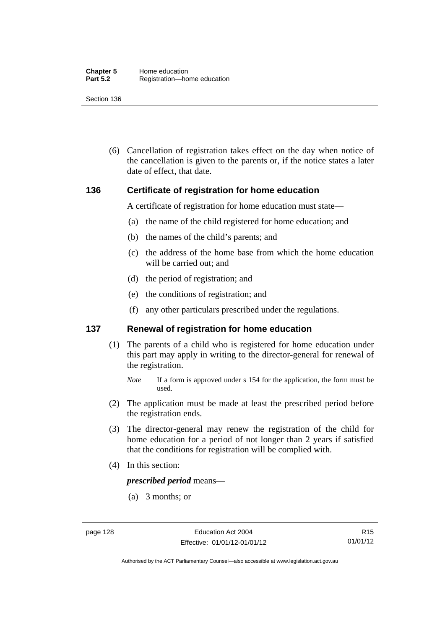(6) Cancellation of registration takes effect on the day when notice of the cancellation is given to the parents or, if the notice states a later date of effect, that date.

#### **136 Certificate of registration for home education**

A certificate of registration for home education must state—

- (a) the name of the child registered for home education; and
- (b) the names of the child's parents; and
- (c) the address of the home base from which the home education will be carried out; and
- (d) the period of registration; and
- (e) the conditions of registration; and
- (f) any other particulars prescribed under the regulations.

#### **137 Renewal of registration for home education**

(1) The parents of a child who is registered for home education under this part may apply in writing to the director-general for renewal of the registration.

- (2) The application must be made at least the prescribed period before the registration ends.
- (3) The director-general may renew the registration of the child for home education for a period of not longer than 2 years if satisfied that the conditions for registration will be complied with.
- (4) In this section:

*prescribed period* means—

(a) 3 months; or

Authorised by the ACT Parliamentary Counsel—also accessible at www.legislation.act.gov.au

*Note* If a form is approved under s 154 for the application, the form must be used.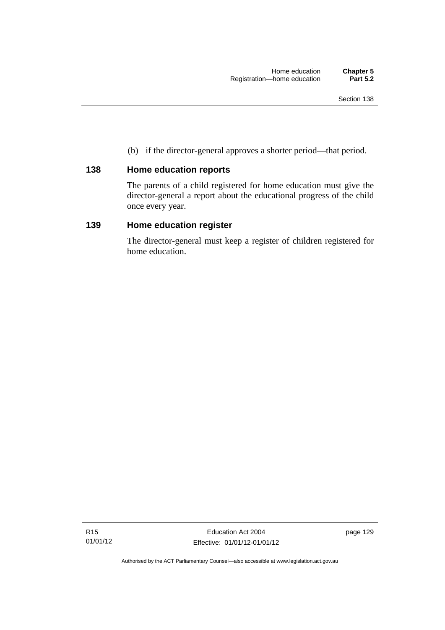(b) if the director-general approves a shorter period—that period.

# **138 Home education reports**

The parents of a child registered for home education must give the director-general a report about the educational progress of the child once every year.

## **139 Home education register**

The director-general must keep a register of children registered for home education.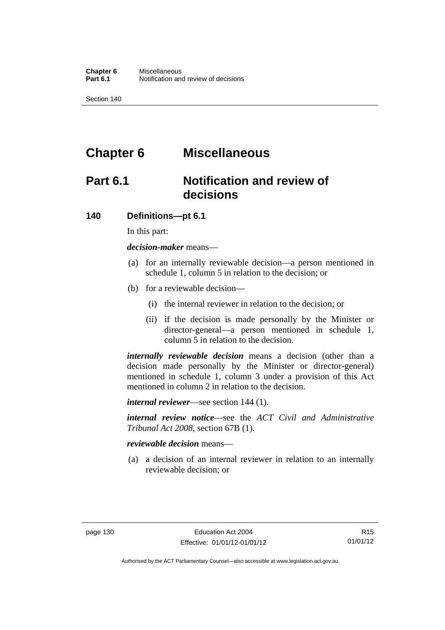# **Chapter 6 Miscellaneous**

# **Part 6.1 Notification and review of decisions**

#### **140 Definitions***—***pt 6.1**

In this part:

*decision-maker* means—

- (a) for an internally reviewable decision—a person mentioned in schedule 1, column 5 in relation to the decision; or
- (b) for a reviewable decision—
	- (i) the internal reviewer in relation to the decision; or
	- (ii) if the decision is made personally by the Minister or director-general—a person mentioned in schedule 1, column 5 in relation to the decision.

*internally reviewable decision* means a decision (other than a decision made personally by the Minister or director-general) mentioned in schedule 1, column 3 under a provision of this Act mentioned in column 2 in relation to the decision.

*internal reviewer*—see section 144 (1).

*internal review notice*—see the *ACT Civil and Administrative Tribunal Act 2008*, section 67B (1).

*reviewable decision* means—

 (a) a decision of an internal reviewer in relation to an internally reviewable decision; or

Authorised by the ACT Parliamentary Counsel—also accessible at www.legislation.act.gov.au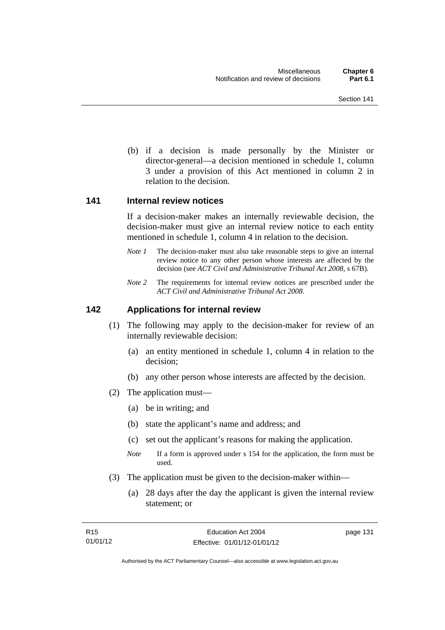(b) if a decision is made personally by the Minister or director-general—a decision mentioned in schedule 1, column 3 under a provision of this Act mentioned in column 2 in relation to the decision.

#### **141 Internal review notices**

If a decision-maker makes an internally reviewable decision, the decision-maker must give an internal review notice to each entity mentioned in schedule 1, column 4 in relation to the decision.

- *Note 1* The decision-maker must also take reasonable steps to give an internal review notice to any other person whose interests are affected by the decision (see *ACT Civil and Administrative Tribunal Act 2008*, s 67B).
- *Note 2* The requirements for internal review notices are prescribed under the *ACT Civil and Administrative Tribunal Act 2008*.

#### **142 Applications for internal review**

- (1) The following may apply to the decision-maker for review of an internally reviewable decision:
	- (a) an entity mentioned in schedule 1, column 4 in relation to the decision;
	- (b) any other person whose interests are affected by the decision.
- (2) The application must—
	- (a) be in writing; and
	- (b) state the applicant's name and address; and
	- (c) set out the applicant's reasons for making the application.
	- *Note* If a form is approved under s 154 for the application, the form must be used.
- (3) The application must be given to the decision-maker within—
	- (a) 28 days after the day the applicant is given the internal review statement; or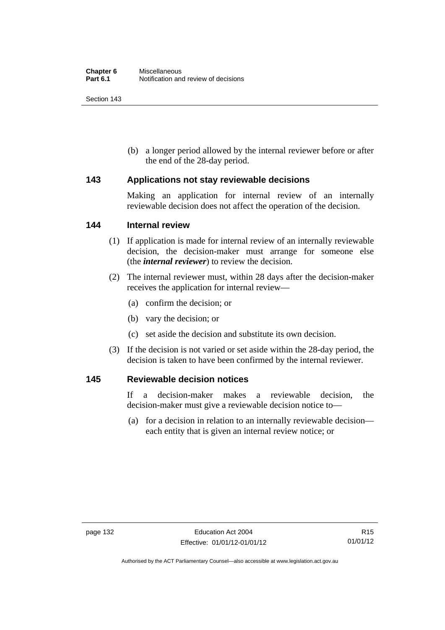(b) a longer period allowed by the internal reviewer before or after the end of the 28-day period.

#### **143 Applications not stay reviewable decisions**

Making an application for internal review of an internally reviewable decision does not affect the operation of the decision.

#### **144 Internal review**

- (1) If application is made for internal review of an internally reviewable decision, the decision-maker must arrange for someone else (the *internal reviewer*) to review the decision.
- (2) The internal reviewer must, within 28 days after the decision-maker receives the application for internal review—
	- (a) confirm the decision; or
	- (b) vary the decision; or
	- (c) set aside the decision and substitute its own decision.
- (3) If the decision is not varied or set aside within the 28-day period, the decision is taken to have been confirmed by the internal reviewer.

#### **145 Reviewable decision notices**

If a decision-maker makes a reviewable decision, the decision-maker must give a reviewable decision notice to—

 (a) for a decision in relation to an internally reviewable decision each entity that is given an internal review notice; or

Authorised by the ACT Parliamentary Counsel—also accessible at www.legislation.act.gov.au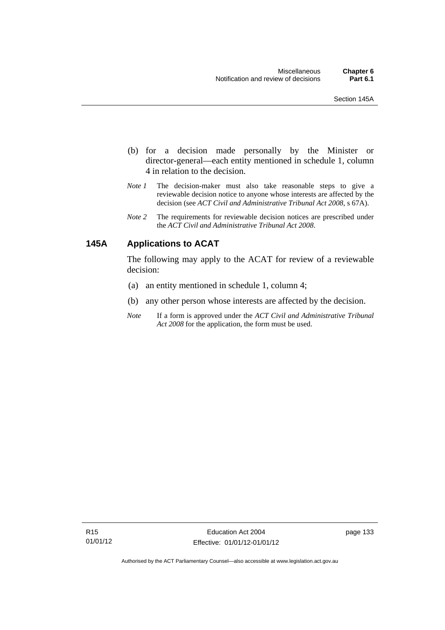- (b) for a decision made personally by the Minister or director-general—each entity mentioned in schedule 1, column 4 in relation to the decision.
- *Note 1* The decision-maker must also take reasonable steps to give a reviewable decision notice to anyone whose interests are affected by the decision (see *ACT Civil and Administrative Tribunal Act 2008*, s 67A).
- *Note 2* The requirements for reviewable decision notices are prescribed under the *ACT Civil and Administrative Tribunal Act 2008*.

# **145A Applications to ACAT**

The following may apply to the ACAT for review of a reviewable decision:

- (a) an entity mentioned in schedule 1, column 4;
- (b) any other person whose interests are affected by the decision.
- *Note* If a form is approved under the *ACT Civil and Administrative Tribunal Act 2008* for the application, the form must be used.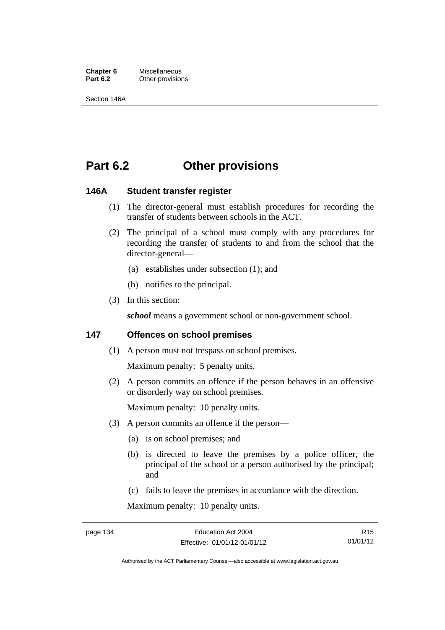**Chapter 6** Miscellaneous<br>**Part 6.2** Other provision **Other provisions** 

Section 146A

# **Part 6.2 Other provisions**

### **146A Student transfer register**

- (1) The director-general must establish procedures for recording the transfer of students between schools in the ACT.
- (2) The principal of a school must comply with any procedures for recording the transfer of students to and from the school that the director-general—
	- (a) establishes under subsection (1); and
	- (b) notifies to the principal.
- (3) In this section:

*school* means a government school or non-government school.

## **147 Offences on school premises**

(1) A person must not trespass on school premises.

Maximum penalty: 5 penalty units.

 (2) A person commits an offence if the person behaves in an offensive or disorderly way on school premises.

Maximum penalty: 10 penalty units.

- (3) A person commits an offence if the person—
	- (a) is on school premises; and
	- (b) is directed to leave the premises by a police officer, the principal of the school or a person authorised by the principal; and
	- (c) fails to leave the premises in accordance with the direction.

Maximum penalty: 10 penalty units.

Authorised by the ACT Parliamentary Counsel—also accessible at www.legislation.act.gov.au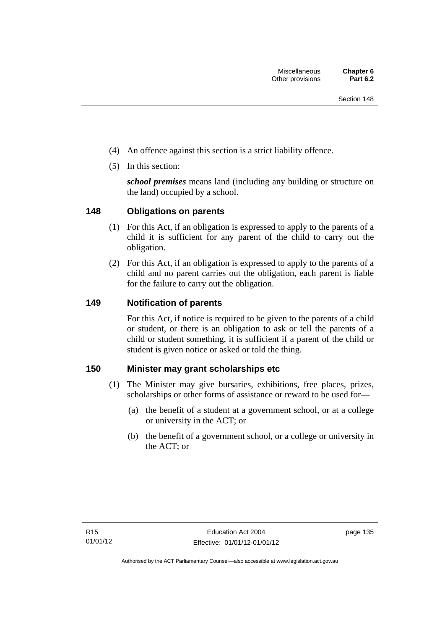- (4) An offence against this section is a strict liability offence.
- (5) In this section:

*school premises* means land (including any building or structure on the land) occupied by a school.

# **148 Obligations on parents**

- (1) For this Act, if an obligation is expressed to apply to the parents of a child it is sufficient for any parent of the child to carry out the obligation.
- (2) For this Act, if an obligation is expressed to apply to the parents of a child and no parent carries out the obligation, each parent is liable for the failure to carry out the obligation.

# **149 Notification of parents**

For this Act, if notice is required to be given to the parents of a child or student, or there is an obligation to ask or tell the parents of a child or student something, it is sufficient if a parent of the child or student is given notice or asked or told the thing.

# **150 Minister may grant scholarships etc**

- (1) The Minister may give bursaries, exhibitions, free places, prizes, scholarships or other forms of assistance or reward to be used for—
	- (a) the benefit of a student at a government school, or at a college or university in the ACT; or
	- (b) the benefit of a government school, or a college or university in the ACT; or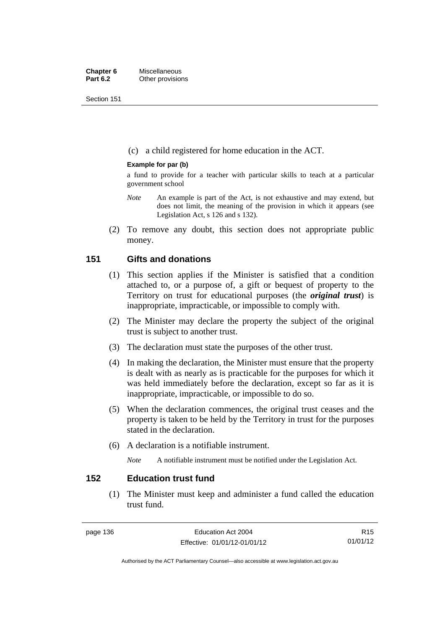Section 151

(c) a child registered for home education in the ACT.

### **Example for par (b)**

a fund to provide for a teacher with particular skills to teach at a particular government school

- *Note* An example is part of the Act, is not exhaustive and may extend, but does not limit, the meaning of the provision in which it appears (see Legislation Act, s 126 and s 132).
- (2) To remove any doubt, this section does not appropriate public money.

## **151 Gifts and donations**

- (1) This section applies if the Minister is satisfied that a condition attached to, or a purpose of, a gift or bequest of property to the Territory on trust for educational purposes (the *original trust*) is inappropriate, impracticable, or impossible to comply with.
- (2) The Minister may declare the property the subject of the original trust is subject to another trust.
- (3) The declaration must state the purposes of the other trust.
- (4) In making the declaration, the Minister must ensure that the property is dealt with as nearly as is practicable for the purposes for which it was held immediately before the declaration, except so far as it is inappropriate, impracticable, or impossible to do so.
- (5) When the declaration commences, the original trust ceases and the property is taken to be held by the Territory in trust for the purposes stated in the declaration.
- (6) A declaration is a notifiable instrument.

*Note* A notifiable instrument must be notified under the Legislation Act.

# **152 Education trust fund**

 (1) The Minister must keep and administer a fund called the education trust fund.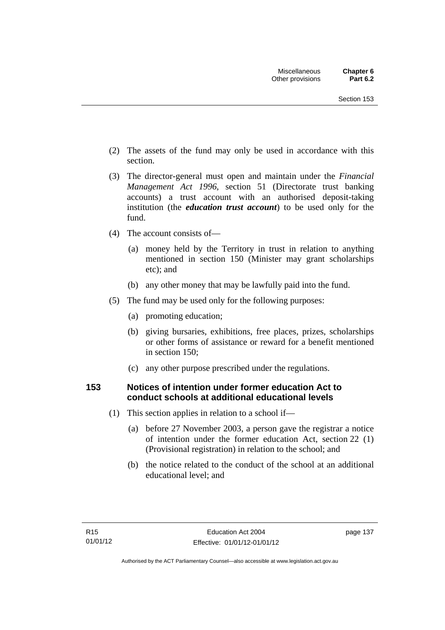- (2) The assets of the fund may only be used in accordance with this section.
- (3) The director-general must open and maintain under the *Financial Management Act 1996*, section 51 (Directorate trust banking accounts) a trust account with an authorised deposit-taking institution (the *education trust account*) to be used only for the fund.
- (4) The account consists of—
	- (a) money held by the Territory in trust in relation to anything mentioned in section 150 (Minister may grant scholarships etc); and
	- (b) any other money that may be lawfully paid into the fund.
- (5) The fund may be used only for the following purposes:
	- (a) promoting education;
	- (b) giving bursaries, exhibitions, free places, prizes, scholarships or other forms of assistance or reward for a benefit mentioned in section 150;
	- (c) any other purpose prescribed under the regulations.

# **153 Notices of intention under former education Act to conduct schools at additional educational levels**

- (1) This section applies in relation to a school if—
	- (a) before 27 November 2003, a person gave the registrar a notice of intention under the former education Act, section 22 (1) (Provisional registration) in relation to the school; and
	- (b) the notice related to the conduct of the school at an additional educational level; and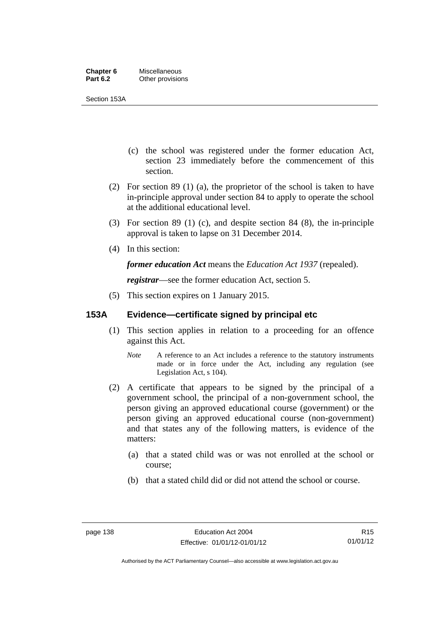Section 153A

- (c) the school was registered under the former education Act, section 23 immediately before the commencement of this section.
- (2) For section 89 (1) (a), the proprietor of the school is taken to have in-principle approval under section 84 to apply to operate the school at the additional educational level.
- (3) For section 89 (1) (c), and despite section 84 (8), the in-principle approval is taken to lapse on 31 December 2014.
- (4) In this section:

*former education Act* means the *Education Act 1937* (repealed).

*registrar*—see the former education Act, section 5.

(5) This section expires on 1 January 2015.

# **153A Evidence—certificate signed by principal etc**

- (1) This section applies in relation to a proceeding for an offence against this Act.
	- *Note* A reference to an Act includes a reference to the statutory instruments made or in force under the Act, including any regulation (see Legislation Act, s 104).
- (2) A certificate that appears to be signed by the principal of a government school, the principal of a non-government school, the person giving an approved educational course (government) or the person giving an approved educational course (non-government) and that states any of the following matters, is evidence of the matters:
	- (a) that a stated child was or was not enrolled at the school or course;
	- (b) that a stated child did or did not attend the school or course.

R15 01/01/12

Authorised by the ACT Parliamentary Counsel—also accessible at www.legislation.act.gov.au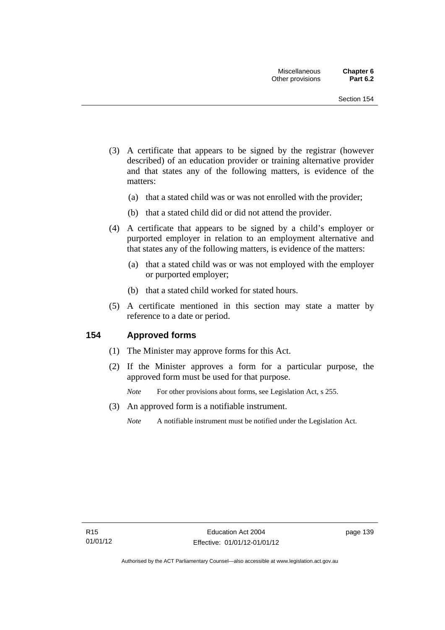- (3) A certificate that appears to be signed by the registrar (however described) of an education provider or training alternative provider and that states any of the following matters, is evidence of the matters:
	- (a) that a stated child was or was not enrolled with the provider;
	- (b) that a stated child did or did not attend the provider.
- (4) A certificate that appears to be signed by a child's employer or purported employer in relation to an employment alternative and that states any of the following matters, is evidence of the matters:
	- (a) that a stated child was or was not employed with the employer or purported employer;
	- (b) that a stated child worked for stated hours.
- (5) A certificate mentioned in this section may state a matter by reference to a date or period.

## **154 Approved forms**

- (1) The Minister may approve forms for this Act.
- (2) If the Minister approves a form for a particular purpose, the approved form must be used for that purpose.

*Note* For other provisions about forms, see Legislation Act, s 255.

- (3) An approved form is a notifiable instrument.
	- *Note* A notifiable instrument must be notified under the Legislation Act.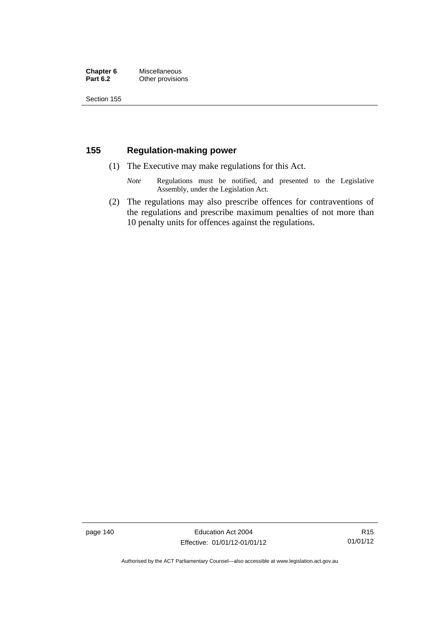#### **Chapter 6** Miscellaneous<br>**Part 6.2** Other provision **Other provisions**

Section 155

# **155 Regulation-making power**

- (1) The Executive may make regulations for this Act.
	- *Note* Regulations must be notified, and presented to the Legislative Assembly, under the Legislation Act.
- (2) The regulations may also prescribe offences for contraventions of the regulations and prescribe maximum penalties of not more than 10 penalty units for offences against the regulations.

page 140 **Education Act 2004** Effective: 01/01/12-01/01/12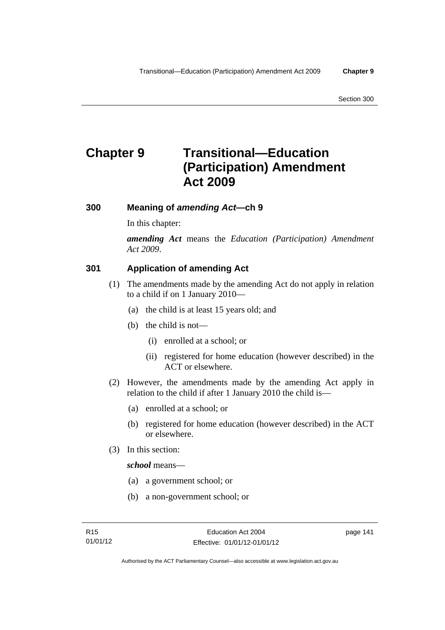# **Chapter 9 Transitional—Education (Participation) Amendment Act 2009**

## **300 Meaning of** *amending Act***—ch 9**

In this chapter:

*amending Act* means the *Education (Participation) Amendment Act 2009*.

# **301 Application of amending Act**

- (1) The amendments made by the amending Act do not apply in relation to a child if on 1 January 2010—
	- (a) the child is at least 15 years old; and
	- (b) the child is not—
		- (i) enrolled at a school; or
		- (ii) registered for home education (however described) in the ACT or elsewhere.
- (2) However, the amendments made by the amending Act apply in relation to the child if after 1 January 2010 the child is—
	- (a) enrolled at a school; or
	- (b) registered for home education (however described) in the ACT or elsewhere.
- (3) In this section:

*school* means—

- (a) a government school; or
- (b) a non-government school; or

page 141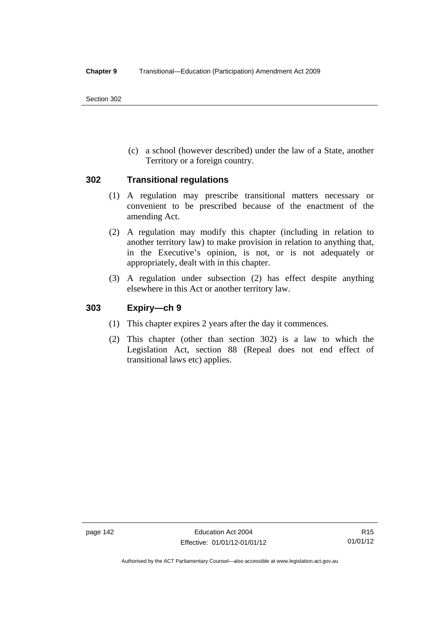Section 302

 (c) a school (however described) under the law of a State, another Territory or a foreign country.

### **302 Transitional regulations**

- (1) A regulation may prescribe transitional matters necessary or convenient to be prescribed because of the enactment of the amending Act.
- (2) A regulation may modify this chapter (including in relation to another territory law) to make provision in relation to anything that, in the Executive's opinion, is not, or is not adequately or appropriately, dealt with in this chapter.
- (3) A regulation under subsection (2) has effect despite anything elsewhere in this Act or another territory law.

# **303 Expiry—ch 9**

- (1) This chapter expires 2 years after the day it commences.
- (2) This chapter (other than section 302) is a law to which the Legislation Act, section 88 (Repeal does not end effect of transitional laws etc) applies.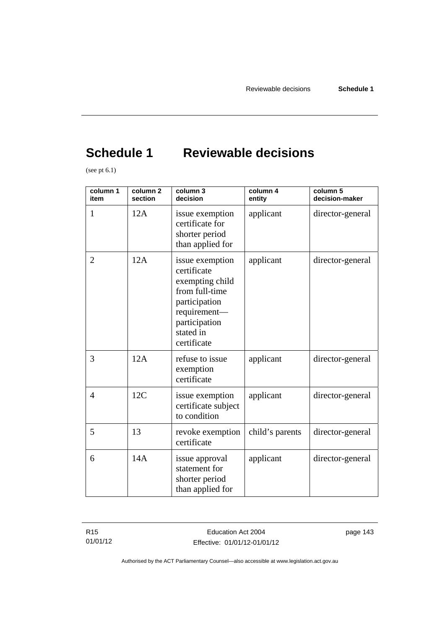# **Schedule 1 Reviewable decisions**

(see pt  $6.1$ )

| column 1<br>item | column <sub>2</sub><br>section | column 3<br>decision                                                                                                                              | column 4<br>entity | column 5<br>decision-maker |
|------------------|--------------------------------|---------------------------------------------------------------------------------------------------------------------------------------------------|--------------------|----------------------------|
| 1                | 12A                            | issue exemption<br>certificate for<br>shorter period<br>than applied for                                                                          | applicant          | director-general           |
| $\overline{2}$   | 12A                            | issue exemption<br>certificate<br>exempting child<br>from full-time<br>participation<br>requirement-<br>participation<br>stated in<br>certificate | applicant          | director-general           |
| 3                | 12A                            | refuse to issue<br>exemption<br>certificate                                                                                                       | applicant          | director-general           |
| $\overline{4}$   | 12C                            | issue exemption<br>certificate subject<br>to condition                                                                                            | applicant          | director-general           |
| 5                | 13                             | revoke exemption<br>certificate                                                                                                                   | child's parents    | director-general           |
| 6                | 14A                            | issue approval<br>statement for<br>shorter period<br>than applied for                                                                             | applicant          | director-general           |

R15 01/01/12 page 143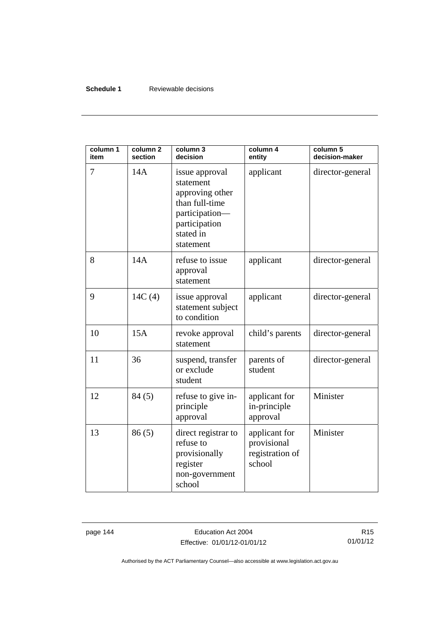### **Schedule 1** Reviewable decisions

| column 1<br>item | column <sub>2</sub><br>section | column 3<br>decision                                                                                                          | column 4<br>entity                                        | column 5<br>decision-maker |
|------------------|--------------------------------|-------------------------------------------------------------------------------------------------------------------------------|-----------------------------------------------------------|----------------------------|
| 7                | 14A                            | issue approval<br>statement<br>approving other<br>than full-time<br>participation-<br>participation<br>stated in<br>statement | applicant                                                 | director-general           |
| 8                | 14A                            | refuse to issue<br>approval<br>statement                                                                                      | applicant                                                 | director-general           |
| 9                | 14C(4)                         | issue approval<br>statement subject<br>to condition                                                                           | applicant                                                 | director-general           |
| 10               | 15A                            | revoke approval<br>statement                                                                                                  | child's parents                                           | director-general           |
| 11               | 36                             | suspend, transfer<br>or exclude<br>student                                                                                    | parents of<br>student                                     | director-general           |
| 12               | 84(5)                          | refuse to give in-<br>principle<br>approval                                                                                   | applicant for<br>in-principle<br>approval                 | Minister                   |
| 13               | 86(5)                          | direct registrar to<br>refuse to<br>provisionally<br>register<br>non-government<br>school                                     | applicant for<br>provisional<br>registration of<br>school | Minister                   |

page 144 **Education Act 2004** Effective: 01/01/12-01/01/12

R15 01/01/12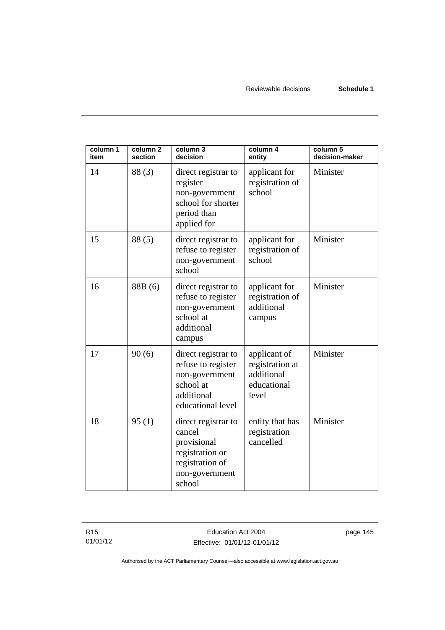Reviewable decisions **Schedule 1**

| column 1<br>item | column <sub>2</sub><br>section | column 3<br>decision                                                                                           | column 4<br>entity                                                    | column 5<br>decision-maker |
|------------------|--------------------------------|----------------------------------------------------------------------------------------------------------------|-----------------------------------------------------------------------|----------------------------|
| 14               | 88(3)                          | direct registrar to<br>register<br>non-government<br>school for shorter<br>period than<br>applied for          | applicant for<br>registration of<br>school                            | Minister                   |
| 15               | 88(5)                          | direct registrar to<br>refuse to register<br>non-government<br>school                                          | applicant for<br>registration of<br>school                            | Minister                   |
| 16               | 88B (6)                        | direct registrar to<br>refuse to register<br>non-government<br>school at<br>additional<br>campus               | applicant for<br>registration of<br>additional<br>campus              | Minister                   |
| 17               | 90(6)                          | direct registrar to<br>refuse to register<br>non-government<br>school at<br>additional<br>educational level    | applicant of<br>registration at<br>additional<br>educational<br>level | Minister                   |
| 18               | 95(1)                          | direct registrar to<br>cancel<br>provisional<br>registration or<br>registration of<br>non-government<br>school | entity that has<br>registration<br>cancelled                          | Minister                   |

R15 01/01/12

Education Act 2004 Effective: 01/01/12-01/01/12 page 145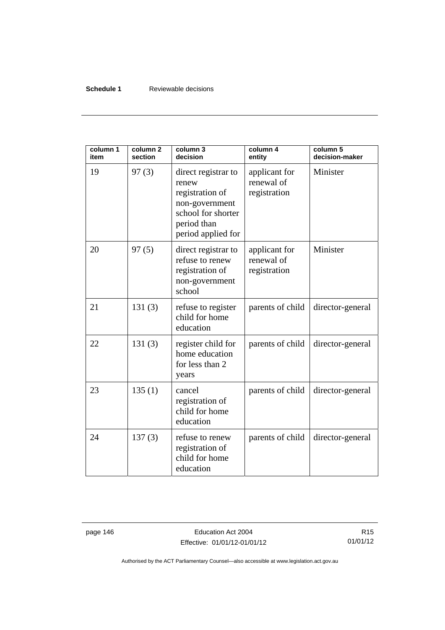### **Schedule 1** Reviewable decisions

| column 1<br>item | column <sub>2</sub><br>section | column 3<br>decision                                                                                                         | column 4<br>entity                          | column 5<br>decision-maker |
|------------------|--------------------------------|------------------------------------------------------------------------------------------------------------------------------|---------------------------------------------|----------------------------|
| 19               | 97(3)                          | direct registrar to<br>renew<br>registration of<br>non-government<br>school for shorter<br>period than<br>period applied for | applicant for<br>renewal of<br>registration | Minister                   |
| 20               | 97(5)                          | direct registrar to<br>refuse to renew<br>registration of<br>non-government<br>school                                        | applicant for<br>renewal of<br>registration | Minister                   |
| 21               | 131(3)                         | refuse to register<br>child for home<br>education                                                                            | parents of child                            | director-general           |
| 22               | 131(3)                         | register child for<br>home education<br>for less than 2<br>years                                                             | parents of child                            | director-general           |
| 23               | 135(1)                         | cancel<br>registration of<br>child for home<br>education                                                                     | parents of child                            | director-general           |
| 24               | 137(3)                         | refuse to renew<br>registration of<br>child for home<br>education                                                            | parents of child                            | director-general           |

page 146 **Education Act 2004** Effective: 01/01/12-01/01/12

R15 01/01/12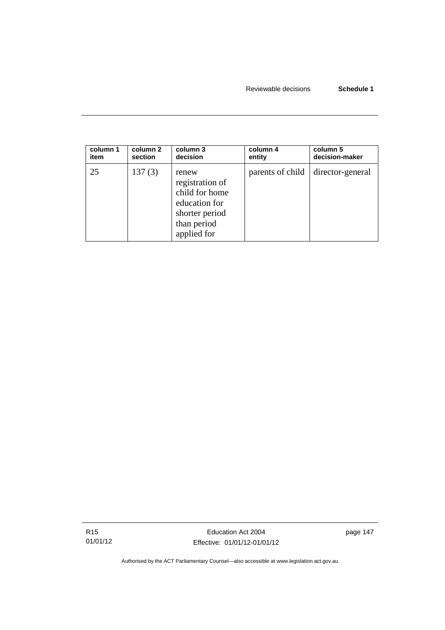| column 1 | column 2 | column 3                                                                                                    | column 4         | column 5         |
|----------|----------|-------------------------------------------------------------------------------------------------------------|------------------|------------------|
| item     | section  | decision                                                                                                    | entity           | decision-maker   |
| 25       | 137(3)   | renew<br>registration of<br>child for home<br>education for<br>shorter period<br>than period<br>applied for | parents of child | director-general |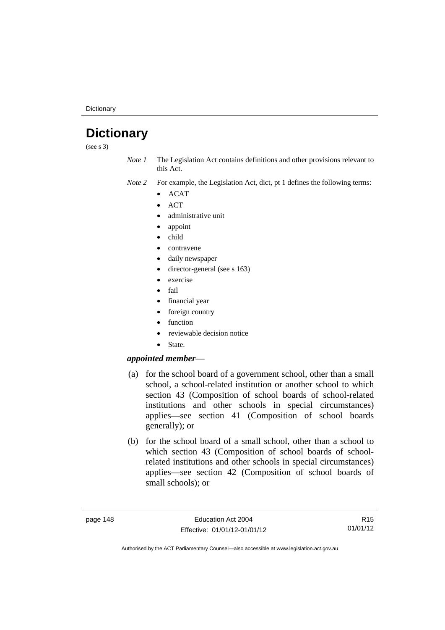**Dictionary** 

# **Dictionary**

(see s 3)

- *Note 1* The Legislation Act contains definitions and other provisions relevant to this Act.
- *Note 2* For example, the Legislation Act, dict, pt 1 defines the following terms:
	- $\bullet$  ACAT
	- **ACT**
	- administrative unit
	- appoint
	- child
	- contravene
	- daily newspaper
	- director-general (see s 163)
	- exercise
	- fail
	- financial year
	- foreign country
	- function
	- reviewable decision notice
	- State.

### *appointed member*—

- (a) for the school board of a government school, other than a small school, a school-related institution or another school to which section 43 (Composition of school boards of school-related institutions and other schools in special circumstances) applies—see section 41 (Composition of school boards generally); or
- (b) for the school board of a small school, other than a school to which section 43 (Composition of school boards of schoolrelated institutions and other schools in special circumstances) applies—see section 42 (Composition of school boards of small schools); or

R15 01/01/12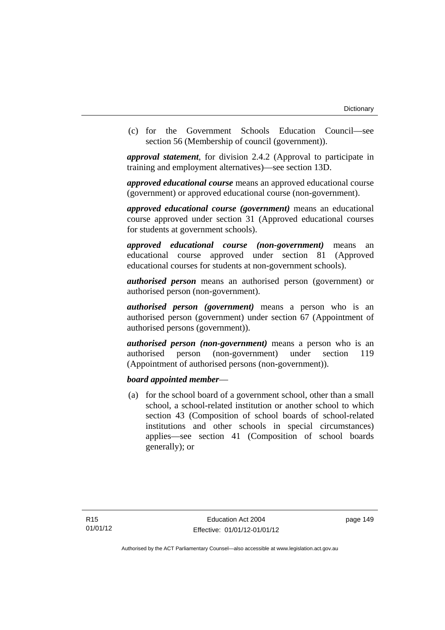(c) for the Government Schools Education Council—see section 56 (Membership of council (government)).

*approval statement*, for division 2.4.2 (Approval to participate in training and employment alternatives)—see section 13D.

*approved educational course* means an approved educational course (government) or approved educational course (non-government).

*approved educational course (government)* means an educational course approved under section 31 (Approved educational courses for students at government schools).

*approved educational course (non-government)* means an educational course approved under section 81 (Approved educational courses for students at non-government schools).

*authorised person* means an authorised person (government) or authorised person (non-government).

*authorised person (government)* means a person who is an authorised person (government) under section 67 (Appointment of authorised persons (government)).

*authorised person (non-government)* means a person who is an authorised person (non-government) under section 119 (Appointment of authorised persons (non-government)).

### *board appointed member*—

 (a) for the school board of a government school, other than a small school, a school-related institution or another school to which section 43 (Composition of school boards of school-related institutions and other schools in special circumstances) applies—see section 41 (Composition of school boards generally); or

page 149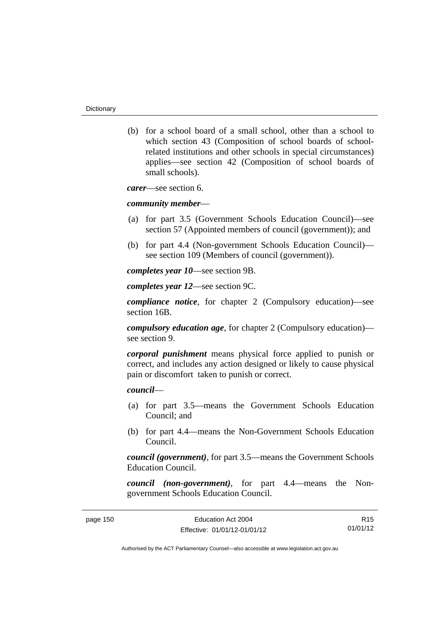(b) for a school board of a small school, other than a school to which section 43 (Composition of school boards of schoolrelated institutions and other schools in special circumstances) applies—see section 42 (Composition of school boards of small schools).

*carer*—see section 6.

#### *community member*—

- (a) for part 3.5 (Government Schools Education Council)—see section 57 (Appointed members of council (government)); and
- (b) for part 4.4 (Non-government Schools Education Council) see section 109 (Members of council (government)).

*completes year 10*—see section 9B.

*completes year 12*—see section 9C.

*compliance notice*, for chapter 2 (Compulsory education)—see section 16B.

*compulsory education age*, for chapter 2 (Compulsory education) see section 9.

*corporal punishment* means physical force applied to punish or correct, and includes any action designed or likely to cause physical pain or discomfort taken to punish or correct.

### *council*—

- (a) for part 3.5—means the Government Schools Education Council; and
- (b) for part 4.4—means the Non-Government Schools Education Council.

*council (government)*, for part 3.5—means the Government Schools Education Council.

*council (non-government)*, for part 4.4—means the Nongovernment Schools Education Council.

| page 150 |  |
|----------|--|
|----------|--|

R15 01/01/12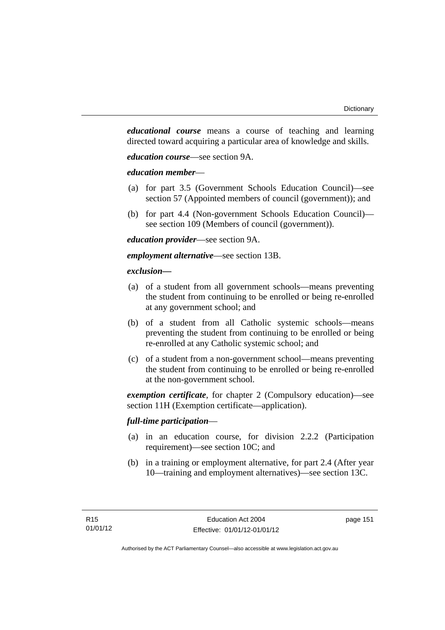*educational course* means a course of teaching and learning directed toward acquiring a particular area of knowledge and skills.

*education course*—see section 9A.

### *education member*—

- (a) for part 3.5 (Government Schools Education Council)—see section 57 (Appointed members of council (government)); and
- (b) for part 4.4 (Non-government Schools Education Council) see section 109 (Members of council (government)).

*education provider*—see section 9A.

*employment alternative*—see section 13B.

### *exclusion***—**

- (a) of a student from all government schools—means preventing the student from continuing to be enrolled or being re-enrolled at any government school; and
- (b) of a student from all Catholic systemic schools—means preventing the student from continuing to be enrolled or being re-enrolled at any Catholic systemic school; and
- (c) of a student from a non-government school—means preventing the student from continuing to be enrolled or being re-enrolled at the non-government school.

*exemption certificate*, for chapter 2 (Compulsory education)—see section 11H (Exemption certificate—application).

### *full-time participation*—

- (a) in an education course, for division 2.2.2 (Participation requirement)—see section 10C; and
- (b) in a training or employment alternative, for part 2.4 (After year 10—training and employment alternatives)—see section 13C.

page 151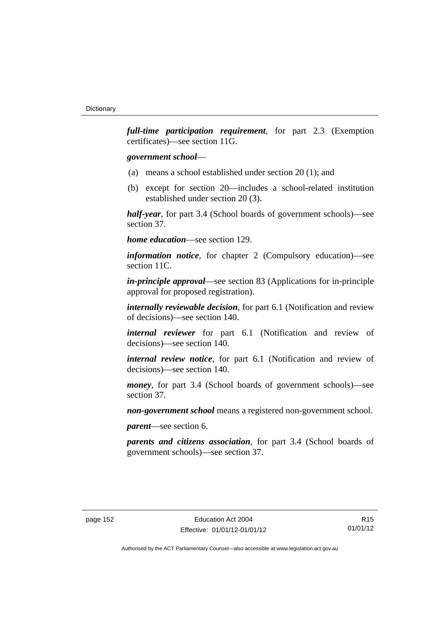*full-time participation requirement*, for part 2.3 (Exemption certificates)—see section 11G.

### *government school*—

- (a) means a school established under section 20 (1); and
- (b) except for section 20—includes a school-related institution established under section 20 (3).

*half-year*, for part 3.4 (School boards of government schools)—see section 37.

*home education*—see section 129.

*information notice*, for chapter 2 (Compulsory education)—see section 11C.

*in-principle approval*—see section 83 (Applications for in-principle approval for proposed registration).

*internally reviewable decision*, for part 6.1 (Notification and review of decisions)—see section 140.

*internal reviewer* for part 6.1 (Notification and review of decisions)—see section 140.

*internal review notice*, for part 6.1 (Notification and review of decisions)—see section 140.

*money*, for part 3.4 (School boards of government schools)—see section 37.

*non-government school* means a registered non-government school.

*parent*—see section 6.

*parents and citizens association*, for part 3.4 (School boards of government schools)—see section 37.

R15 01/01/12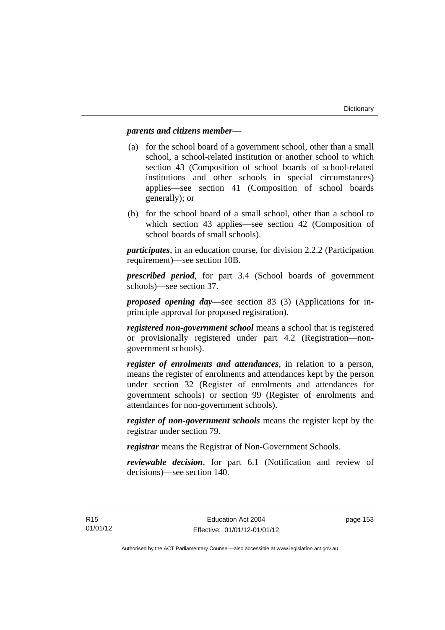### *parents and citizens member*—

- (a) for the school board of a government school, other than a small school, a school-related institution or another school to which section 43 (Composition of school boards of school-related institutions and other schools in special circumstances) applies—see section 41 (Composition of school boards generally); or
- (b) for the school board of a small school, other than a school to which section 43 applies—see section 42 (Composition of school boards of small schools).

*participates*, in an education course, for division 2.2.2 (Participation requirement)—see section 10B.

*prescribed period*, for part 3.4 (School boards of government schools)—see section 37.

*proposed opening day*—see section 83 (3) (Applications for inprinciple approval for proposed registration).

*registered non-government school* means a school that is registered or provisionally registered under part 4.2 (Registration—nongovernment schools).

*register of enrolments and attendances*, in relation to a person, means the register of enrolments and attendances kept by the person under section 32 (Register of enrolments and attendances for government schools) or section 99 (Register of enrolments and attendances for non-government schools).

*register of non-government schools* means the register kept by the registrar under section 79.

*registrar* means the Registrar of Non-Government Schools.

*reviewable decision*, for part 6.1 (Notification and review of decisions)—see section 140.

page 153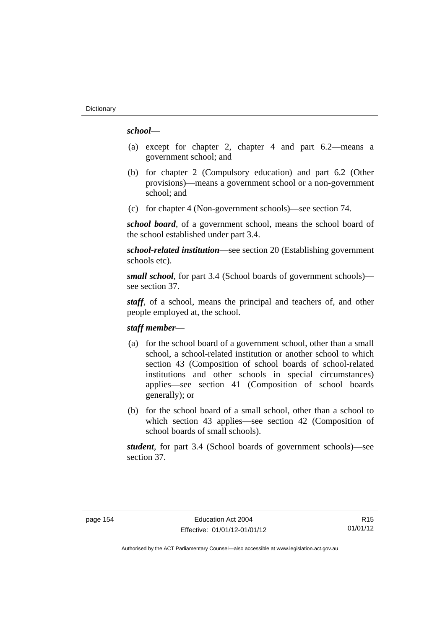### *school*—

- (a) except for chapter 2, chapter 4 and part 6.2—means a government school; and
- (b) for chapter 2 (Compulsory education) and part 6.2 (Other provisions)—means a government school or a non-government school; and
- (c) for chapter 4 (Non-government schools)—see section 74.

*school board*, of a government school, means the school board of the school established under part 3.4.

*school-related institution*—see section 20 (Establishing government schools etc).

*small school*, for part 3.4 (School boards of government schools) see section 37.

*staff*, of a school, means the principal and teachers of, and other people employed at, the school.

### *staff member*—

- (a) for the school board of a government school, other than a small school, a school-related institution or another school to which section 43 (Composition of school boards of school-related institutions and other schools in special circumstances) applies—see section 41 (Composition of school boards generally); or
- (b) for the school board of a small school, other than a school to which section 43 applies—see section 42 (Composition of school boards of small schools).

*student*, for part 3.4 (School boards of government schools)—see section 37.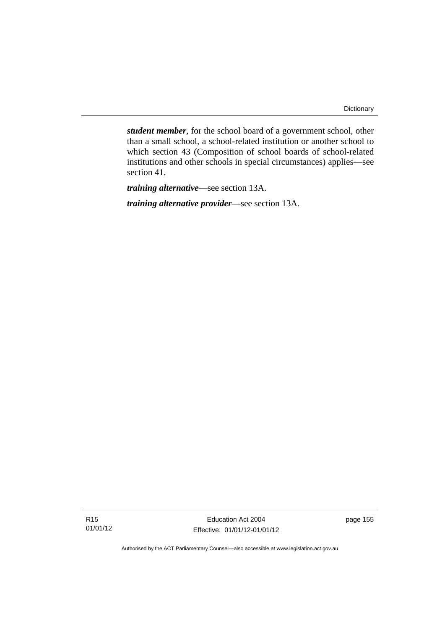*student member*, for the school board of a government school, other than a small school, a school-related institution or another school to which section 43 (Composition of school boards of school-related institutions and other schools in special circumstances) applies—see section 41.

*training alternative*—see section 13A.

*training alternative provider*—see section 13A.

Education Act 2004 Effective: 01/01/12-01/01/12 page 155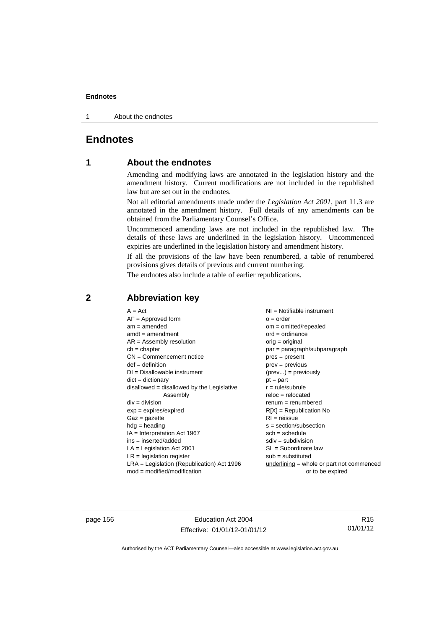1 About the endnotes

# **Endnotes**

# **1 About the endnotes**

Amending and modifying laws are annotated in the legislation history and the amendment history. Current modifications are not included in the republished law but are set out in the endnotes.

Not all editorial amendments made under the *Legislation Act 2001*, part 11.3 are annotated in the amendment history. Full details of any amendments can be obtained from the Parliamentary Counsel's Office.

Uncommenced amending laws are not included in the republished law. The details of these laws are underlined in the legislation history. Uncommenced expiries are underlined in the legislation history and amendment history.

If all the provisions of the law have been renumbered, a table of renumbered provisions gives details of previous and current numbering.

The endnotes also include a table of earlier republications.

## **2 Abbreviation key**

page 156 **Education Act 2004** Effective: 01/01/12-01/01/12

R15 01/01/12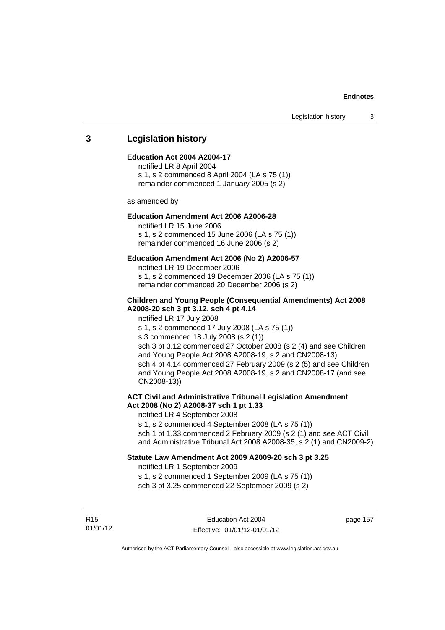### **3 Legislation history**

#### **Education Act 2004 A2004-17**

notified LR 8 April 2004 s 1, s 2 commenced 8 April 2004 (LA s 75 (1)) remainder commenced 1 January 2005 (s 2)

as amended by

### **Education Amendment Act 2006 A2006-28**

notified LR 15 June 2006 s 1, s 2 commenced 15 June 2006 (LA s 75 (1)) remainder commenced 16 June 2006 (s 2)

### **Education Amendment Act 2006 (No 2) A2006-57**

notified LR 19 December 2006 s 1, s 2 commenced 19 December 2006 (LA s 75 (1)) remainder commenced 20 December 2006 (s 2)

### **Children and Young People (Consequential Amendments) Act 2008 A2008-20 sch 3 pt 3.12, sch 4 pt 4.14**

notified LR 17 July 2008

s 1, s 2 commenced 17 July 2008 (LA s 75 (1))

s 3 commenced 18 July 2008 (s 2 (1))

sch 3 pt 3.12 commenced 27 October 2008 (s 2 (4) and see Children and Young People Act 2008 A2008-19, s 2 and CN2008-13) sch 4 pt 4.14 commenced 27 February 2009 (s 2 (5) and see Children and Young People Act 2008 A2008-19, s 2 and CN2008-17 (and see CN2008-13))

## **ACT Civil and Administrative Tribunal Legislation Amendment Act 2008 (No 2) A2008-37 sch 1 pt 1.33**

notified LR 4 September 2008

s 1, s 2 commenced 4 September 2008 (LA s 75 (1))

sch 1 pt 1.33 commenced 2 February 2009 (s 2 (1) and see ACT Civil and Administrative Tribunal Act 2008 A2008-35, s 2 (1) and CN2009-2)

### **Statute Law Amendment Act 2009 A2009-20 sch 3 pt 3.25**

notified LR 1 September 2009

s 1, s 2 commenced 1 September 2009 (LA s 75 (1)) sch 3 pt 3.25 commenced 22 September 2009 (s 2)

R15 01/01/12 page 157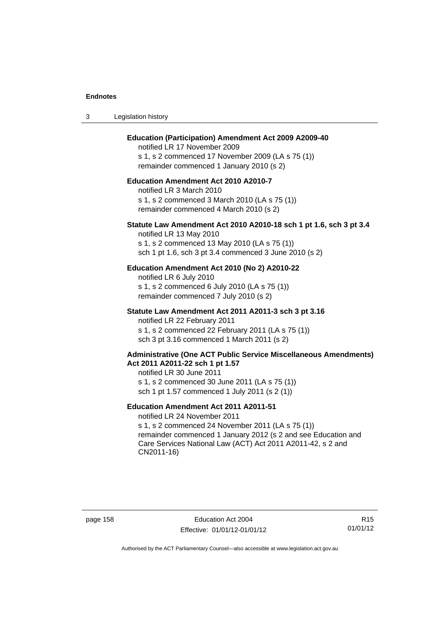| -3 | Legislation history |  |
|----|---------------------|--|
|----|---------------------|--|

### **Education (Participation) Amendment Act 2009 A2009-40**

notified LR 17 November 2009 s 1, s 2 commenced 17 November 2009 (LA s 75 (1)) remainder commenced 1 January 2010 (s 2)

### **Education Amendment Act 2010 A2010-7**

notified LR 3 March 2010 s 1, s 2 commenced 3 March 2010 (LA s 75 (1)) remainder commenced 4 March 2010 (s 2)

#### **Statute Law Amendment Act 2010 A2010-18 sch 1 pt 1.6, sch 3 pt 3.4**

notified LR 13 May 2010 s 1, s 2 commenced 13 May 2010 (LA s 75 (1)) sch 1 pt 1.6, sch 3 pt 3.4 commenced 3 June 2010 (s 2)

### **Education Amendment Act 2010 (No 2) A2010-22**

notified LR 6 July 2010 s 1, s 2 commenced 6 July 2010 (LA s 75 (1)) remainder commenced 7 July 2010 (s 2)

#### **Statute Law Amendment Act 2011 A2011-3 sch 3 pt 3.16**

notified LR 22 February 2011 s 1, s 2 commenced 22 February 2011 (LA s 75 (1)) sch 3 pt 3.16 commenced 1 March 2011 (s 2)

#### **Administrative (One ACT Public Service Miscellaneous Amendments) Act 2011 A2011-22 sch 1 pt 1.57**

notified LR 30 June 2011 s 1, s 2 commenced 30 June 2011 (LA s 75 (1)) sch 1 pt 1.57 commenced 1 July 2011 (s 2 (1))

### **Education Amendment Act 2011 A2011-51**

notified LR 24 November 2011

s 1, s 2 commenced 24 November 2011 (LA s 75 (1)) remainder commenced 1 January 2012 (s 2 and see Education and Care Services National Law (ACT) Act 2011 A2011-42, s 2 and CN2011-16)

page 158 extending the Education Act 2004 Effective: 01/01/12-01/01/12

R15 01/01/12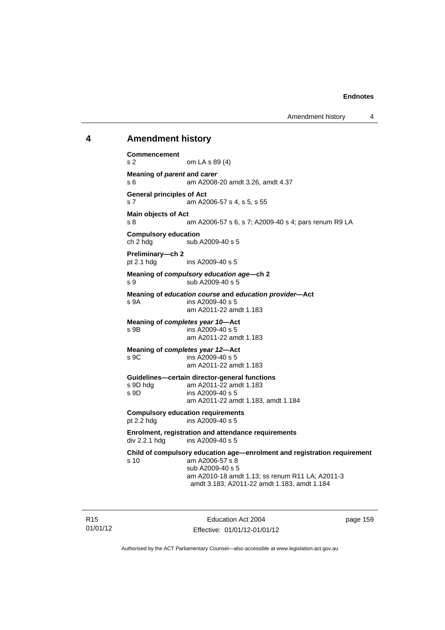Amendment history 4

### **4 Amendment history**

**Commencement**  s 2 om LA s 89 (4) **Meaning of** *parent* **and** *carer*  s 6 am A2008-20 amdt 3.26, amdt 4.37 **General principles of Act**  s 7 am A2006-57 s 4, s 5, s 55 **Main objects of Act**  s 8 am A2006-57 s 6, s 7; A2009-40 s 4; pars renum R9 LA **Compulsory education**  ch 2 hdg sub A2009-40 s 5 **Preliminary—ch 2**  pt 2.1 hdg ins A2009-40 s 5 **Meaning of** *compulsory education age***—ch 2**  s 9 sub A2009-40 s 5 **Meaning of** *education course* **and** *education provider***—Act**  s 9A ins A2009-40 s 5 am A2011-22 amdt 1.183 **Meaning of** *completes year 10***—Act**  s 9B ins A2009-40 s 5 am A2011-22 amdt 1.183 **Meaning of** *completes year 12***—Act**  s 9C ins A2009-40 s 5 am A2011-22 amdt 1.183 **Guidelines—certain director-general functions**  s 9D hdg am A2011-22 amdt 1.183 s 9D ins A2009-40 s 5 am A2011-22 amdt 1.183, amdt 1.184 **Compulsory education requirements**<br>pt 2.2 hdg ins A2009-40 s 5 ins A2009-40 s 5 **Enrolment, registration and attendance requirements**  div 2.2.1 hdg ins A2009-40 s 5 **Child of compulsory education age—enrolment and registration requirement**  s 10 am A2006-57 s 8 sub A2009-40 s 5 am A2010-18 amdt 1.13; ss renum R11 LA; A2011-3 amdt 3.183; A2011-22 amdt 1.183, amdt 1.184

R15 01/01/12

Education Act 2004 Effective: 01/01/12-01/01/12 page 159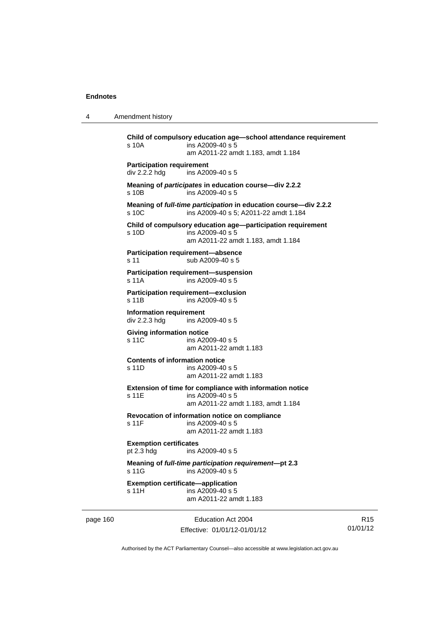4 Amendment history

**Child of compulsory education age—school attendance requirement**  s 10A ins A2009-40 s 5 am A2011-22 amdt 1.183, amdt 1.184 **Participation requirement**  div 2.2.2 hdg ins A2009-40 s 5 **Meaning of** *participates* **in education course—div 2.2.2**  s 10B ins A2009-40 s 5 **Meaning of** *full-time participation* **in education course—div 2.2.2**  s 10C ins A2009-40 s 5: A2011-22 amdt 1.184 **Child of compulsory education age—participation requirement**  s 10D ins A2009-40 s 5 am A2011-22 amdt 1.183, amdt 1.184 **Participation requirement—absence**  s 11 sub A2009-40 s 5 **Participation requirement—suspension**  s 11A ins A2009-40 s 5 **Participation requirement—exclusion**  s 11B ins A2009-40 s 5 **Information requirement**  div 2.2.3 hdg ins A2009-40 s 5 **Giving information notice**  s 11C ins A2009-40 s 5 am A2011-22 amdt 1.183 **Contents of information notice**  s 11D ins A2009-40 s 5 am A2011-22 amdt 1.183 **Extension of time for compliance with information notice**  s 11E ins A2009-40 s 5 am A2011-22 amdt 1.183, amdt 1.184 **Revocation of information notice on compliance**  s 11F ins A2009-40 s 5 am A2011-22 amdt 1.183 **Exemption certificates**  pt 2.3 hdg ins A2009-40 s 5 **Meaning of** *full-time participation requirement***—pt 2.3**  s 11G ins A2009-40 s 5 **Exemption certificate—application**  s 11H ins A2009-40 s 5 am A2011-22 amdt 1.183

page 160 Education Act 2004 Effective: 01/01/12-01/01/12

R15 01/01/12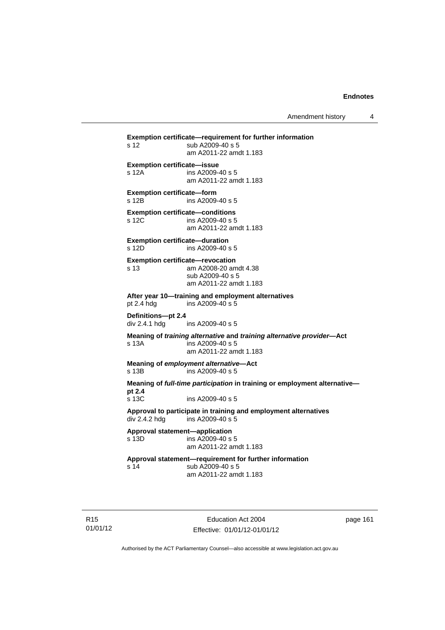Amendment history 4

**Exemption certificate—requirement for further information**  s 12 sub A2009-40 s 5 am A2011-22 amdt 1.183 **Exemption certificate—issue**  s 12A ins A2009-40 s 5 am A2011-22 amdt 1.183 **Exemption certificate—form**  s 12B ins A2009-40 s 5 **Exemption certificate—conditions**  s 12C ins A2009-40 s 5 am A2011-22 amdt 1.183 **Exemption certificate—duration**  s 12D ins A2009-40 s 5 **Exemption certificate—revocation**  s 13 am A2008-20 amdt 4.38 sub A2009-40 s 5 am A2011-22 amdt 1.183 **After year 10—training and employment alternatives**  pt 2.4 hdg ins A2009-40 s 5 **Definitions—pt 2.4**  ins A2009-40 s 5 **Meaning of** *training alternative* **and** *training alternative provider***—Act**  s 13A ins A2009-40 s 5 am A2011-22 amdt 1.183 **Meaning of** *employment alternative***—Act**  s 13B ins A2009-40 s 5 **Meaning of** *full-time participation* **in training or employment alternative pt 2.4**  s 13C ins A2009-40 s 5 **Approval to participate in training and employment alternatives**  div 2.4.2 hdg ins A2009-40 s 5 **Approval statement—application**   $ins$  A2009-40 s 5 am A2011-22 amdt 1.183 **Approval statement—requirement for further information**  s 14 sub A2009-40 s 5 am A2011-22 amdt 1.183

R15 01/01/12

Education Act 2004 Effective: 01/01/12-01/01/12 page 161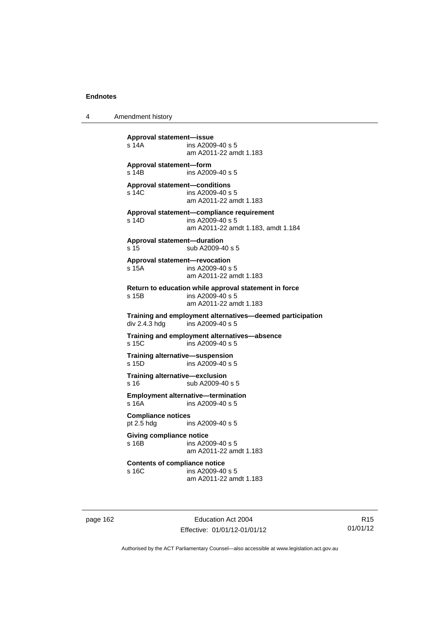4 Amendment history

**Approval statement—issue**  ins A2009-40 s 5 am A2011-22 amdt 1.183 **Approval statement—form**  s 14B ins A2009-40 s 5 **Approval statement—conditions**  s 14C ins A2009-40 s 5 am A2011-22 amdt 1.183 **Approval statement—compliance requirement**  s 14D ins A2009-40 s 5 am A2011-22 amdt 1.183, amdt 1.184 **Approval statement—duration**  s 15 sub A2009-40 s 5 **Approval statement—revocation**  s 15A ins A2009-40 s 5 am A2011-22 amdt 1.183 **Return to education while approval statement in force**  s 15B ins A2009-40 s 5 am A2011-22 amdt 1.183 **Training and employment alternatives—deemed participation**   $ins A2009-40 s 5$ **Training and employment alternatives—absence**  s 15C ins A2009-40 s 5 **Training alternative—suspension**<br>**s** 15D **ins A2009-40 s** 4  $ins$  A2009-40 s 5 **Training alternative—exclusion**  s 16 sub A2009-40 s 5 **Employment alternative—termination**  s 16A ins A2009-40 s 5 **Compliance notices**  pt 2.5 hdg ins A2009-40 s 5 **Giving compliance notice**  s 16B ins A2009-40 s 5 am A2011-22 amdt 1.183 **Contents of compliance notice**  ins A2009-40 s 5 am A2011-22 amdt 1.183

page 162 **Education Act 2004** Effective: 01/01/12-01/01/12

R15 01/01/12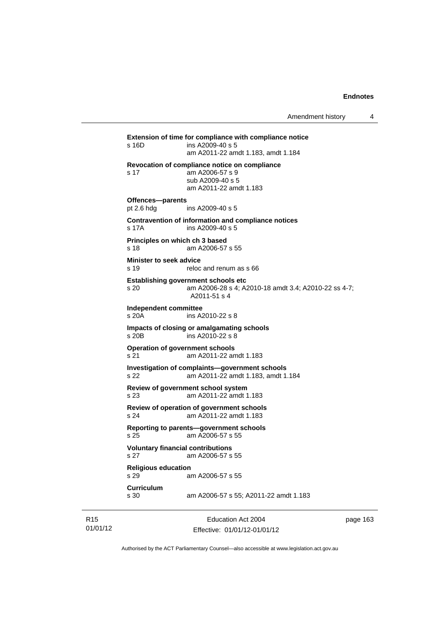**Extension of time for compliance with compliance notice**  s 16D ins A2009-40 s 5 am A2011-22 amdt 1.183, amdt 1.184 **Revocation of compliance notice on compliance**  s 17 am A2006-57 s 9 sub A2009-40 s 5 am A2011-22 amdt 1.183 **Offences—parents**<br>pt 2.6 hdg ins A2009-40 s 5 **Contravention of information and compliance notices**  s 17A ins A2009-40 s 5 **Principles on which ch 3 based**  s 18 am A2006-57 s 55 **Minister to seek advice**  s 19 reloc and renum as s 66 **Establishing government schools etc**  s 20 am A2006-28 s 4; A2010-18 amdt 3.4; A2010-22 ss 4-7; A2011-51 s 4 **Independent committee**  ins A2010-22 s 8 **Impacts of closing or amalgamating schools**  s 20B ins A2010-22 s 8 **Operation of government schools**  s 21 am A2011-22 amdt 1.183 **Investigation of complaints—government schools**  s 22 am A2011-22 amdt 1.183, amdt 1.184 **Review of government school system**  s 23 am A2011-22 amdt 1.183 **Review of operation of government schools**  s 24 am A2011-22 amdt 1.183 **Reporting to parents—government schools**  s 25 am A2006-57 s 55 **Voluntary financial contributions**  s 27 am A2006-57 s 55 **Religious education**  s 29 am A2006-57 s 55 **Curriculum**  am A2006-57 s 55; A2011-22 amdt 1.183

R15 01/01/12

Education Act 2004 Effective: 01/01/12-01/01/12 page 163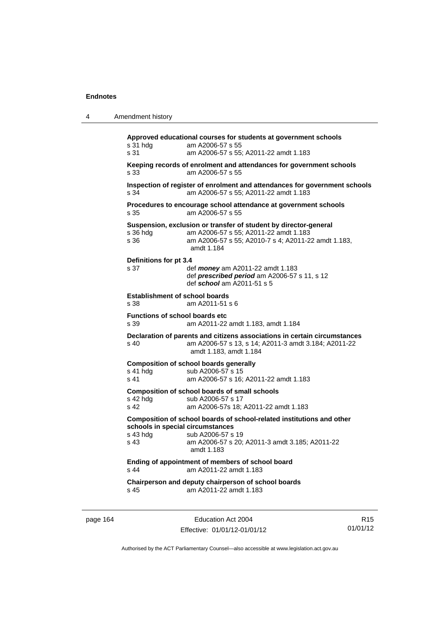| 4        | Amendment history                                                                  |                                                                                                                                                                                                |                             |  |  |  |  |
|----------|------------------------------------------------------------------------------------|------------------------------------------------------------------------------------------------------------------------------------------------------------------------------------------------|-----------------------------|--|--|--|--|
|          | s 31 hdg<br>s 31                                                                   | Approved educational courses for students at government schools<br>am A2006-57 s 55<br>am A2006-57 s 55; A2011-22 amdt 1.183                                                                   |                             |  |  |  |  |
|          | s 33                                                                               | Keeping records of enrolment and attendances for government schools<br>am A2006-57 s 55                                                                                                        |                             |  |  |  |  |
|          | s 34                                                                               | Inspection of register of enrolment and attendances for government schools<br>am A2006-57 s 55; A2011-22 amdt 1.183                                                                            |                             |  |  |  |  |
|          | s 35                                                                               | Procedures to encourage school attendance at government schools<br>am A2006-57 s 55                                                                                                            |                             |  |  |  |  |
|          | s 36 hda<br>s 36                                                                   | Suspension, exclusion or transfer of student by director-general<br>am A2006-57 s 55; A2011-22 amdt 1.183<br>am A2006-57 s 55; A2010-7 s 4; A2011-22 amdt 1.183,<br>amdt 1.184                 |                             |  |  |  |  |
|          | Definitions for pt 3.4<br>s 37                                                     | def <i>money</i> am A2011-22 amdt 1.183<br>def <i>prescribed period</i> am $A2006-57$ s 11, s 12<br>def school am A2011-51 s 5                                                                 |                             |  |  |  |  |
|          | s 38                                                                               | <b>Establishment of school boards</b><br>am A2011-51 s 6                                                                                                                                       |                             |  |  |  |  |
|          | s 39                                                                               | <b>Functions of school boards etc</b><br>am A2011-22 amdt 1.183, amdt 1.184                                                                                                                    |                             |  |  |  |  |
|          | s 40                                                                               | Declaration of parents and citizens associations in certain circumstances<br>am A2006-57 s 13, s 14; A2011-3 amdt 3.184; A2011-22<br>amdt 1.183, amdt 1.184                                    |                             |  |  |  |  |
|          | s 41 hdg<br>s 41                                                                   | <b>Composition of school boards generally</b><br>sub A2006-57 s 15<br>am A2006-57 s 16; A2011-22 amdt 1.183                                                                                    |                             |  |  |  |  |
|          | $s$ 42 hdg<br>s 42                                                                 | <b>Composition of school boards of small schools</b><br>sub A2006-57 s 17<br>am A2006-57s 18; A2011-22 amdt 1.183                                                                              |                             |  |  |  |  |
|          | s 43 hdg<br>s 43                                                                   | Composition of school boards of school-related institutions and other<br>schools in special circumstances<br>sub A2006-57 s 19<br>am A2006-57 s 20; A2011-3 amdt 3.185; A2011-22<br>amdt 1.183 |                             |  |  |  |  |
|          | Ending of appointment of members of school board<br>s 44<br>am A2011-22 amdt 1.183 |                                                                                                                                                                                                |                             |  |  |  |  |
|          | s 45                                                                               | Chairperson and deputy chairperson of school boards<br>am A2011-22 amdt 1.183                                                                                                                  |                             |  |  |  |  |
| page 164 |                                                                                    | Education Act 2004<br>Fffective: 01/01/12-01/01/12                                                                                                                                             | R <sub>15</sub><br>01/01/12 |  |  |  |  |

Authorised by the ACT Parliamentary Counsel—also accessible at www.legislation.act.gov.au

Effective: 01/01/12-01/01/12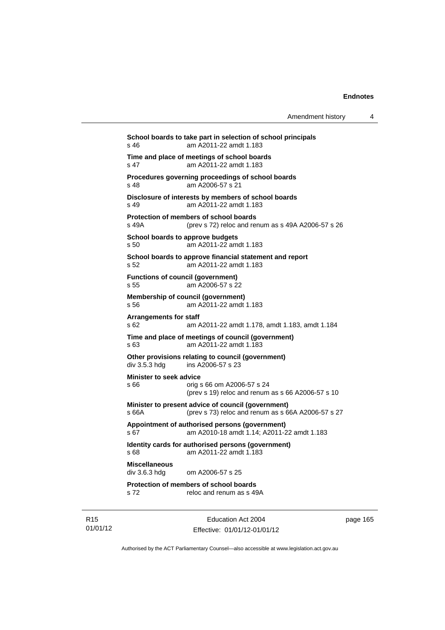| Amendment history |  |
|-------------------|--|
|-------------------|--|

**School boards to take part in selection of school principals**  s 46 am A2011-22 amdt 1.183 **Time and place of meetings of school boards**  s 47 am A2011-22 amdt 1.183 **Procedures governing proceedings of school boards**  s 48 am A2006-57 s 21 **Disclosure of interests by members of school boards**  s 49 am A2011-22 amdt 1.183 **Protection of members of school boards**  s 49A (prev s 72) reloc and renum as s 49A A2006-57 s 26 **School boards to approve budgets**  s 50 am A2011-22 amdt 1.183 **School boards to approve financial statement and report**  s 52 am A2011-22 amdt 1.183 **Functions of council (government)**  s 55 am A2006-57 s 22 **Membership of council (government)**  s 56 am A2011-22 amdt 1.183 **Arrangements for staff**  s 62 am A2011-22 amdt 1.178, amdt 1.183, amdt 1.184 **Time and place of meetings of council (government)**  s 63 am A2011-22 amdt 1.183 **Other provisions relating to council (government)**  div 3.5.3 hdg ins A2006-57 s 23 **Minister to seek advice**  s 66 orig s 66 om A2006-57 s 24 (prev s 19) reloc and renum as s 66 A2006-57 s 10 **Minister to present advice of council (government)**  s 66A (prev s 73) reloc and renum as s 66A A2006-57 s 27 **Appointment of authorised persons (government)**  s 67 am A2010-18 amdt 1.14; A2011-22 amdt 1.183 **Identity cards for authorised persons (government)**  s 68 am A2011-22 amdt 1.183 **Miscellaneous**  div 3.6.3 hdg om A2006-57 s 25 **Protection of members of school boards**  s 72 reloc and renum as s 49A

R15 01/01/12

Education Act 2004 Effective: 01/01/12-01/01/12 page 165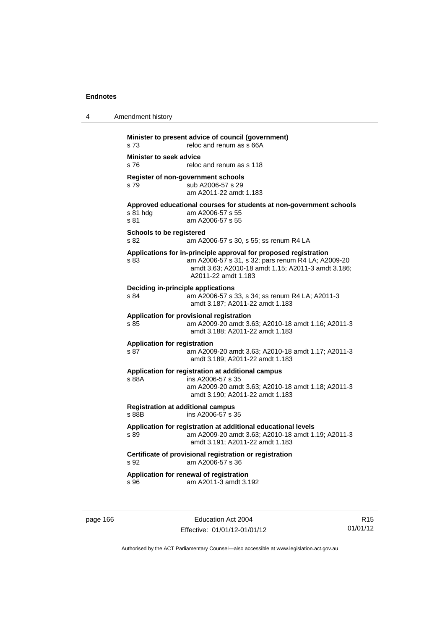| 4 | Amendment history                                                                                                                                                                                           |
|---|-------------------------------------------------------------------------------------------------------------------------------------------------------------------------------------------------------------|
|   | Minister to present advice of council (government)<br>s <sub>73</sub><br>reloc and renum as s 66A                                                                                                           |
|   | <b>Minister to seek advice</b><br>reloc and renum as s 118<br>s 76                                                                                                                                          |
|   | Register of non-government schools<br>sub A2006-57 s 29<br>s 79<br>am A2011-22 amdt 1.183                                                                                                                   |
|   | Approved educational courses for students at non-government schools<br>s 81 hda<br>am A2006-57 s 55<br>s 81<br>am A2006-57 s 55                                                                             |
|   | <b>Schools to be registered</b><br>s 82<br>am A2006-57 s 30, s 55; ss renum R4 LA                                                                                                                           |
|   | Applications for in-principle approval for proposed registration<br>s 83<br>am A2006-57 s 31, s 32; pars renum R4 LA; A2009-20<br>amdt 3.63; A2010-18 amdt 1.15; A2011-3 amdt 3.186;<br>A2011-22 amdt 1.183 |
|   | <b>Deciding in-principle applications</b><br>s 84<br>am A2006-57 s 33, s 34; ss renum R4 LA; A2011-3<br>amdt 3.187; A2011-22 amdt 1.183                                                                     |
|   | Application for provisional registration<br>s 85<br>am A2009-20 amdt 3.63; A2010-18 amdt 1.16; A2011-3<br>amdt 3.188; A2011-22 amdt 1.183                                                                   |
|   | <b>Application for registration</b><br>s 87<br>am A2009-20 amdt 3.63; A2010-18 amdt 1.17; A2011-3<br>amdt 3.189; A2011-22 amdt 1.183                                                                        |
|   | Application for registration at additional campus<br>s 88A<br>ins A2006-57 s 35<br>am A2009-20 amdt 3.63; A2010-18 amdt 1.18; A2011-3<br>amdt 3.190; A2011-22 amdt 1.183                                    |
|   | <b>Registration at additional campus</b><br>ins A2006-57 s 35<br>s 88B                                                                                                                                      |
|   | Application for registration at additional educational levels<br>am A2009-20 amdt 3.63; A2010-18 amdt 1.19; A2011-3<br>s 89<br>amdt 3.191; A2011-22 amdt 1.183                                              |
|   | Certificate of provisional registration or registration<br>am A2006-57 s 36<br>s 92                                                                                                                         |
|   | Application for renewal of registration<br>am A2011-3 amdt 3.192<br>s 96                                                                                                                                    |
|   |                                                                                                                                                                                                             |

page 166 **Education Act 2004** Effective: 01/01/12-01/01/12

R15 01/01/12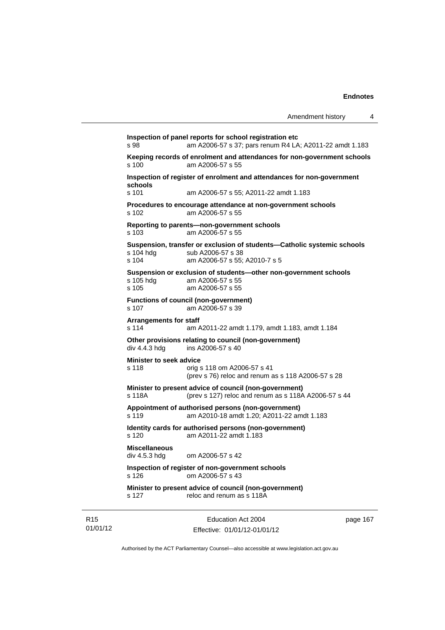**Inspection of panel reports for school registration etc**  s 98 am A2006-57 s 37; pars renum R4 LA; A2011-22 amdt 1.183 **Keeping records of enrolment and attendances for non-government schools**  am A2006-57 s 55 **Inspection of register of enrolment and attendances for non-government schools**  s 101 am A2006-57 s 55; A2011-22 amdt 1.183 **Procedures to encourage attendance at non-government schools**  s 102 am A2006-57 s 55 **Reporting to parents—non-government schools**  s 103 am A2006-57 s 55 **Suspension, transfer or exclusion of students—Catholic systemic schools**  sub A2006-57 s 38 s 104 am A2006-57 s 55; A2010-7 s 5 **Suspension or exclusion of students—other non-government schools**  am A2006-57 s 55 s 105 am A2006-57 s 55 **Functions of council (non-government)**  s 107 am A2006-57 s 39 **Arrangements for staff**  s 114 am A2011-22 amdt 1.179, amdt 1.183, amdt 1.184 **Other provisions relating to council (non-government)**  div 4.4.3 hdg ins A2006-57 s 40 **Minister to seek advice**  s 118 orig s 118 om A2006-57 s 41 (prev s 76) reloc and renum as s 118 A2006-57 s 28 **Minister to present advice of council (non-government)**  s 118A (prev s 127) reloc and renum as s 118A A2006-57 s 44 **Appointment of authorised persons (non-government)**  s 119 am A2010-18 amdt 1.20; A2011-22 amdt 1.183 **Identity cards for authorised persons (non-government)**  s 120 am A2011-22 amdt 1.183 **Miscellaneous**  div 4.5.3 hdg om A2006-57 s 42 **Inspection of register of non-government schools**  s 126 om A2006-57 s 43 **Minister to present advice of council (non-government)**  s 127 reloc and renum as s 118A

R15 01/01/12

Education Act 2004 Effective: 01/01/12-01/01/12 page 167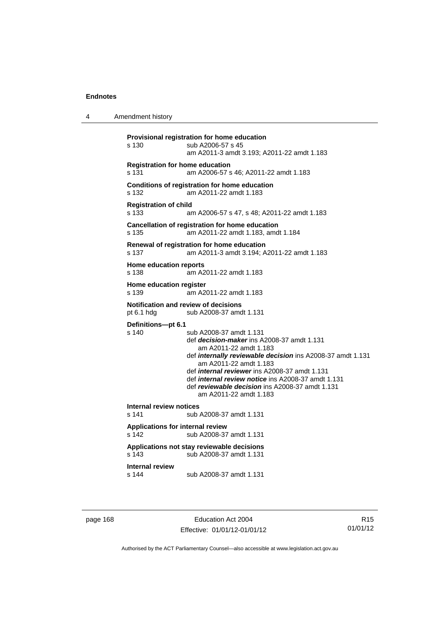4 Amendment history

```
Provisional registration for home education 
s 130 sub A2006-57 s 45 
                  am A2011-3 amdt 3.193; A2011-22 amdt 1.183 
Registration for home education 
s 131 am A2006-57 s 46; A2011-22 amdt 1.183 
Conditions of registration for home education 
s 132 am A2011-22 amdt 1.183 
Registration of child 
s 133 am A2006-57 s 47, s 48; A2011-22 amdt 1.183 
Cancellation of registration for home education 
s 135 am A2011-22 amdt 1.183, amdt 1.184 
Renewal of registration for home education 
s 137 am A2011-3 amdt 3.194; A2011-22 amdt 1.183 
Home education reports 
s 138 am A2011-22 amdt 1.183 
Home education register 
s 139 am A2011-22 amdt 1.183 
Notification and review of decisions 
pt 6.1 hdg sub A2008-37 amdt 1.131 
Definitions—pt 6.1 
                 sub A2008-37 amdt 1.131
                  def decision-maker ins A2008-37 amdt 1.131 
                     am A2011-22 amdt 1.183 
                  def internally reviewable decision ins A2008-37 amdt 1.131 
                     am A2011-22 amdt 1.183 
                  def internal reviewer ins A2008-37 amdt 1.131 
                  def internal review notice ins A2008-37 amdt 1.131 
                  def reviewable decision ins A2008-37 amdt 1.131 
                     am A2011-22 amdt 1.183 
Internal review notices 
                 sub A2008-37 amdt 1.131
Applications for internal review 
s 142 sub A2008-37 amdt 1.131 
Applications not stay reviewable decisions 
s 143 sub A2008-37 amdt 1.131 
Internal review 
s 144 sub A2008-37 amdt 1.131
```
page 168 **Education Act 2004** Effective: 01/01/12-01/01/12

R15 01/01/12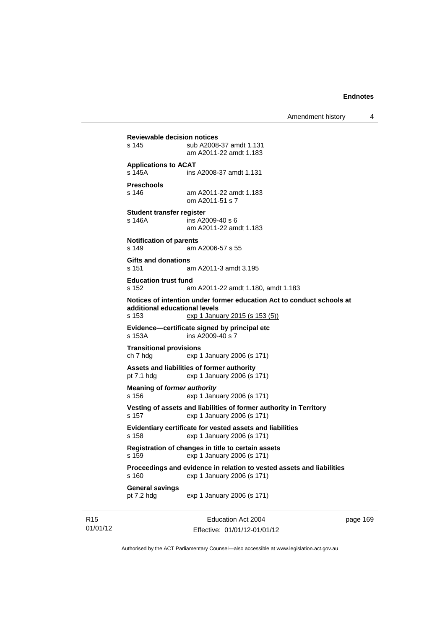Amendment history 4

**Reviewable decision notices**  s 145 sub A2008-37 amdt 1.131 am A2011-22 amdt 1.183 **Applications to ACAT**  s 145A ins A2008-37 amdt 1.131 **Preschools**  s 146 am A2011-22 amdt 1.183 om A2011-51 s 7 **Student transfer register**  s 146A ins A2009-40 s 6 am A2011-22 amdt 1.183 **Notification of parents**  s 149 am A2006-57 s 55 **Gifts and donations**  s 151 am A2011-3 amdt 3.195 **Education trust fund**  s 152 am A2011-22 amdt 1.180, amdt 1.183 **Notices of intention under former education Act to conduct schools at additional educational levels**  exp 1 January 2015 (s 153 (5)) **Evidence—certificate signed by principal etc**  s 153A ins A2009-40 s 7 **Transitional provisions**  ch 7 hdg exp 1 January 2006 (s 171) **Assets and liabilities of former authority**  pt 7.1 hdg exp 1 January 2006 (s 171) **Meaning of** *former authority* s 156 exp 1 January 2006 (s 171) **Vesting of assets and liabilities of former authority in Territory**  s 157 exp 1 January 2006 (s 171) **Evidentiary certificate for vested assets and liabilities**  s 158 exp 1 January 2006 (s 171) **Registration of changes in title to certain assets**  s 159 exp 1 January 2006 (s 171) **Proceedings and evidence in relation to vested assets and liabilities**  s 160 exp 1 January 2006 (s 171) **General savings**  pt 7.2 hdg exp 1 January 2006 (s 171)

R15 01/01/12

Education Act 2004 Effective: 01/01/12-01/01/12 page 169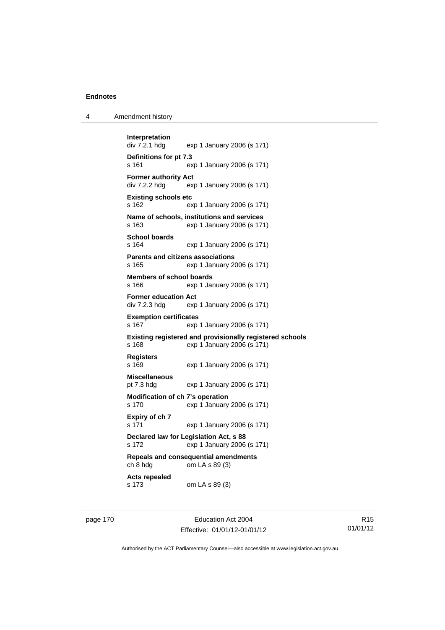| 4 | Amendment history |
|---|-------------------|
|---|-------------------|

```
Interpretation 
                exp 1 January 2006 (s 171)
Definitions for pt 7.3 
s 161 exp 1 January 2006 (s 171) 
Former authority Act 
div 7.2.2 hdg exp 1 January 2006 (s 171) 
Existing schools etc 
s 162 exp 1 January 2006 (s 171) 
Name of schools, institutions and services 
s 163 exp 1 January 2006 (s 171) 
School boards 
s 164 exp 1 January 2006 (s 171) 
Parents and citizens associations 
s 165 exp 1 January 2006 (s 171) 
Members of school boards 
s 166 exp 1 January 2006 (s 171) 
Former education Act 
div 7.2.3 hdg exp 1 January 2006 (s 171) 
Exemption certificates 
s 167 exp 1 January 2006 (s 171) 
Existing registered and provisionally registered schools 
s 168 exp 1 January 2006 (s 171) 
Registers 
s 169 exp 1 January 2006 (s 171) 
Miscellaneous 
pt 7.3 hdg exp 1 January 2006 (s 171) 
Modification of ch 7's operation 
s 170 exp 1 January 2006 (s 171) 
Expiry of ch 7 
s 171 exp 1 January 2006 (s 171) 
Declared law for Legislation Act, s 88 
s 172 exp 1 January 2006 (s 171) 
Repeals and consequential amendments 
ch 8 hdg om LA s 89 (3) 
Acts repealed 
s 173 om LA s 89 (3)
```
page 170 Education Act 2004 Effective: 01/01/12-01/01/12

R15 01/01/12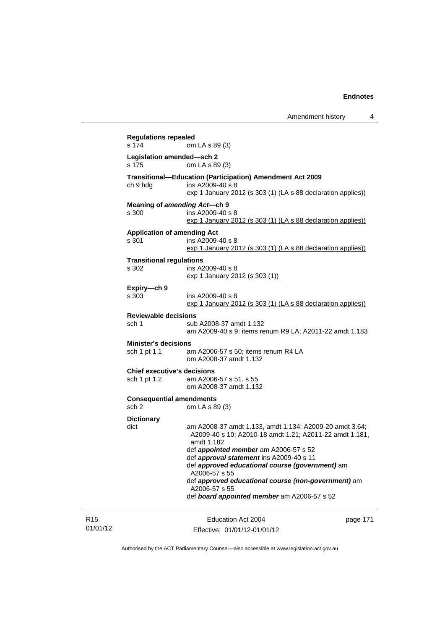| s 174                                              | om LA s 89 (3)                                                                                                                                                                                                                                                                                                                                                                                                          |          |
|----------------------------------------------------|-------------------------------------------------------------------------------------------------------------------------------------------------------------------------------------------------------------------------------------------------------------------------------------------------------------------------------------------------------------------------------------------------------------------------|----------|
| Legislation amended-sch 2<br>s 175                 | om LA s 89 (3)                                                                                                                                                                                                                                                                                                                                                                                                          |          |
| ch 9 hdg                                           | Transitional-Education (Participation) Amendment Act 2009<br>ins A2009-40 s 8<br>exp 1 January 2012 (s 303 (1) (LA s 88 declaration applies))                                                                                                                                                                                                                                                                           |          |
| Meaning of amending Act-ch 9<br>s 300              | ins A2009-40 s 8<br>$\frac{\sqrt{2}}{2}$ 1 January 2012 (s 303 (1) (LA s 88 declaration applies))                                                                                                                                                                                                                                                                                                                       |          |
| <b>Application of amending Act</b><br>s 301        | ins A2009-40 s 8<br>exp 1 January 2012 (s 303 (1) (LA s 88 declaration applies))                                                                                                                                                                                                                                                                                                                                        |          |
| <b>Transitional regulations</b><br>s 302           | ins A2009-40 s 8<br>exp 1 January 2012 (s 303 (1))                                                                                                                                                                                                                                                                                                                                                                      |          |
| Expiry-ch 9<br>s 303                               | ins A2009-40 s 8<br>exp 1 January 2012 (s 303 (1) (LA s 88 declaration applies))                                                                                                                                                                                                                                                                                                                                        |          |
| <b>Reviewable decisions</b><br>sch 1               | sub A2008-37 amdt 1.132<br>am A2009-40 s 9; items renum R9 LA; A2011-22 amdt 1.183                                                                                                                                                                                                                                                                                                                                      |          |
| <b>Minister's decisions</b><br>sch 1 pt 1.1        | am A2006-57 s 50; items renum R4 LA<br>om A2008-37 amdt 1.132                                                                                                                                                                                                                                                                                                                                                           |          |
| <b>Chief executive's decisions</b><br>sch 1 pt 1.2 | am A2006-57 s 51, s 55<br>om A2008-37 amdt 1.132                                                                                                                                                                                                                                                                                                                                                                        |          |
| <b>Consequential amendments</b><br>sch 2           | om LA s 89 (3)                                                                                                                                                                                                                                                                                                                                                                                                          |          |
| <b>Dictionary</b><br>dict                          | am A2008-37 amdt 1.133, amdt 1.134; A2009-20 amdt 3.64;<br>A2009-40 s 10; A2010-18 amdt 1.21; A2011-22 amdt 1.181,<br>amdt 1.182<br>def <i>appointed member</i> am A2006-57 s 52<br>def approval statement ins A2009-40 s 11<br>def approved educational course (government) am<br>A2006-57 s 55<br>def approved educational course (non-government) am<br>A2006-57 s 55<br>def board appointed member am A2006-57 s 52 |          |
|                                                    | Education Act 2004                                                                                                                                                                                                                                                                                                                                                                                                      | page 171 |

01/01/12

R15

Effective: 01/01/12-01/01/12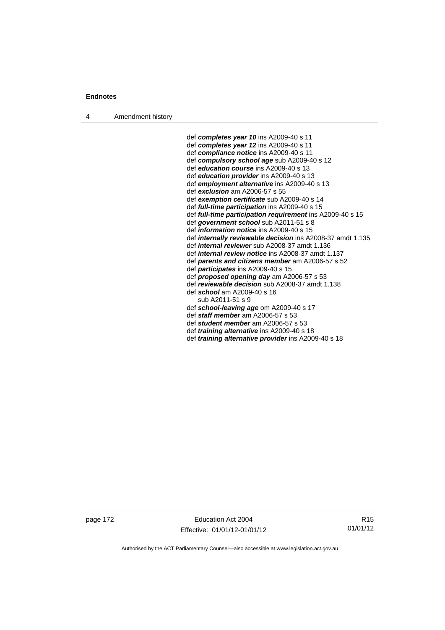4 Amendment history

 def *completes year 10* ins A2009-40 s 11 def *completes year 12* ins A2009-40 s 11 def *compliance notice* ins A2009-40 s 11 def *compulsory school age* sub A2009-40 s 12 def *education course* ins A2009-40 s 13 def *education provider* ins A2009-40 s 13 def *employment alternative* ins A2009-40 s 13 def *exclusion* am A2006-57 s 55 def *exemption certificate* sub A2009-40 s 14 def *full-time participation* ins A2009-40 s 15 def *full-time participation requirement* ins A2009-40 s 15 def *government school* sub A2011-51 s 8 def *information notice* ins A2009-40 s 15 def *internally reviewable decision* ins A2008-37 amdt 1.135 def *internal reviewer* sub A2008-37 amdt 1.136 def *internal review notice* ins A2008-37 amdt 1.137 def *parents and citizens member* am A2006-57 s 52 def *participates* ins A2009-40 s 15 def *proposed opening day* am A2006-57 s 53 def *reviewable decision* sub A2008-37 amdt 1.138 def *school* am A2009-40 s 16 sub A2011-51 s 9 def *school-leaving age* om A2009-40 s 17 def *staff member* am A2006-57 s 53 def *student member* am A2006-57 s 53 def *training alternative* ins A2009-40 s 18

def *training alternative provider* ins A2009-40 s 18

page 172 Education Act 2004 Effective: 01/01/12-01/01/12

R15 01/01/12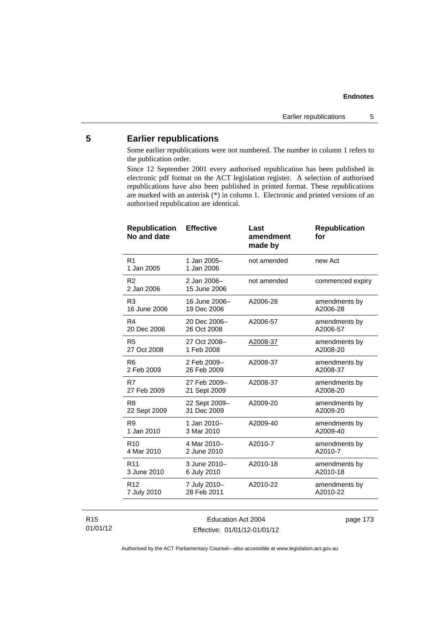# **5 Earlier republications**

Some earlier republications were not numbered. The number in column 1 refers to the publication order.

Since 12 September 2001 every authorised republication has been published in electronic pdf format on the ACT legislation register. A selection of authorised republications have also been published in printed format. These republications are marked with an asterisk (\*) in column 1. Electronic and printed versions of an authorised republication are identical.

| <b>Republication</b><br>No and date | <b>Effective</b>             | Last<br>amendment<br>made by | <b>Republication</b><br>for |
|-------------------------------------|------------------------------|------------------------------|-----------------------------|
| R <sub>1</sub><br>1 Jan 2005        | 1 Jan 2005-<br>1 Jan 2006    | not amended                  | new Act                     |
| R <sub>2</sub><br>2 Jan 2006        | 2 Jan 2006-<br>15 June 2006  | not amended                  | commenced expiry            |
| R <sub>3</sub><br>16 June 2006      | 16 June 2006-<br>19 Dec 2006 | A2006-28                     | amendments by<br>A2006-28   |
| R4<br>20 Dec 2006                   | 20 Dec 2006-<br>26 Oct 2008  | A2006-57                     | amendments by<br>A2006-57   |
| R <sub>5</sub><br>27 Oct 2008       | 27 Oct 2008-<br>1 Feb 2008   | A2008-37                     | amendments by<br>A2008-20   |
| R <sub>6</sub><br>2 Feb 2009        | 2 Feb 2009-<br>26 Feb 2009   | A2008-37                     | amendments by<br>A2008-37   |
| R7<br>27 Feb 2009                   | 27 Feb 2009-<br>21 Sept 2009 | A2008-37                     | amendments by<br>A2008-20   |
| R8<br>22 Sept 2009                  | 22 Sept 2009-<br>31 Dec 2009 | A2009-20                     | amendments by<br>A2009-20   |
| R <sub>9</sub><br>1 Jan 2010        | 1 Jan 2010-<br>3 Mar 2010    | A2009-40                     | amendments by<br>A2009-40   |
| R <sub>10</sub><br>4 Mar 2010       | 4 Mar 2010-<br>2 June 2010   | A2010-7                      | amendments by<br>A2010-7    |
| R <sub>11</sub><br>3 June 2010      | 3 June 2010-<br>6 July 2010  | A2010-18                     | amendments by<br>A2010-18   |
| R <sub>12</sub><br>7 July 2010      | 7 July 2010-<br>28 Feb 2011  | A2010-22                     | amendments by<br>A2010-22   |
|                                     |                              |                              |                             |

R15 01/01/12

Education Act 2004 Effective: 01/01/12-01/01/12 page 173